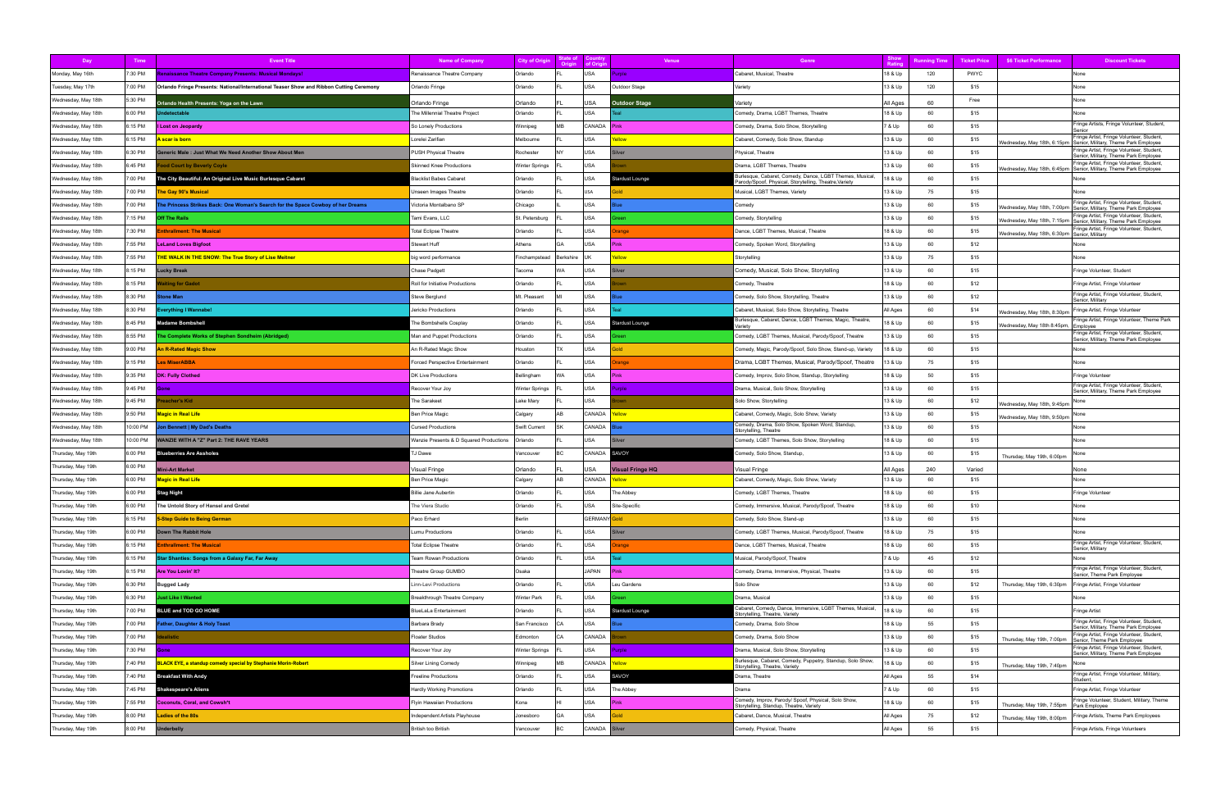| Day                 | Time     | <b>Event Title</b>                                                                      | <b>Name of Company</b>                  | City of Origi  | State of<br>Origin | <b>Country</b><br>of Orig | <b>Venue</b>         | Genre                                                                                                              | Show<br>Ratin | unnina Tim | <b>Ticket Price</b> | \$6 Ticket Performance                       | <b>Discount Tickets</b>                                                                                          |
|---------------------|----------|-----------------------------------------------------------------------------------------|-----------------------------------------|----------------|--------------------|---------------------------|----------------------|--------------------------------------------------------------------------------------------------------------------|---------------|------------|---------------------|----------------------------------------------|------------------------------------------------------------------------------------------------------------------|
| Monday, May 16th    | 7:30 PM  | enaissance Theatre Company Presents: Musical Mondays!                                   | Renaissance Theatre Company             | Orlando        |                    | USA                       | rple                 | Cabaret, Musical, Theatre                                                                                          | 18 & Up       | 120        | <b>PWYC</b>         |                                              | None                                                                                                             |
| Tuesday, May 17th   | 7:00 PM  | Orlando Fringe Presents: National/International Teaser Show and Ribbon Cutting Ceremony | Orlando Fringe                          | Orlando        |                    | USA                       | Outdoor Stage        | Variety                                                                                                            | 13 & Up       | 120        | \$15                |                                              | None                                                                                                             |
| Wednesday, May 18th | 5:30 PM  | Orlando Health Presents: Yoga on the Lawn                                               | Orlando Fringe                          | Orlando        |                    | USA                       | <b>Outdoor Stage</b> | Variety                                                                                                            | All Ages      | 60         | Free                |                                              | None                                                                                                             |
| Wednesday, May 18th | 6:00 PM  | ndetectable                                                                             | The Millennial Theatre Project          | Orlando        |                    | USA                       |                      | Comedy, Drama, LGBT Themes, Theatre                                                                                | 18 & Up       | 60         | \$15                |                                              | None                                                                                                             |
| Wednesday, May 18th | 6:15 PM  | I Lost on Jeopardy                                                                      | So Lonely Productions                   | Winnipeg       | <b>MB</b>          | CANADA                    |                      | Comedy, Drama, Solo Show, Storytelling                                                                             | 7 & Up        | 60         | \$15                |                                              | Fringe Artists, Fringe Volunteer, Student,                                                                       |
| Wednesday, May 18th | 6:15 PM  | <mark>scar is born</mark>                                                               | Lorelei Zarifian                        | Melbourne      |                    | USA                       |                      | Cabaret, Comedy, Solo Show, Standup                                                                                | 13 & Up       | 60         | \$15                | Wednesday, May 18th, 6:15pm                  | Fringe Artist, Fringe Volunteer, Student,<br>Senior, Military, Theme Park Employee                               |
| Wednesday, May 18th | 6:30 PM  | eneric Male: Just What We Need Another Show About Men                                   | PUSH Physical Theatre                   | Rochester      | NY                 | USA                       |                      | Physical, Theatre                                                                                                  | 13 & Up       | 60         | \$15                |                                              | Fringe Artist, Fringe Volunteer, Student,<br>Senior, Military, Theme Park Employee                               |
| Wednesday, May 18th | 6:45 PM  | od Court by Beverly Coyle                                                               | <b>Skinned Knee Productions</b>         | Winter Springs |                    | USA                       |                      | Drama, LGBT Themes, Theatre                                                                                        | 13 & Up       | 60         | \$15                | Wednesday, May 18th, 6:45pm                  | Fringe Artist, Fringe Volunteer, Student,<br>Senior, Military, Theme Park Employee                               |
| Wednesday, May 18th | 7:00 PM  | The City Beautiful: An Original Live Music Burlesque Cabaret                            | <b>Blacklist Babes Cabaret</b>          | Orlando        |                    | USA                       | Stardust Lounge      | Burlesque, Cabaret, Comedy, Dance, LGBT Themes, Musical,<br>Parody/Spoof, Physical, Storytelling, Theatre, Variety | 8 & Up        | 60         | \$15                |                                              | None                                                                                                             |
| Wednesday, May 18th | 7:00 PM  | he Gay 90's Musical                                                                     | Unseen Images Theatre                   | Orlando        |                    | USA                       |                      | Musical, LGBT Themes, Variety                                                                                      | 13 & Up       | 75         | \$15                |                                              | None                                                                                                             |
| Wednesday, May 18th | 7:00 PM  | he Princess Strikes Back: One Woman's Search for the Space Cowboy of her Dreams         | Victoria Montalbano SP                  | Chicago        |                    | USA                       |                      | Comedy                                                                                                             | 13 & Up       | 60         | \$15                | Wednesday, May 18th, 7:00pm                  | Fringe Artist, Fringe Volunteer, Student,<br>Senior, Military, Theme Park Employee                               |
| Wednesday, May 18th | 7:15 PM  | ff The Rails                                                                            | Tami Evans, LLC                         | St. Petersburg |                    | USA                       |                      | Comedy, Storytelling                                                                                               | 13 & Up       | 60         | \$15                |                                              | Fringe Artist, Fringe Volunteer, Student,<br>Wednesday, May 18th, 7:15pm   Senior, Military, Theme Park Employee |
| Wednesday, May 18th | 7:30 PM  | nthrallment: The Musical                                                                | <b>Total Eclipse Theatre</b>            | Orlando        |                    | USA                       | ange                 | Dance, LGBT Themes, Musical, Theatre                                                                               | 18 & Up       | 60         | \$15                | Wednesday, May 18th, 6:30pm Senior, Military | Fringe Artist, Fringe Volunteer, Student,                                                                        |
| Wednesday, May 18th | 7:55 PM  | <b>LeLand Loves Bigfoot</b>                                                             | Stewart Huff                            | Athens         | GA                 | USA                       |                      | Comedy, Spoken Word, Storytelling                                                                                  | 13 & Up       | 60         | \$12                |                                              | None                                                                                                             |
| Wednesday, May 18th | 7:55 PM  | <b>HE WALK IN THE SNOW: The True Story of Lise Meitner</b>                              | big word performance                    | Finchampstead  | Berkshire          | <b>IIK</b>                |                      | Storytelling                                                                                                       | 13 & Up       | 75         | \$15                |                                              | None                                                                                                             |
| Wednesday, May 18th | 8:15 PM  | ucky Break                                                                              | Chase Padgett                           | Tacoma         | WA                 | USA                       |                      | Comedy, Musical, Solo Show, Storytelling                                                                           | 13 & Up       | 60         | \$15                |                                              | Fringe Volunteer, Student                                                                                        |
| Wednesday, May 18th | 8:15 PM  | iting for Gadot                                                                         | Roll for Initiative Productions         | Orlando        |                    | USA                       |                      | Comedy, Theatre                                                                                                    | 18 & Up       | 60         | \$12                |                                              | Fringe Artist, Fringe Volunteer                                                                                  |
| Wednesday, May 18th | 8:30 PM  | one Man                                                                                 | Steve Berglund                          | Mt. Pleasant   |                    | USA                       |                      | Comedy, Solo Show, Storytelling, Theatre                                                                           | 13 & Up       | 60         | \$12                |                                              | Fringe Artist, Fringe Volunteer, Student,<br>Senior, Military                                                    |
| Wednesday, May 18th | 8:30 PM  | verything I Wannabe!                                                                    | Jericko Productions                     | Orlando        |                    | USA                       |                      | Cabaret, Musical, Solo Show, Storytelling, Theatre                                                                 | All Ages      | 60         | \$14                | Wednesday, May 18th, 8:30pm                  | Fringe Artist, Fringe Volunteer                                                                                  |
| Wednesday, May 18th | 8:45 PM  | <b>Madame Bombshell</b>                                                                 | The Bombshells Cosplay                  | Orlando        |                    | USA                       | tardust Lounge       | Burlesque, Cabaret, Dance, LGBT Themes, Magic, Theatre,<br>/arietv                                                 | 18 & Up       | 60         | \$15                | Wednesday, May 18th 8:45pm, Employee         | Fringe Artist, Fringe Volunteer, Theme Park                                                                      |
| Wednesday, May 18th | 8:55 PM  | he Complete Works of Stephen Sondheim (Abridged)                                        | Man and Puppet Productions              | Orlando        |                    | USA                       |                      | Comedy, LGBT Themes, Musical, Parody/Spoof, Theatre                                                                | 13 & Up       | 60         | \$15                |                                              | Fringe Artist, Fringe Volunteer, Student,<br>Senior, Military, Theme Park Employee                               |
| Wednesday, May 18th | 9:00 PM  | <b>An R-Rated Magic Show</b>                                                            | An R-Rated Magic Show                   | Houston        | TX                 | USA                       |                      | Comedy, Magic, Parody/Spoof, Solo Show, Stand-up, Variety                                                          | 18 & Up       | 60         | \$15                |                                              | None                                                                                                             |
| Wednesday, May 18th | 9:15 PM  | es MiserABBA                                                                            | <b>Forced Perspective Entertainment</b> | Orlando        |                    | USA                       | ange                 | Drama, LGBT Themes, Musical, Parody/Spoof, Theatre                                                                 | 3 & Up        | 75         | \$15                |                                              | None                                                                                                             |
| Wednesday, May 18th | 9:35 PM  | <b>DK: Fully Clothed</b>                                                                | DK Live Productions                     | Bellingham     | WA                 | USA                       |                      | Comedy, Improv, Solo Show, Standup, Storytelling                                                                   | 18 & Up       | 50         | \$15                |                                              | Fringe Volunteer                                                                                                 |
| Wednesday, May 18th | 9:45 PM  | ione                                                                                    | Recover Your Joy                        | Winter Springs |                    | USA                       | mle                  | Drama, Musical, Solo Show, Storytelling                                                                            | 13 & Up       | 60         | \$15                |                                              | Fringe Artist, Fringe Volunteer, Student,<br>Senior, Military, Theme Park Employee                               |
| Wednesday, May 18th | 9:45 PM  | eacher's Kid                                                                            | he Sarakeet                             | Lake Mary      |                    | USA                       |                      | Solo Show, Storytelling                                                                                            | 13 & Up       | 60         | \$12                | Wednesday, May 18th, 9:45pm                  |                                                                                                                  |
| Wednesday, May 18th | 9:50 PM  | <mark>Magic in Real Life</mark>                                                         | Ben Price Magic                         | Calgary        | AB                 | CANADA                    | llow                 | Cabaret, Comedy, Magic, Solo Show, Variety                                                                         | 13 & Up       | 60         | \$15                | Wednesday, May 18th, 9:50pm                  | None                                                                                                             |
| Wednesday, May 18th | 10:00 PM | on Bennett   My Dad's Deaths                                                            | <b>Cursed Productions</b>               | Swift Current  |                    | CANADA                    |                      | Comedy, Drama, Solo Show, Spoken Word, Standup,<br>Storytelling, Theatre                                           | 13 & Up       | 60         | \$15                |                                              | None                                                                                                             |
| Wednesday, May 18th | 10:00 PM | ANZIE WITH A "Z" Part 2: THE RAVE YEARS                                                 | Wanzie Presents & D Squared Productions | Orlando        |                    | USA                       |                      | Comedy, LGBT Themes, Solo Show, Storytelling                                                                       | 18 & Up       | 60         | \$15                |                                              | None                                                                                                             |
| Thursday, May 19th  | 6:00 PM  | <b>Slueberries Are Assholes</b>                                                         | J Dawe                                  | Vancouver      | ВC.                | CANADA                    | SAVOY                | Comedy, Solo Show, Standup,                                                                                        | 13 & Up       | 60         | \$15                | Thursday, May 19th, 6:00pm                   | None                                                                                                             |
| Thursday, May 19th  | 6:00 PM  | lini-Art Market                                                                         | √isual Fringe                           | Orlando        |                    | USA                       | /isual Fringe HQ     | Visual Fringe                                                                                                      | All Ages      | 240        | Varied              |                                              | None                                                                                                             |
| Thursday, May 19th  | 6:00 PM  | <mark>Magic in Real Life</mark>                                                         | Ben Price Magic                         | Calgary        |                    | CANADA                    |                      | Cabaret, Comedy, Magic, Solo Show, Variety                                                                         | 13 & Up       | 60         | \$15                |                                              | None                                                                                                             |
| Thursday, May 19th  | 6:00 PM  | Stag Night                                                                              | Billie Jane Aubertin                    | Orlando        |                    | USA                       | The Abbey            | Comedy, LGBT Themes, Theatre                                                                                       | 18 & Up       | 60         | \$15                |                                              | Fringe Volunteer                                                                                                 |
| Thursday, May 19th  | 6:00 PM  | The Untold Story of Hansel and Gretel                                                   | The Viera Studio                        | Orlando        |                    | USA                       | Site-Specific        | Comedy, Immersive, Musical, Parody/Spoof, Theatre                                                                  | 18 & Up       | 60         | \$10                |                                              | None                                                                                                             |
| Thursday, May 19th  | 6:15 PM  | -Step Guide to Being German                                                             | Paco Erhard                             | Berlin         |                    | GERMANY Gold              |                      | Comedy, Solo Show, Stand-up                                                                                        | 13 & Up       | 60         | \$15                |                                              | None                                                                                                             |
| Thursday, May 19th  | 6:00 PM  | <b>Down The Rabbit Hole</b>                                                             | Lumu Productions                        | Orlando        |                    | USA                       |                      | Comedy, LGBT Themes, Musical, Parody/Spoof, Theatre                                                                | 18 & Up       | 75         | \$15                |                                              | None                                                                                                             |
| Thursday, May 19th  | 6:15 PM  | nthrallment: The Musical                                                                | <b>Total Eclipse Theatre</b>            | Orlando        |                    | USA                       | ange                 | Dance, LGBT Themes, Musical, Theatre                                                                               | 18 & Up       | 60         | \$15                |                                              | Fringe Artist, Fringe Volunteer, Student,<br>Senior, Military                                                    |
| Thursday, May 19th  | 6:15 PM  | Star Shanties: Songs from a Galaxy Far, Far Away                                        | Team Rowan Productions                  | Orlando        |                    | USA                       |                      | Musical, Parody/Spoof, Theatre                                                                                     | 7 & Up        | 45         | \$12                |                                              | None                                                                                                             |
| Thursday, May 19th  | 6:15 PM  | Are You Lovin' It?                                                                      | heatre Group GUMBO                      | Osaka          |                    | <b>JAPAN</b>              |                      | Comedy, Drama, Immersive, Physical, Theatre                                                                        | 13 & Up       | 60         | \$15                |                                              | Fringe Artist, Fringe Volunteer, Student,<br>Senior, Theme Park Employee                                         |
| Thursday, May 19th  | 6:30 PM  | <b>Bugged Lady</b>                                                                      | Linn-Levi Productions                   | Orlando        |                    | USA                       | Leu Gardens          | Solo Show                                                                                                          | 13 & Up       | 60         | \$12                | Thursday, May 19th, 6:30pm                   | Fringe Artist, Fringe Volunteer                                                                                  |
| Thursday, May 19th  | 6:30 PM  | ust Like I Wanted                                                                       | Breakthrough Theatre Company            | Winter Park    |                    | USA                       |                      | Drama, Musical                                                                                                     | 13 & Up       | 60         | \$15                |                                              | None                                                                                                             |
| Thursday, May 19th  | 7:00 PM  | BLUE and TOD GO HOME                                                                    | <b>BlueLaLa Entertainment</b>           | Orlando        |                    | USA                       | Stardust Lounge      | Cabaret, Comedy, Dance, Immersive, LGBT Themes, Musical,<br>Storytelling, Theatre, Variety                         | 18 & Up       | 60         | \$15                |                                              | Fringe Artist                                                                                                    |
| Thursday, May 19th  | 7:00 PM  | ather, Daughter & Holy Toast                                                            | Barbara Brady                           | San Francisco  | CА                 | USA                       |                      | Comedy, Drama, Solo Show                                                                                           | 18 & Up       | 55         | \$15                |                                              | Fringe Artist, Fringe Volunteer, Student,<br>Senior, Military, Theme Park Employee                               |
| Thursday, May 19th  | 7:00 PM  | alistic                                                                                 | loater Studios                          | Edmonton       | CA                 | CANADA                    |                      | Comedy, Drama, Solo Show                                                                                           | 13 & Up       | 60         | \$15                | Thursday, May 19th, 7:00pm                   | Fringe Artist, Fringe Volunteer, Student,<br>Senior, Theme Park Employee                                         |
| Thursday, May 19th  | 7:30 PM  | Gone                                                                                    | Recover Your Joy                        | Winter Springs |                    | USA                       | role                 | Drama, Musical, Solo Show, Storytelling                                                                            | 13 & Up       | 60         | \$15                |                                              | Fringe Artist, Fringe Volunteer, Student,<br>Senior, Military, Theme Park Employee                               |
| Thursday, May 19th  | 7:40 PM  | LACK EYE, a standup comedy special by Stephanie Morin-Robert                            | Silver Lining Comedy                    | Winnipeg       | MB                 | CANADA                    | Yellow               | Burlesque, Cabaret, Comedy, Puppetry, Standup, Solo Show,<br>Storytelling, Theatre, Variety                        | 18 & Up       | 60         | \$15                | Thursday, May 19th, 7:40pm                   | None                                                                                                             |
| Thursday, May 19th  | 7:40 PM  | <b>Breakfast With Andy</b>                                                              | reeline Productions                     | Orlando        |                    | USA                       | SAVOY                | Drama, Theatre                                                                                                     | All Ages      | 55         | \$14                |                                              | Fringe Artist, Fringe Volunteer, Military,<br>Student,                                                           |
| Thursday, May 19th  | 7:45 PM  | <b>Shakespeare's Aliens</b>                                                             | <b>Hardly Working Promotions</b>        | Orlando        |                    | USA                       | The Abbey            | Drama                                                                                                              | 7 & Up        | 60         | \$15                |                                              | Fringe Artist, Fringe Volunteer                                                                                  |
| Thursday, May 19th  | 7:55 PM  | <b>Coconuts, Coral, and Cowsh*t</b>                                                     | Flyin Hawaiian Productions              | Kona           |                    | USA                       |                      | Comedy, Improv, Parody/ Spoof, Physical, Solo Show,<br>Storytelling, Standup, Theatre, Variety                     | 18 & Up       | 60         | \$15                | Thursday, May 19th, 7:55pm                   | Fringe Volunteer, Student, Military, Theme<br>Park Employee                                                      |
| Thursday, May 19th  | 8:00 PM  | adies of the 80s                                                                        | Independent Artists Playhouse           | Jonesboro      | GA                 | USA                       |                      | Cabaret, Dance, Musical, Theatre                                                                                   | All Ages      | 75         | \$12                | Thursday, May 19th, 8:00pm                   | Fringe Artists, Theme Park Employees                                                                             |
| Thursday, May 19th  | 8:00 PM  | nderbelly                                                                               | British too British                     | Vancouver      |                    | CANADA                    | Silver               | Comedy, Physical, Theatre                                                                                          | All Ages      | 55         | \$15                |                                              | Fringe Artists, Fringe Volunteers                                                                                |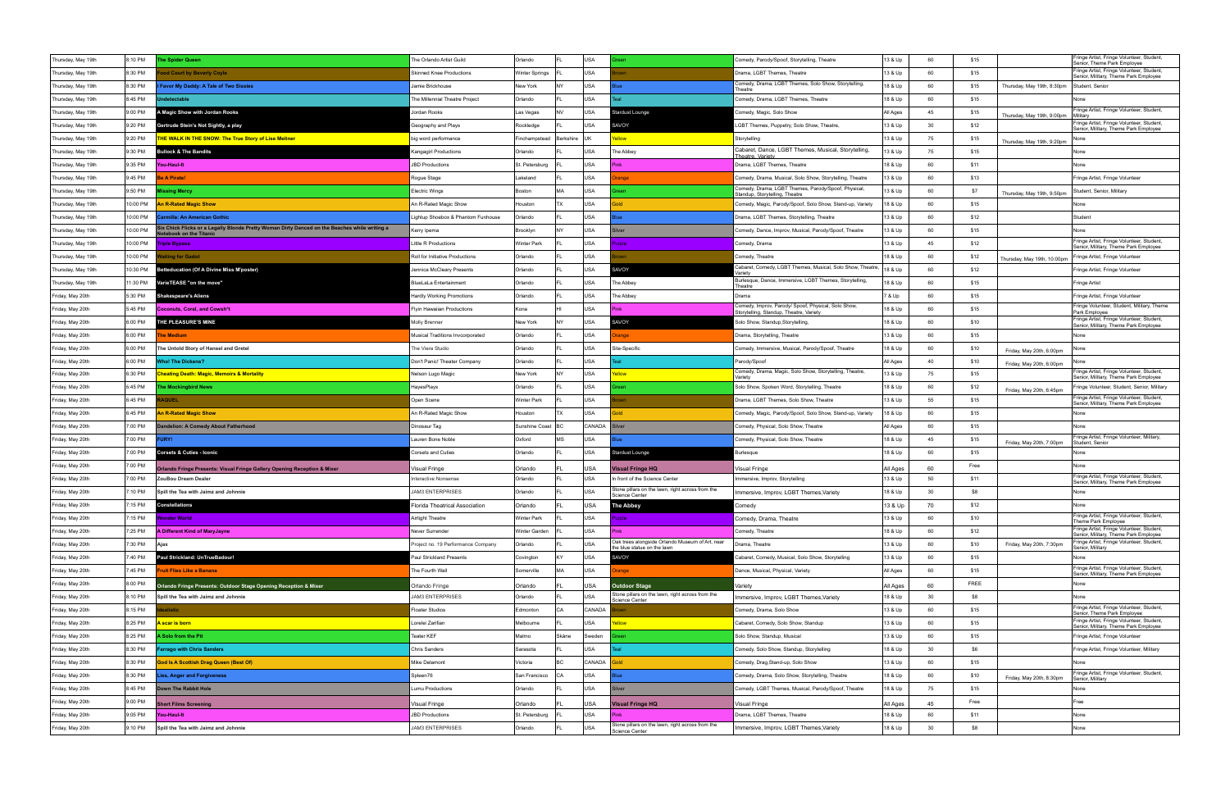| Thursday, May 19th                   | 8:10 PM  | he Spider Queen                                                                                                        | The Orlando Artist Guild                  | Orlando                   |           | USA               |                                                                          | Comedy, Parody/Spoof, Storytelling, Theatre                                           | 13 & Up             | 60       | \$15 |                             | Fringe Artist, Fringe Volunteer, Student,<br>Senior, Theme Park Employee                                                        |
|--------------------------------------|----------|------------------------------------------------------------------------------------------------------------------------|-------------------------------------------|---------------------------|-----------|-------------------|--------------------------------------------------------------------------|---------------------------------------------------------------------------------------|---------------------|----------|------|-----------------------------|---------------------------------------------------------------------------------------------------------------------------------|
| Thursday, May 19th                   | 8:30 PM  | <b>ood Court by Beverly Coyle</b>                                                                                      | <b>Skinned Knee Productions</b>           | Winter Springs            |           | USA               |                                                                          | Drama, LGBT Themes, Theatre                                                           | 13 & Up             | 60       | \$15 |                             | Fringe Artist, Fringe Volunteer, Student,<br>Senior, Military, Theme Park Employee                                              |
| Thursday, May 19th                   | 8:30 PM  | Favor My Daddy: A Tale of Two Sissies                                                                                  | Jamie Brickhouse                          | New York                  | NY        | USA               |                                                                          | Comedy, Drama, LGBT Themes, Solo Show, Storytelling<br>Γheatre                        | 18 & Up             | 60       | \$15 | Thursday, May 19th, 8:30pm  | Student, Senior                                                                                                                 |
| Thursday, May 19th                   | 8:45 PM  | detectable                                                                                                             | The Millennial Theatre Project            | Orlando                   |           | USA               |                                                                          | Comedy, Drama, LGBT Themes, Theatre                                                   | 18 & Up             | 60       | \$15 |                             |                                                                                                                                 |
| Thursday, May 19th                   | 9:00 PM  | A Magic Show with Jordan Rooks                                                                                         | Jordan Rooks                              | Las Vegas                 | <b>NV</b> | USA               | tardust Lounge                                                           | Comedy, Magic, Solo Show                                                              | All Ages            | 45       | \$15 | Thursday, May 19th, 9:00pm  | Fringe Artist, Fringe Volunteer, Student,<br>Militarv                                                                           |
| Thursday, May 19th                   | 9:20 PM  | Gertrude Stein's Not Sightly, a play                                                                                   | Geography and Plays                       | Rockledge                 |           | USA               | AVOY                                                                     | GBT Themes, Puppetry, Solo Show, Theatre,                                             | 13 & Up             | 30       | \$12 |                             | Fringe Artist, Fringe Volunteer, Student,<br>Senior, Military, Theme Park Employee                                              |
| Thursday, May 19th                   | 9:20 PM  | <b>HE WALK IN THE SNOW: The True Story of Lise Meitner</b>                                                             | big word performance                      | Finchampstead             | Berkshire | luk               | <b>Wolls</b>                                                             | Storytelling                                                                          | 13 & Up             | 75       | \$15 | Thursday, May 19th, 9:20pm  |                                                                                                                                 |
| Thursday, May 19th                   | 9:30 PM  | <b>Bullock &amp; The Bandits</b>                                                                                       | Kangagirl Productions                     | Orlando                   |           | <b>USA</b>        | The Abbey                                                                | Cabaret, Dance, LGBT Themes, Musical, Storytelling,                                   | 13 & Up             | 75       | \$15 |                             | None                                                                                                                            |
| Thursday, May 19th                   | 9:35 PM  | You-Haul-It                                                                                                            | <b>JBD Productions</b>                    | St. Petersburg            |           | USA               |                                                                          | Theatre, Varietv<br>Drama, LGBT Themes, Theatre                                       | 18 & Up             | 60       | \$11 |                             | None                                                                                                                            |
| Thursday, May 19th                   | 9:45 PM  | e A Pirate!                                                                                                            | Rogue Stage                               | Lakeland                  |           | USA               | ange                                                                     | Comedy, Drama, Musical, Solo Show, Storytelling, Theatre                              | 13 & Up             | 60       | \$13 |                             | Fringe Artist, Fringe Volunteer                                                                                                 |
| Thursday, May 19th                   | 9:50 PM  | issing Mercy                                                                                                           | <b>Electric Wings</b>                     | Boston                    | MA.       | <b>USA</b>        |                                                                          | Comedy, Drama, LGBT Themes, Parody/Spoof, Physical,<br>Standup, Storytelling, Theatre | 13 & Up             | 60       | \$7  | Thursday, May 19th, 9:50pm  | Student, Senior, Military                                                                                                       |
| Thursday, May 19th                   | 10:00 PM | <b>In R-Rated Magic Show</b>                                                                                           | An R-Rated Magic Show                     | Houston                   | <b>TX</b> | USA               |                                                                          | Comedy, Magic, Parody/Spoof, Solo Show, Stand-up, Variety                             | 18 & Up             | 60       | \$15 |                             | None                                                                                                                            |
| Thursday, May 19th                   | 10:00 PM | armilla: An American Gothic                                                                                            | Lightup Shoebox & Phantom Funhouse        | Orlando                   |           | USA               |                                                                          | Drama, LGBT Themes, Storytelling, Theatre                                             | 13 & Up             | 60       | \$12 |                             | Student                                                                                                                         |
| Thursday, May 19th                   | 10:00 PM | Six Chick Flicks or a Legally Blonde Pretty Woman Dirty Danced on the Beaches while writing a<br>tebook on the Titanic | Kerry Ipema                               | Brooklyn                  |           | USA               | Iver                                                                     | Comedy, Dance, Improv, Musical, Parody/Spoof, Theatre                                 | 13 & Up             | 60       | \$15 |                             | None                                                                                                                            |
| Thursday, May 19th                   | 10:00 PM | 'iple Bypass                                                                                                           | <b>Little R Productions</b>               | Winter Park               |           | USA               | role                                                                     | Comedy, Drama                                                                         | 13 & Up             | 45       | \$12 |                             | Fringe Artist, Fringe Volunteer, Student,<br>Senior, Military, Theme Park Employee                                              |
| Thursday, May 19th                   | 10:00 PM | iting for Gadot                                                                                                        | Roll for Initiative Productions           | Orlando                   |           | USA               |                                                                          | Comedy, Theatre                                                                       | 18 & Up             | 60       | \$12 | Thursday, May 19th, 10:00pm | Fringe Artist, Fringe Volunteer                                                                                                 |
| Thursday, May 19th                   | 10:30 PM | etteducation (Of A Divine Miss M'poster)                                                                               | Jennica McCleary Presents                 | Orlando                   |           | <b>USA</b>        | AVOY                                                                     | Cabaret, Comedy, LGBT Themes, Musical, Solo Show, Theatre,<br>'ariet                  | 18 & Up             | 60       | \$12 |                             | Fringe Artist, Fringe Volunteer                                                                                                 |
| Thursday, May 19th                   | 11:30 PM | /arieTEASE "on the move"                                                                                               | BlueLaLa Entertainment                    | Orlando                   |           | USA               | The Abbey                                                                | Burlesque, Dance, Immersive, LGBT Themes, Storytelling,<br>Theatre                    | 18 & Up             | 60       | \$15 |                             | Fringe Artist                                                                                                                   |
| Friday, May 20th                     | 5:30 PM  | <b>Shakespeare's Aliens</b>                                                                                            | Hardly Working Promotions                 | Orlando                   |           | <b>USA</b>        | ⊺he Abbey                                                                | l Drama                                                                               | 7 & Up              | 60       | \$15 |                             | Fringe Artist, Fringe Volunteer                                                                                                 |
| Friday, May 20th                     | 5:45 PM  | oconuts, Coral, and Cowsh*t                                                                                            | <b>Flyin Hawaiian Productions</b>         | Kona                      |           | USA               |                                                                          | Comedy, Improv, Parody/ Spoof, Physical, Solo Show,                                   | 18 & Up             | 60       | \$15 |                             | Fringe Volunteer, Student, Military, Theme                                                                                      |
| Friday, May 20th                     | 6:00 PM  | <b>HE PLEASURE'S MINE</b>                                                                                              | <b>Molly Brenner</b>                      | New York                  |           | USA               | <b>SAVOY</b>                                                             | Storytelling, Standup, Theatre, Variety<br>Solo Show, Standup, Storytelling,          | 18 & Up             | 60       | \$10 |                             | Park Employee<br>Fringe Artist, Fringe Volunteer, Student,                                                                      |
| Friday, May 20th                     | 6:00 PM  | he Medium                                                                                                              | Musical Traditions Invcorporated          | Orlando                   |           | USA               | ange                                                                     | Drama, Storytelling, Theatre                                                          | 13 & Up             | 60       | \$15 |                             | Senior, Military, Theme Park Employee<br>None                                                                                   |
| Friday, May 20th                     | 6:00 PM  | The Untold Story of Hansel and Gretel                                                                                  | The Viera Studio                          | Orlando                   |           | <b>USA</b>        | Site-Specific                                                            | Comedy, Immersive, Musical, Parody/Spoof, Theatre                                     | 18 & Up             | 60       | \$10 |                             | None                                                                                                                            |
| Friday, May 20th                     | 6:00 PM  | <b>Vho! The Dickens?</b>                                                                                               | Don't Panic! Theater Company              | Orlando                   |           | <b>USA</b>        |                                                                          | Parody/Spoof                                                                          | All Ages            | 40       | \$10 | Friday, May 20th, 6:00pm    |                                                                                                                                 |
| Friday, May 20th                     | 6:30 PM  | heating Death: Magic, Memoirs & Mortality                                                                              | Nelson Lugo Magic                         | New York                  |           | USA               |                                                                          | Comedy, Drama, Magic, Solo Show, Storytelling, Theatre,                               | 13 & Up             | 75       | \$15 | Friday, May 20th, 6:00pm    | Fringe Artist, Fringe Volunteer, Student,                                                                                       |
| Friday, May 20th                     | 6:45 PM  | he Mockingbird News                                                                                                    | HayesPlays                                | Orlando                   |           | USA               |                                                                          | Variety<br>Solo Show, Spoken Word, Storytelling, Theatre                              | 18 & Up             | 60       | \$12 | Friday, May 20th, 6:45pm    | Senior, Military, Theme Park Employee<br>Fringe Volunteer, Student, Senior, Military                                            |
|                                      |          |                                                                                                                        |                                           |                           |           |                   |                                                                          |                                                                                       |                     |          |      |                             |                                                                                                                                 |
| Friday, May 20th                     | 6:45 PM  | <b>QUEL</b>                                                                                                            | Open Scene                                | <b>Winter Park</b>        |           | USA               |                                                                          | Drama, LGBT Themes, Solo Show, Theatre                                                | 13 & Up             | 55       | \$15 |                             | Fringe Artist, Fringe Volunteer, Student,                                                                                       |
|                                      | 6:45 PM  | n R-Rated Magic Show                                                                                                   | An R-Rated Magic Show                     | Houston                   | <b>TX</b> | USA               |                                                                          |                                                                                       | 18 & Up             | 60       | \$15 |                             | Senior, Military, Theme Park Employee<br>None                                                                                   |
| Friday, May 20th                     | 7:00 PM  | ndelion: A Comedy About Fatherhood                                                                                     | Dinosaur Tag                              | Sunshine Coast   BC       |           | CANADA            |                                                                          | Comedy, Magic, Parody/Spoof, Solo Show, Stand-up, Variety                             | All Ages            | 60       | \$15 |                             | None                                                                                                                            |
| Friday, May 20th<br>Friday, May 20th | 7:00 PM  | URY!                                                                                                                   | auren Bone Noble                          | Oxford                    | MS        | USA               |                                                                          | Comedy, Physical, Solo Show, Theatre<br>Comedy, Physical, Solo Show, Theatre          | 18 & Up             | 45       | \$15 |                             | Fringe Artist, Fringe Volunteer, Military,                                                                                      |
| Friday, May 20th                     | 7:00 PM  | <b>Corsets &amp; Cuties - Iconic</b>                                                                                   | Corsets and Cuties                        | Orlando                   |           | USA               | Stardust Lounge                                                          | 3urlesque                                                                             | 18 & Up             | 60       | \$15 | Friday, May 20th, 7:00pm    | Student, Senior<br>None                                                                                                         |
| Friday, May 20th                     | 7:00 PM  |                                                                                                                        |                                           |                           |           |                   |                                                                          |                                                                                       |                     |          | Free |                             | None                                                                                                                            |
| Friday, May 20th                     | 7:00 PM  | Orlando Fringe Presents: Visual Fringe Gallery Opening Reception & Mixer<br>ZouBou Dream Dealer                        | Visual Fringe<br>nteractive Nonsense      | Orlando<br>Orlando        |           | USA<br>USA        | Visual Fringe HQ<br>In front of the Science Center                       | Visual Fringe<br>Immersive, Improv, Storytelling                                      | All Ages<br>13 & Up | 60<br>50 | \$11 |                             | Fringe Artist, Fringe Volunteer, Student,                                                                                       |
| Friday, May 20th                     | 7:10 PM  | Spill the Tea with Jaimz and Johnnie                                                                                   | <b>JAM3 ENTERPRISES</b>                   | Orlando                   |           | USA               | Stone pillars on the lawn, right across from the                         | Immersive, Improv, LGBT Themes, Variety                                               | 18 & Up             | 30       | \$8  |                             | Senior, Military, Theme Park Employee<br>None                                                                                   |
| Friday, May 20th                     | 7:15 PM  | Constellations                                                                                                         | Iorida Theatrical Association             | Orlando                   |           | USA               | Science Center                                                           | Comedy                                                                                | 13 & Up             | 70       | \$12 |                             | None                                                                                                                            |
| Friday, May 20th                     | 7:15 PM  | Wonder World                                                                                                           | Airtight Theatre                          | <b>Winter Park</b>        |           | USA               | The Abbey<br>mele                                                        | Comedy, Drama, Theatre                                                                | 13 & Up             | 60       | \$10 |                             | Fringe Artist, Fringe Volunteer, Student,                                                                                       |
| Friday, May 20th                     | 7:25 PM  | A Different Kind of MaryJayne                                                                                          | Never Surrender                           | Winter Garden             |           | USA               |                                                                          | Comedy, Theatre                                                                       | 18 & Up             | 60       | \$12 |                             | Theme Park Employee                                                                                                             |
| Friday, May 20th                     | 7:30 PM  | Ajax                                                                                                                   | Project no. 19 Performance Company        | Orlando                   |           | USA               | Oak trees alongside Orlando Museum of Art, near                          | Drama, Theatre                                                                        | 13 & Up             | 60       | \$10 | Friday, May 20th, 7:30pm    | Fringe Artist, Fringe Volunteer, Student,<br>Senior, Military, Theme Park Employee<br>Fringe Artist, Fringe Volunteer, Student, |
| Friday, May 20th                     | 7:40 PM  | Paul Strickland: UnTrueBadour!                                                                                         | Paul Strickland Presents                  | Covington                 | l KY      | <b>USA</b>        | the blue statue on the lawn<br>SAVOY                                     | Cabaret, Comedy, Musical, Solo Show, Storytelling                                     | 13 & Up             | 60       | \$15 |                             | Senior, Military<br>None                                                                                                        |
| Friday, May 20th                     | 7:45 PM  | <b>Truit Flies Like a Banana</b>                                                                                       | The Fourth Wall                           | Somerville                | MA.       | USA               | ange                                                                     | Dance, Musical, Physical, Variety                                                     | All Ages            | 60       | \$15 |                             | Fringe Artist, Fringe Volunteer, Student,                                                                                       |
| Friday, May 20th                     | 8:00 PM  |                                                                                                                        |                                           |                           |           |                   |                                                                          |                                                                                       |                     |          | FREE |                             | Senior, Military, Theme Park Employee<br>None                                                                                   |
| Friday, May 20th                     | 8:10 PM  | Orlando Fringe Presents: Outdoor Stage Opening Reception & Mixer<br>Spill the Tea with Jaimz and Johnnie               | Orlando Fringe<br><b>JAM3 ENTERPRISES</b> | Orlando<br>Orlando        |           | USA<br>USA        | <b>Outdoor Stage</b><br>Stone pillars on the lawn, right across from the | Variety<br>Immersive, Improv, LGBT Themes, Variety                                    | All Ages<br>18 & Up | 60<br>30 | \$8  |                             | None                                                                                                                            |
| Friday, May 20th                     | 8:15 PM  | alistic                                                                                                                | <b>Floater Studios</b>                    | Edmonton                  | CA        | CANADA            | Science Center                                                           | Comedy, Drama, Solo Show                                                              | 13 & Up             | 60       | \$15 |                             | Fringe Artist, Fringe Volunteer, Student,                                                                                       |
| Friday, May 20th                     | 8:25 PM  | <mark>\ scar is born</mark>                                                                                            | Lorelei Zarifian                          | Melbourne                 |           | USA               | <b>Wolls</b>                                                             | Cabaret, Comedy, Solo Show, Standup                                                   | 13 & Up             | 60       | \$15 |                             | Senior, Theme Park Employee                                                                                                     |
| Friday, May 20th                     | 8:25 PM  | Solo from the Pit                                                                                                      | Teater KEF                                | Malmo                     | Skåne     | Sweden            |                                                                          | Solo Show, Standup, Musical                                                           | 13 & Up             | 60       | \$15 |                             | Fringe Artist, Fringe Volunteer, Student,<br>Senior, Military, Theme Park Employee<br>Fringe Artist, Fringe Volunteer           |
| Friday, May 20th                     | 8:30 PM  | arrago with Chris Sanders                                                                                              | Chris Sanders                             | Sarasota                  |           | USA               |                                                                          | Comedy, Solo Show, Standup, Storytelling                                              | 18 & Up             | 30       | \$6  |                             | Fringe Artist, Fringe Volunteer, Military                                                                                       |
| Friday, May 20th                     | 8:30 PM  | God Is A Scottish Drag Queen (Best Of)                                                                                 | Mike Delamont                             | Victoria                  | BC        | CANADA            |                                                                          | Comedy, Drag, Stand-up, Solo Show                                                     | 13 & Up             | 60       | \$15 |                             | None                                                                                                                            |
| Friday, May 20th                     | 8:30 PM  | ies, Anger and Forgiveness                                                                                             | Spleen76                                  | San Francisco             | l CA      | USA               |                                                                          | Comedy, Drama, Solo Show, Storytelling, Theatre                                       | 18 & Up             | 60       | \$10 |                             | Fringe Artist, Fringe Volunteer, Student,                                                                                       |
| Friday, May 20th                     | 8:45 PM  | <b>Down The Rabbit Hole</b>                                                                                            | Lumu Productions                          | Orlando                   |           | USA               | ilver                                                                    | Comedy, LGBT Themes, Musical, Parody/Spoof, Theatre                                   | 18 & Up             | 75       | \$15 | Friday, May 20th, 8:30pm    | Senior, Military<br>None                                                                                                        |
| Friday, May 20th                     | 9:00 PM  |                                                                                                                        |                                           |                           |           |                   |                                                                          |                                                                                       |                     |          | Free |                             | Free                                                                                                                            |
| Friday, May 20th                     | 9:05 PM  | <b>Short Films Screening</b><br>You-Haul-It                                                                            | Visual Fringe<br><b>JBD Productions</b>   | Orlando<br>St. Petersburg |           | USA<br><b>USA</b> | <b>Visual Fringe HQ</b>                                                  | Visual Fringe<br>Drama, LGBT Themes, Theatre                                          | All Ages<br>18 & Up | 45<br>60 | \$11 |                             | None                                                                                                                            |
| Friday, May 20th                     | 9:10 PM  | Spill the Tea with Jaimz and Johnnie                                                                                   | <b>JAM3 ENTERPRISES</b>                   | Orlando                   |           | USA               | Stone pillars on the lawn, right across from the<br>Science Center       | Immersive, Improv, LGBT Themes, Variety                                               | 18 & Up             | 30       | \$8  |                             | None                                                                                                                            |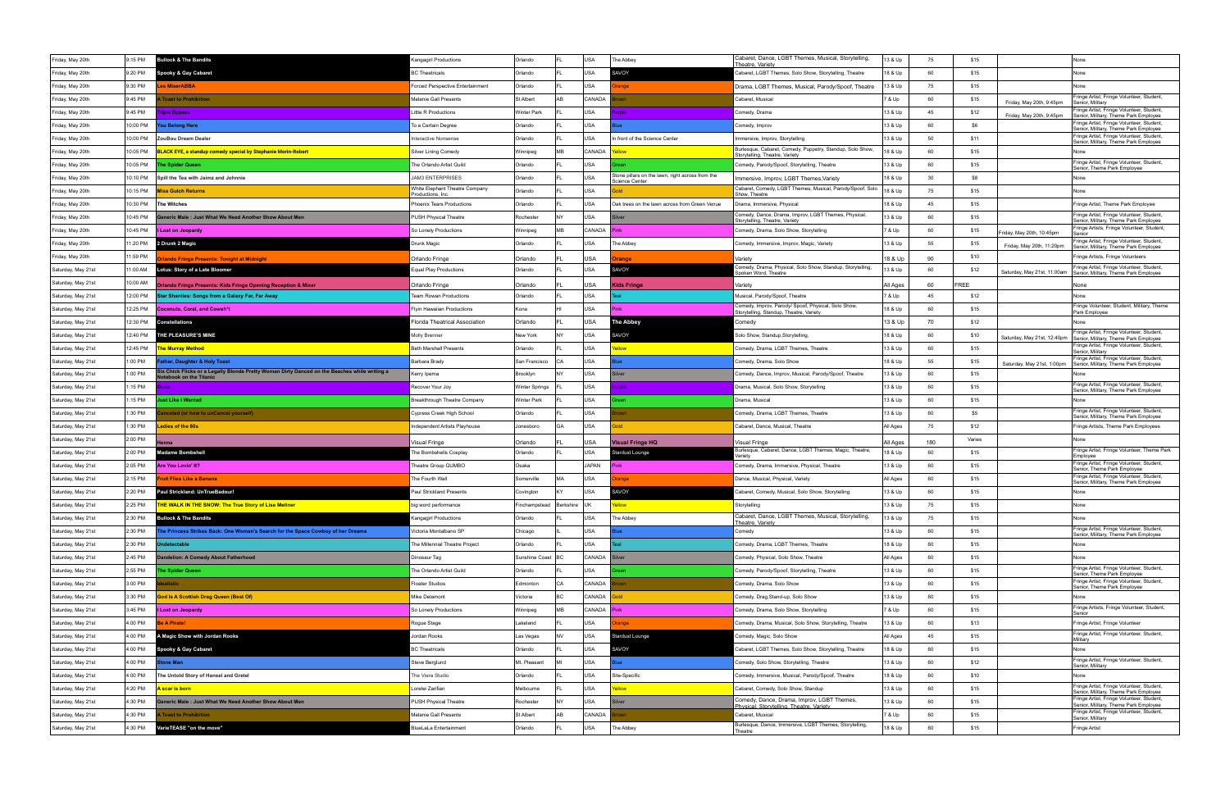| Friday, May 20th   | 9:15 PM  | <b>Bullock &amp; The Bandits</b>                                                                                      | <angagirl productions<="" th=""><th>Orlando</th><th></th><th>USA</th><th>The Abbey</th><th>Cabaret, Dance, LGBT Themes, Musical, Storytelling,</th><th>13 &amp; Up</th><th>75</th><th>\$15</th><th></th><th>None</th></angagirl> | Orlando           |                      | USA        | The Abbey                                                                 | Cabaret, Dance, LGBT Themes, Musical, Storytelling,                                            | 13 & Up  | 75  | \$15   |                             | None                                                                                                              |
|--------------------|----------|-----------------------------------------------------------------------------------------------------------------------|----------------------------------------------------------------------------------------------------------------------------------------------------------------------------------------------------------------------------------|-------------------|----------------------|------------|---------------------------------------------------------------------------|------------------------------------------------------------------------------------------------|----------|-----|--------|-----------------------------|-------------------------------------------------------------------------------------------------------------------|
| Friday, May 20th   | 9:20 PM  | Spooky & Gay Cabaret                                                                                                  | <b>3C Theatricals</b>                                                                                                                                                                                                            | Orlando           |                      | <b>USA</b> | SAVOY                                                                     | <u> Theatre. Varietv</u><br>Cabaret, LGBT Themes, Solo Show, Storytelling, Theatre             | 18 & Up  | 60  | \$15   |                             | None                                                                                                              |
| Friday, May 20th   | 9:30 PM  | <b>es MiserABBA</b>                                                                                                   | <b>Forced Perspective Entertainment</b>                                                                                                                                                                                          | Orlando           |                      | USA        | ange                                                                      | Drama, LGBT Themes, Musical, Parody/Spoof, Theatre                                             | 13 & Up  | 75  | \$15   |                             | None                                                                                                              |
| Friday, May 20th   | 9:45 PM  | <b>Toast to Prohibition</b>                                                                                           | Melanie Gall Presents                                                                                                                                                                                                            | St Albert         |                      | CANADA     |                                                                           | Cabaret, Musica                                                                                | 7 & Up   | 60  | \$15   | Friday, May 20th, 9:45pm    | Fringe Artist, Fringe Volunteer, Student,<br>Senior, Military                                                     |
| Friday, May 20th   | 9:45 PM  | riple Bypass                                                                                                          | ittle R Productions                                                                                                                                                                                                              | Winter Park       |                      | USA        | role                                                                      | Comedy, Drama                                                                                  | 13 & Up  | 45  | \$12   | Friday, May 20th, 9:45pm    | ringe Artist, Fringe Volunteer, Student,<br>Senior, Military, Theme Park Employee                                 |
| Friday, May 20th   | 10:00 PM | ou Belong Here                                                                                                        | To a Certain Degree                                                                                                                                                                                                              | Orlando           |                      | USA        |                                                                           | Comedy, Improv                                                                                 | 13 & Up  | 60  | \$6    |                             | Fringe Artist, Fringe Volunteer, Student,<br>Senior, Military, Theme Park Employee                                |
| Friday, May 20th   | 10:00 PM | ZouBou Dream Dealer                                                                                                   | nteractive Nonsense                                                                                                                                                                                                              | Orlando           |                      | <b>USA</b> | n front of the Science Center                                             | Immersive, Improv, Storytelling                                                                | 13 & Up  | 50  | \$11   |                             | Fringe Artist, Fringe Volunteer, Student,<br>Senior, Military, Theme Park Employee                                |
| Friday, May 20th   | 10:05 PM | LACK EYE, a standup comedy special by Stephanie Morin-Robert                                                          | Silver Lining Comedy                                                                                                                                                                                                             | Winnipeg          | <b>M<sub>R</sub></b> | CANADA     |                                                                           | Burlesque, Cabaret, Comedy, Puppetry, Standup, Solo Show,<br>Storytelling, Theatre, Variety    | 18 & Up  | 60  | \$15   |                             | None                                                                                                              |
| Friday, May 20th   | 10:05 PM | he Spider Queen                                                                                                       | The Orlando Artist Guild                                                                                                                                                                                                         | Orlando           |                      | USA        |                                                                           | Comedy, Parody/Spoof, Storytelling, Theatre                                                    | 13 & Up  | 60  | \$15   |                             | Fringe Artist, Fringe Volunteer, Student<br>Senior, Theme Park Employee                                           |
| Friday, May 20th   | 10:10 PM | Spill the Tea with Jaimz and Johnnie                                                                                  | <b>JAM3 ENTERPRISES</b>                                                                                                                                                                                                          | Orlando           |                      | USA        | Stone pillars on the lawn, right across from the<br><b>Science Center</b> | Immersive, Improv, LGBT Themes, Variety                                                        | 18 & Up  | 30  | \$8    |                             | None                                                                                                              |
| Friday, May 20th   | 10:15 PM | <u> Miss Gulch Returns</u>                                                                                            | White Elephant Theatre Company<br>Productions, Inc.                                                                                                                                                                              | Orlando           |                      | USA        |                                                                           | Cabaret, Comedy, LGBT Themes, Musical, Parody/Spoof, Solo<br>Show, Theatre                     | 18 & Up  | 75  | \$15   |                             | None                                                                                                              |
| Friday, May 20th   | 10:30 PM | The Witches                                                                                                           | Phoenix Tears Productions                                                                                                                                                                                                        | Orlando           |                      | USA        | Oak trees on the lawn across from Green Venue                             | Drama, Immersive, Physical                                                                     | 18 & Up  | 45  | \$15   |                             | Fringe Artist, Theme Park Employee                                                                                |
| Friday, May 20th   | 10:45 PM | eneric Male : Just What We Need Another Show About Men                                                                | <b>PUSH Physical Theatre</b>                                                                                                                                                                                                     | Rochester         |                      | USA        |                                                                           | Comedy, Dance, Drama, Improv, LGBT Themes, Physical,<br>Storytelling, Theatre, Variety         | 13 & Up  | 60  | \$15   |                             | Fringe Artist, Fringe Volunteer, Student<br>Senior, Military, Theme Park Employee                                 |
| Friday, May 20th   | 10:45 PM | I Lost on Jeopardy                                                                                                    | So Lonely Productions                                                                                                                                                                                                            | Winnipeg          | MR                   | CANADA     | Pink                                                                      | Comedy, Drama, Solo Show, Storytelling                                                         | 7 & Up   | 60  | \$15   | Friday, May 20th, 10:45pm   | Fringe Artists, Fringe Volunteer, Student,                                                                        |
| Friday, May 20th   | 11:20 PM | 2 Drunk 2 Magic                                                                                                       | Drunk Magic                                                                                                                                                                                                                      | Orlando           |                      | USA        | The Abbey                                                                 | Comedy, Immersive, Improv, Magic, Variety                                                      | 13 & Up  | 55  | \$15   | Friday, May 20th, 11:20pm   | Fringe Artist, Fringe Volunteer, Student<br>Senior, Military, Theme Park Employee                                 |
| Friday, May 20th   | 11:59 PM | <b>Iando Fringe Presents: Tonight at Midnight</b>                                                                     | Orlando Fringe                                                                                                                                                                                                                   | Orlando           |                      | USA        | anae                                                                      | Variety                                                                                        | 18 & Up  | 90  | \$10   |                             | Fringe Artists, Fringe Volunteers                                                                                 |
| Saturday, May 21st | 11:00 AM | otus: Story of a Late Bloomer                                                                                         | <b>Equal Play Productions</b>                                                                                                                                                                                                    | Orlando           |                      | <b>USA</b> | <b>SAVOY</b>                                                              | Comedy, Drama, Physical, Solo Show, Standup, Storytelling,<br>poken Word, Theatre              | 3 & Up   | 60  | \$12   | Saturday, May 21st, 11:00am | Fringe Artist, Fringe Volunteer, Student,<br>Senior, Military, Theme Park Employee                                |
| Saturday, May 21st | 10:00 AM | rlando Fringe Presents: Kids Fringe Opening Reception & Mixer                                                         | Orlando Fringe                                                                                                                                                                                                                   | Orlando           |                      | USA        | Kids Fringe                                                               | Variety                                                                                        | All Ages | 60  | FREE   |                             | None                                                                                                              |
| Saturday, May 21st | 12:00 PM | Star Shanties: Songs from a Galaxy Far, Far Away                                                                      | <b>Team Rowan Productions</b>                                                                                                                                                                                                    | Orlando           |                      | <b>USA</b> |                                                                           | Musical, Parody/Spoof, Theatre                                                                 | 7 & Up   | 45  | \$12   |                             | None                                                                                                              |
| Saturday, May 21st | 12:25 PM | <b>Coconuts, Coral, and Cowsh*t</b>                                                                                   | <b>Flyin Hawaiian Productions</b>                                                                                                                                                                                                | Kona              |                      | USA        | 'inl                                                                      | Comedy, Improv, Parody/ Spoof, Physical, Solo Show,<br>Storytelling, Standup, Theatre, Variety | 18 & Up  | 60  | \$15   |                             | Fringe Volunteer, Student, Military, Theme<br>Park Employee                                                       |
| Saturday, May 21st | 12:30 PM | Constellations                                                                                                        | Florida Theatrical Association                                                                                                                                                                                                   | Orlando           |                      | USA        | <b>The Abbey</b>                                                          | Comedy                                                                                         | 13 & Up  | 70  | \$12   |                             |                                                                                                                   |
| Saturday, May 21st | 12:40 PM | <b>HE PLEASURE'S MINE</b>                                                                                             | Molly Brenner                                                                                                                                                                                                                    | New York          |                      | <b>USA</b> | AVOY                                                                      | iolo Show, Standup,Storytelling,                                                               | 18 & Up  | 60  | \$10   |                             | Fringe Artist, Fringe Volunteer, Student,<br>Saturday, May 21st, 12:40pm   Senior, Military, Theme Park Employee  |
| Saturday, May 21st | 12:45 PM | <b>he Murray Method</b>                                                                                               | <b>Beth Marshall Presents</b>                                                                                                                                                                                                    | Orlando           |                      | <b>USA</b> |                                                                           | Comedy, Drama, LGBT Themes, Theatre                                                            | 13 & Up  | 60  | \$15   |                             | Fringe Artist, Fringe Volunteer, Student<br>Senior, Military                                                      |
| Saturday, May 21st | 1:00 PM  | ather, Daughter & Holy Toast                                                                                          | Barbara Brady                                                                                                                                                                                                                    | San Francisco     | CA                   | USA        |                                                                           | Comedy, Drama, Solo Show                                                                       | 18 & Up  | 55  | \$15   | Saturday, May 21st, 1:00pm  | Fringe Artist, Fringe Volunteer, Student,<br>Senior, Military, Theme Park Employee                                |
| Saturday, May 21st | 1:00 PM  | Six Chick Flicks or a Legally Blonde Pretty Woman Dirty Danced on the Beaches while writing a<br>ebook on the Titanic | Kerry Ipema                                                                                                                                                                                                                      | Brooklyn          |                      | USA        |                                                                           | Comedy, Dance, Improv, Musical, Parody/Spoof, Theatre                                          | 13 & Up  | 60  | \$15   |                             |                                                                                                                   |
| Saturday, May 21st | 1:15 PM  | Gone                                                                                                                  | Recover Your Joy                                                                                                                                                                                                                 | Winter Springs    |                      | USA        |                                                                           | Drama, Musical, Solo Show, Storytelling                                                        | 13 & Up  | 60  | \$15   |                             | Fringe Artist, Fringe Volunteer, Student<br>Senior, Military, Theme Park Employee                                 |
| Saturday, May 21st | 1:15 PM  | ust Like I Wanted                                                                                                     | Breakthrough Theatre Company                                                                                                                                                                                                     | Winter Park       |                      | USA        |                                                                           | Drama, Musical                                                                                 | 13 & Up  | 60  | \$15   |                             |                                                                                                                   |
| Saturday, May 21st | 1:30 PM  | inceled (or how to unCancel yourself)                                                                                 | Cypress Creek High School                                                                                                                                                                                                        | Orlando           |                      | USA        |                                                                           | Comedy, Drama, LGBT Themes, Theatre                                                            | 13 & Up  | 60  | \$5    |                             | Fringe Artist, Fringe Volunteer, Student,                                                                         |
| Saturday, May 21st | 1:30 PM  | adies of the 80s                                                                                                      | Independent Artists Playhouse                                                                                                                                                                                                    | Jonesboro         | GA                   | USA        |                                                                           | Cabaret, Dance, Musical, Theatre                                                               | All Ages | 75  | \$12   |                             | Senior, Military, Theme Park Employee<br>Fringe Artists, Theme Park Employees                                     |
| Saturday, May 21st | 2:00 PM  |                                                                                                                       | Visual Fringe                                                                                                                                                                                                                    | Orlando           |                      | USA        | <b>Visual Fringe HQ</b>                                                   | /isual Fringe                                                                                  | All Ages | 180 | Varies |                             | None                                                                                                              |
| Saturday, May 21st | 2:00 PM  | Madame Bombshell                                                                                                      | The Bombshells Cosplay                                                                                                                                                                                                           | Orlando           |                      | USA        | Stardust Lounge                                                           | Burlesque, Cabaret, Dance, LGBT Themes, Magic, Theatre,                                        | 18 & Up  | 60  | \$15   |                             | Fringe Artist, Fringe Volunteer, Theme Park                                                                       |
| Saturday, May 21st | 2:05 PM  | Are You Lovin' It?                                                                                                    | Theatre Group GUMBO                                                                                                                                                                                                              | Osaka             |                      | JAPAN      |                                                                           | Comedy, Drama, Immersive, Physical, Theatre                                                    | 13 & Up  | 60  | \$15   |                             | Employee<br>Fringe Artist, Fringe Volunteer, Student,                                                             |
| Saturday, May 21st | 2:15 PM  | uit Flies Like a Banana                                                                                               | The Fourth Wall                                                                                                                                                                                                                  | Somerville        |                      | <b>USA</b> |                                                                           | Dance, Musical, Physical, Variety                                                              | All Ages | 60  | \$15   |                             | Senior, Theme Park Employee<br>Fringe Artist, Fringe Volunteer, Student,<br>Senior, Military, Theme Park Employee |
| Saturday, May 21st | 2:20 PM  | Paul Strickland: UnTrueBadour!                                                                                        | Paul Strickland Presents                                                                                                                                                                                                         | Covington         |                      | USA        | SAVOY                                                                     | Cabaret, Comedy, Musical, Solo Show, Storytelling                                              | 13 & Up  | 60  | \$15   |                             | None                                                                                                              |
| Saturday, May 21st | 2:25 PM  | <u> HE WALK IN THE SNOW: The True Story of Lise Meitner</u>                                                           | big word performance                                                                                                                                                                                                             | Finchampstead     | Berkshire            |            |                                                                           | Storytelling                                                                                   | 13 & Up  | 75  | \$15   |                             | None                                                                                                              |
| Saturday, May 21st | 2:30 PM  | <b>Bullock &amp; The Bandits</b>                                                                                      | Kangagirl Productions                                                                                                                                                                                                            | Orlando           |                      | USA        | The Abbey                                                                 | Cabaret, Dance, LGBT Themes, Musical, Storytelling,                                            | 13 & Up  | 75  | \$15   |                             | None                                                                                                              |
| Saturday, May 21st | 2:30 PM  | he Princess Strikes Back: One Woman's Search for the Space Cowboy of her Dreams                                       | Victoria Montalbano SP                                                                                                                                                                                                           | Chicago           |                      | USA        |                                                                           | Theatre, Variety<br>Comedy                                                                     | 13 & Up  | 60  | \$15   |                             | Fringe Artist, Fringe Volunteer, Student,<br>Senior, Military, Theme Park Employee                                |
| Saturday, May 21st | 2:30 PM  | ndetectable                                                                                                           | The Millennial Theatre Project                                                                                                                                                                                                   | Orlando           |                      | USA        |                                                                           | Comedy, Drama, LGBT Themes, Theatre                                                            | 18 & Up  | 60  | \$15   |                             | None                                                                                                              |
| Saturday, May 21st | 2:45 PM  | andelion: A Comedy About Fatherhood                                                                                   | Dinosaur Tag                                                                                                                                                                                                                     | Sunshine Coast BC |                      | CANADA     | ilver                                                                     | Comedy, Physical, Solo Show, Theatre                                                           | All Ages | 60  | \$15   |                             | None                                                                                                              |
| Saturday, May 21st | 2:55 PM  | he Spider Queen                                                                                                       | The Orlando Artist Guild                                                                                                                                                                                                         | Orlando           |                      | USA        |                                                                           | Comedy, Parody/Spoof, Storytelling, Theatre                                                    | 13 & Up  | 60  | \$15   |                             | Fringe Artist, Fringe Volunteer, Student,                                                                         |
| Saturday, May 21st | 3:00 PM  | alistic                                                                                                               | <b>Floater Studios</b>                                                                                                                                                                                                           | Edmonton          |                      | CANADA     |                                                                           | Comedy, Drama, Solo Show                                                                       | 13 & Up  | 60  | \$15   |                             | Senior, Theme Park Employee<br>Fringe Artist, Fringe Volunteer, Student,<br>Senior, Theme Park Employee           |
| Saturday, May 21st | 3:30 PM  | od Is A Scottish Drag Queen (Best Of)                                                                                 | Mike Delamont                                                                                                                                                                                                                    | Victoria          |                      | CANADA     |                                                                           | Comedy, Drag, Stand-up, Solo Show                                                              | 13 & Up  | 60  | \$15   |                             | None                                                                                                              |
| Saturday, May 21st | 3:45 PM  | Lost on Jeopardy                                                                                                      | So Lonely Productions                                                                                                                                                                                                            | Winnipeg          | <b>MB</b>            | CANADA     |                                                                           | Comedy, Drama, Solo Show, Storytelling                                                         | 7 & Up   | 60  | \$15   |                             | Fringe Artists, Fringe Volunteer, Student,                                                                        |
| Saturday, May 21st | 4:00 PM  | e A Pirate!                                                                                                           | Rogue Stage                                                                                                                                                                                                                      | Lakeland          |                      | USA        | inae                                                                      | Comedy, Drama, Musical, Solo Show, Storytelling, Theatre                                       | 13 & Up  | 60  | \$13   |                             | Senior<br>Fringe Artist, Fringe Volunteer                                                                         |
| Saturday, May 21st | 4:00 PM  | A Magic Show with Jordan Rooks                                                                                        | Jordan Rooks                                                                                                                                                                                                                     | Las Vegas         |                      | USA        | Stardust Lounge                                                           | Comedy, Magic, Solo Show                                                                       | All Ages | 45  | \$15   |                             | Fringe Artist, Fringe Volunteer, Student,                                                                         |
| Saturday, May 21st | 4:00 PM  | Spooky & Gay Cabaret                                                                                                  | <b>3C Theatricals</b>                                                                                                                                                                                                            | Orlando           |                      | USA        | SAVOY                                                                     | Cabaret, LGBT Themes, Solo Show, Storytelling, Theatre                                         | 18 & Up  | 60  | \$15   |                             | Military<br>None                                                                                                  |
| Saturday, May 21st | 4:00 PM  | tone Man                                                                                                              | Steve Berglund                                                                                                                                                                                                                   | Mt. Pleasant      |                      | USA        |                                                                           | Comedy, Solo Show, Storytelling, Theatre                                                       | 13 & Up  | 60  | \$12   |                             | Fringe Artist, Fringe Volunteer, Student,                                                                         |
| Saturday, May 21st | 4:00 PM  | The Untold Story of Hansel and Gretel                                                                                 | The Viera Studio                                                                                                                                                                                                                 | Orlando           |                      | <b>USA</b> | Site-Specific                                                             | Comedy, Immersive, Musical, Parody/Spoof, Theatre                                              | 18 & Up  | 60  | \$10   |                             | Senior, Military<br>None                                                                                          |
| Saturday, May 21st | 4:20 PM  | scar is born                                                                                                          | Lorelei Zarifian                                                                                                                                                                                                                 | Melbourne         |                      | <b>USA</b> |                                                                           | Cabaret, Comedy, Solo Show, Standup                                                            | 13 & Up  | 60  | \$15   |                             | Fringe Artist, Fringe Volunteer, Student,<br>Senior, Military, Theme Park Employee                                |
| Saturday, May 21st | 4:30 PM  | eneric Male: Just What We Need Another Show About Men                                                                 | PUSH Physical Theatre                                                                                                                                                                                                            | Rochester         |                      | USA        | ver                                                                       | Comedy, Dance, Drama, Improv, LGBT Themes,                                                     | 13 & Up  | 60  | \$15   |                             | Fringe Artist, Fringe Volunteer, Student,<br>Senior, Military, Theme Park Employee                                |
| Saturday, May 21st | 4:30 PM  | <b>Toast to Prohibition</b>                                                                                           | Melanie Gall Presents                                                                                                                                                                                                            | St Albert         | AB                   | CANADA     |                                                                           | Physical, Storytelling, Theatre, Variety<br>Cabaret, Musical                                   | 7 & Up   | 60  | \$15   |                             | Fringe Artist, Fringe Volunteer, Student,                                                                         |
| Saturday, May 21st | 4:30 PM  | VarieTEASE "on the move"                                                                                              | <b>BlueLaLa Entertainment</b>                                                                                                                                                                                                    | Orlando           |                      | USA        | The Abbey                                                                 | Burlesque, Dance, Immersive, LGBT Themes, Storytelling,                                        | 18 & Up  | 60  | \$15   |                             | Senior, Military<br>Fringe Artist                                                                                 |
|                    |          |                                                                                                                       |                                                                                                                                                                                                                                  |                   |                      |            |                                                                           | Theatre                                                                                        |          |     |        |                             |                                                                                                                   |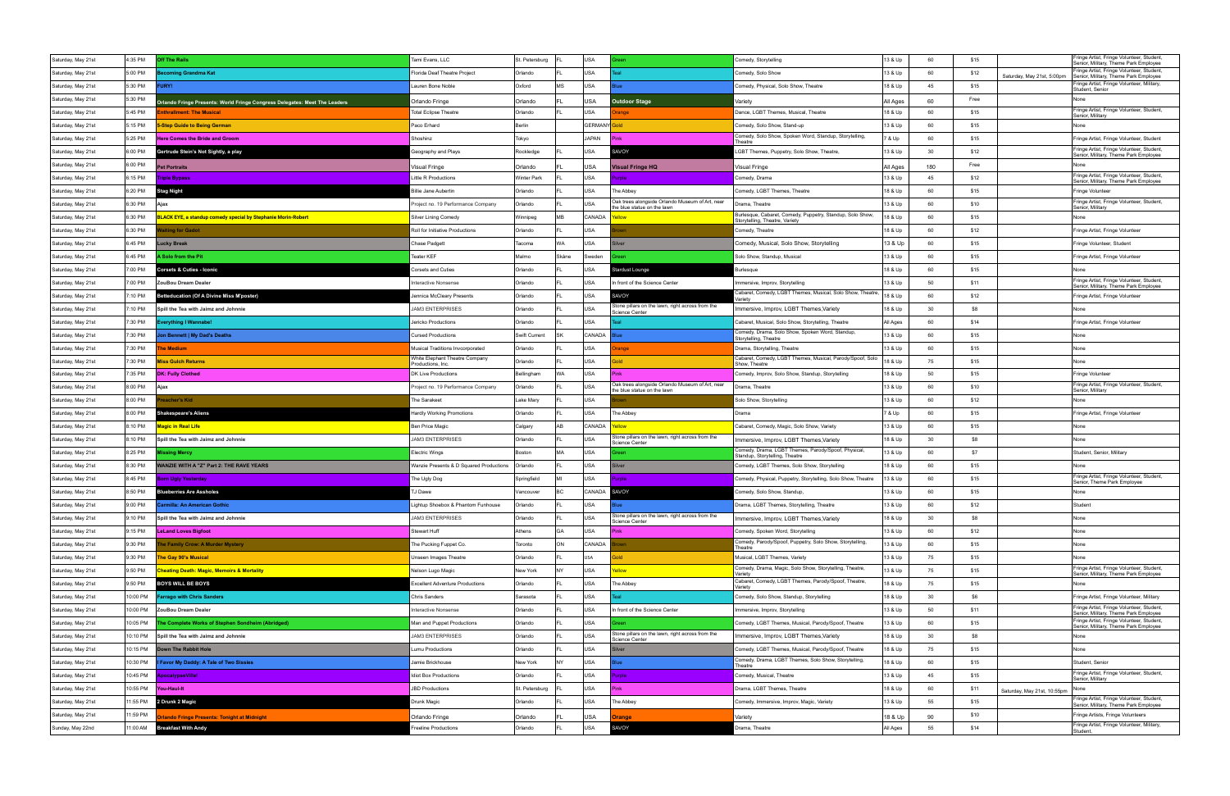| Saturday, May 21st                       | 1:35 PM             | Off The Rails                                                                                          | Tami Evans, LLC                         | St. Petersburg         |       | USA                 |                                                                           | Comedy, Storytelling                                                                          | 13 & Up             | 60        | \$15                                | Fringe Artist, Fringe Volunteer, Student<br>Senior, Military, Theme Park Employee  |
|------------------------------------------|---------------------|--------------------------------------------------------------------------------------------------------|-----------------------------------------|------------------------|-------|---------------------|---------------------------------------------------------------------------|-----------------------------------------------------------------------------------------------|---------------------|-----------|-------------------------------------|------------------------------------------------------------------------------------|
| Saturday, May 21st                       | 5:00 PM             | <b>oming Grandma Kat</b>                                                                               | Florida Deaf Theatre Project            | Orlando                |       | USA                 |                                                                           | Comedy, Solo Show                                                                             | 13 & Up             | 60        | \$12<br>Saturday, May 21st, 5:00pm  | Fringe Artist, Fringe Volunteer, Student<br>Senior, Military, Theme Park Employee  |
| Saturday, May 21st                       | 5:30 PM             | JRY!                                                                                                   | Lauren Bone Noble                       | Oxford                 | MS    | USA                 |                                                                           | Comedy, Physical, Solo Show, Theatre                                                          | 18 & Up             | 45        | \$15                                | Fringe Artist, Fringe Volunteer, Military,                                         |
| Saturday, May 21st                       | 5:30 PM             |                                                                                                        | Orlando Fringe                          | Orlando                |       | USA                 | <b>Outdoor Stage</b>                                                      | /ariety                                                                                       | All Ages            | 60        | Free                                | Student, Senior<br>None                                                            |
| Saturday, May 21st                       | 5:45 PM             | Orlando Fringe Presents: World Fringe Congress Delegates: Meet The Leaders<br>nthrallment: The Musical | <b>Total Eclipse Theatre</b>            | Orlando                |       | USA                 | ange                                                                      | Dance, LGBT Themes, Musical, Theatre                                                          | 18 & Up             | 60        | \$15                                | Fringe Artist, Fringe Volunteer, Student                                           |
| Saturday, May 21st                       | 5:15 PM             | -Step Guide to Being German                                                                            | Paco Erhard                             | Berlin                 |       | <b>GERMANY</b> Gold |                                                                           | Comedy, Solo Show, Stand-up                                                                   | 13 & Up             | 60        | \$15                                | Senior, Military<br>None                                                           |
| Saturday, May 21st                       | 5:25 PM             | <b>Here Comes the Bride and Groom</b>                                                                  | Shoshinz                                | Tokyo                  |       | JAPAN               |                                                                           | Comedy, Solo Show, Spoken Word, Standup, Storytelling,                                        | 7 & Up              | 60        | \$15                                | Fringe Artist, Fringe Volunteer, Student                                           |
| Saturday, May 21st                       | 6:00 PM             | Gertrude Stein's Not Sightly, a play                                                                   | Geography and Plays                     | Rockledge              |       | USA                 | AVOY                                                                      | Theatre<br>GBT Themes, Puppetry, Solo Show, Theatre                                           | 13 & Up             | 30        | \$12                                | Fringe Artist, Fringe Volunteer, Student,                                          |
| Saturday, May 21st                       | 6:00 PM             |                                                                                                        |                                         |                        |       |                     |                                                                           |                                                                                               |                     |           | Free                                | Senior, Military, Theme Park Employee                                              |
| Saturday, May 21st                       | 6:15 PM             | et Portraits<br>Triple Bypass                                                                          | /isual Fringe<br>ittle R Productions    | Orlando<br>Winter Park |       | USA<br>USA          | Visual Fringe HQ<br>rple                                                  | /isual Fringe<br>Comedy, Drama                                                                | All Ages<br>13 & Up | 180<br>45 | \$12                                | Fringe Artist, Fringe Volunteer, Student                                           |
| Saturday, May 21st                       | 6:20 PM             | Stag Night                                                                                             | Billie Jane Aubertin                    | Orlando                |       | USA                 | The Abbey                                                                 | Comedy, LGBT Themes, Theatre                                                                  | 18 & Up             | 60        | \$15                                | Senior, Military, Theme Park Employee<br>Fringe Volunteer                          |
| Saturday, May 21st                       | 6:30 PM             | Ajax                                                                                                   | roject no. 19 Performance Company       | Orlando                |       | USA                 | Oak trees alongside Orlando Museum of Art, near                           | Drama, Theatre                                                                                | 13 & Up             | 60        | \$10                                | Fringe Artist, Fringe Volunteer, Student,                                          |
| Saturday, May 21st                       | 6:30 PM             | LACK EYE, a standup comedy special by Stephanie Morin-Robert                                           | Silver Lining Comedy                    | Winnipeg               | MB.   | CANADA              | the blue statue on the lawn                                               | Burlesque, Cabaret, Comedy, Puppetry, Standup, Solo Show,                                     | 18 & Up             | 60        | \$15                                | Senior, Military<br>None                                                           |
| Saturday, May 21st                       | 6:30 PM             | iting for Gadot                                                                                        | Roll for Initiative Productions         | Orlando                |       | USA                 |                                                                           | Storytelling, Theatre, Variety<br>Comedy, Theatre                                             | 18 & Up             | 60        | \$12                                | Fringe Artist, Fringe Volunteer                                                    |
| Saturday, May 21st                       | 6:45 PM             | Lucky Break                                                                                            | Chase Padgett                           | Tacoma                 | WA.   | USA                 | ilver                                                                     | Comedy, Musical, Solo Show, Storytelling                                                      | 13 & Up             | 60        | \$15                                | Fringe Volunteer, Student                                                          |
| Saturday, May 21st                       | 6:45 PM             | ، Solo from the Pit                                                                                    | Teater KEF                              | Malmo                  | Skåne | Sweden              |                                                                           | Solo Show, Standup, Musical                                                                   | 13 & Up             | 60        | \$15                                | Fringe Artist, Fringe Volunteer                                                    |
| Saturday, May 21st                       | 7:00 PM             | <b>Corsets &amp; Cuties - Iconic</b>                                                                   | Corsets and Cuties                      | Orlando                |       | USA                 | Stardust Lounge                                                           | lurlesque                                                                                     | 18 & Up             | 60        | \$15                                | None                                                                               |
| Saturday, May 21st                       | 7:00 PM             | ZouBou Dream Dealer                                                                                    | nteractive Nonsense                     | Orlando                |       | <b>USA</b>          | In front of the Science Center                                            | Immersive, Improv, Storytelling                                                               | 13 & Up             | 50        | \$11                                | Fringe Artist, Fringe Volunteer, Student,                                          |
| Saturday, May 21st                       | 7:10 PM             | <b>Betteducation (Of A Divine Miss M'poster)</b>                                                       | Jennica McCleary Presents               | Orlando                |       | USA                 | <b>SAVOY</b>                                                              | Cabaret, Comedy, LGBT Themes, Musical, Solo Show, Theatre,                                    | 18 & Up             | 60        | \$12                                | Senior, Military, Theme Park Employee<br>Fringe Artist, Fringe Volunteer           |
| Saturday, May 21st                       | 7:10 PM             | Spill the Tea with Jaimz and Johnnie                                                                   | <b>JAM3 ENTERPRISES</b>                 | Orlando                |       | USA                 | Stone pillars on the lawn, right across from the                          |                                                                                               | 18 & Up             | 30        | \$8                                 |                                                                                    |
|                                          | 7:30 PM             |                                                                                                        | Jericko Productions                     | Orlando                |       | USA                 | Science Center                                                            | Immersive, Improv, LGBT Themes, Variety<br>Cabaret, Musical, Solo Show, Storytelling, Theatre | All Ages            | 60        | \$14                                |                                                                                    |
| Saturday, May 21st<br>Saturday, May 21st | 7:30 PM             | verything I Wannabe!<br>on Bennett   My Dad's Deaths                                                   | Cursed Productions                      | Swift Current          | SK    | CANADA              |                                                                           | Comedy, Drama, Solo Show, Spoken Word, Standup,                                               | 13 & Up             | 60        | \$15                                | Fringe Artist, Fringe Volunteer<br>None                                            |
| Saturday, May 21st                       | 7:30 PM             | he Medium                                                                                              | Musical Traditions Invcorporated        | Orlando                |       | USA                 | ange                                                                      | Storytelling, Theatre                                                                         | 13 & Up             | 60        | \$15                                | None                                                                               |
| Saturday, May 21st                       | 7:30 PM             | liss Gulch Returns                                                                                     | White Elephant Theatre Company          | Orlando                |       | USA                 |                                                                           | Drama, Storytelling, Theatre<br>Cabaret, Comedy, LGBT Themes, Musical, Parody/Spoof, Solo     | 18 & Up             | 75        | \$15                                | None                                                                               |
|                                          |                     |                                                                                                        | Productions, Inc                        |                        | WA    | USA                 |                                                                           | Show, Theatre                                                                                 |                     | 50        |                                     |                                                                                    |
| Saturday, May 21st                       | 7:35 PM             | <b>DK: Fully Clothed</b><br>Aiax                                                                       | DK Live Productions                     | Bellingham             |       |                     | Oak trees alongside Orlando Museum of Art, near                           | Comedy, Improv, Solo Show, Standup, Storytelling                                              | 18 & Up             | 60        | \$15                                | Fringe Volunteer<br>Fringe Artist, Fringe Volunteer, Student,                      |
| Saturday, May 21st                       | 8:00 PM             |                                                                                                        | Project no. 19 Performance Company      | Orlando                |       | USA                 | the blue statue on the lawn                                               | Drama, Theatre                                                                                | 13 & Up             |           | \$10                                | Senior, Military                                                                   |
| Saturday, May 21st                       | 8:00 PM             | acher's Kid                                                                                            | The Sarakeet                            | Lake Mary              |       | USA                 |                                                                           | Solo Show, Storytelling                                                                       | 13 & Up             | 60        | \$12                                | None                                                                               |
| Saturday, May 21st                       |                     |                                                                                                        |                                         |                        |       |                     |                                                                           |                                                                                               |                     |           |                                     |                                                                                    |
|                                          | 8:00 PM             | <b>Shakespeare's Aliens</b>                                                                            | Hardly Working Promotions               | Orlando                |       | USA                 | The Abbey                                                                 | Drama                                                                                         | 7 & Up              | 60        | \$15                                | Fringe Artist, Fringe Volunteer                                                    |
| Saturday, May 21st                       | 8:10 PM             | <mark>Magic in Real Life</mark>                                                                        | Ben Price Magic                         | Calgary                | AB    | CANADA              |                                                                           | Cabaret, Comedy, Magic, Solo Show, Variety                                                    | 13 & Up             | 60        | \$15                                | None                                                                               |
| Saturday, May 21st                       | 3:10 PM             | Spill the Tea with Jaimz and Johnnie                                                                   | <b>JAM3 ENTERPRISES</b>                 | Orlando                |       | <b>USA</b>          | Stone pillars on the lawn, right across from the<br>Science Center        | Immersive, Improv, LGBT Themes, Variety                                                       | 18 & Up             | 30        | \$8                                 | None                                                                               |
| Saturday, May 21st                       | 8:25 PM             | ssing Mercy                                                                                            | <b>Electric Wings</b>                   | Boston                 | MA.   | USA                 |                                                                           | Comedy, Drama, LGBT Themes, Parody/Spoof, Physical,<br>Standup, Storytelling, Theatre         | 13 & Up             | 60        | \$7                                 | Student, Senior, Military                                                          |
| Saturday, May 21st                       | 8:30 PM             | VANZIE WITH A "Z" Part 2: THE RAVE YEARS                                                               | Wanzie Presents & D Squared Productions | Orlando                |       | USA                 | Iver                                                                      | Comedy, LGBT Themes, Solo Show, Storytelling                                                  | 18 & Up             | 60        | \$15                                |                                                                                    |
| Saturday, May 21st                       | 8:45 PM             | Born Ugly Yesterday                                                                                    | The Ugly Dog                            | Springfield            |       | USA                 | imle                                                                      | Comedy, Physical, Puppetry, Storytelling, Solo Show, Theatre                                  | 13 & Up             | 60        | \$15                                | Fringe Artist, Fringe Volunteer, Student,<br>Senior, Theme Park Employee           |
| Saturday, May 21st                       | 8:50 PM             | <b>Blueberries Are Assholes</b>                                                                        | J Dawe                                  | Vancouver              |       | CANADA              | SAVOY                                                                     | Comedy, Solo Show, Standup                                                                    | 13 & Up             | 60        | \$15                                | None                                                                               |
| Saturday, May 21st                       | 9:00 PM             | Carmilla: An American Gothic                                                                           | ightup Shoebox & Phantom Funhouse       | Orlando                |       | USA                 |                                                                           | Drama, LGBT Themes, Storytelling, Theatre                                                     | 13 & Up             | 60        | \$12                                | Student                                                                            |
| Saturday, May 21st                       | 9:10 PM             | Spill the Tea with Jaimz and Johnnie                                                                   | <b>JAM3 ENTERPRISES</b>                 | Orlando                |       | <b>USA</b>          | Stone pillars on the lawn, right across from the<br>Science Center        | Immersive, Improv, LGBT Themes, Variety                                                       | 18 & Up             | 30        | \$8                                 | None                                                                               |
| Saturday, May 21st                       | 9:15 PM             | <b>LeLand Loves Bigfoot</b>                                                                            | Stewart Huff                            | Athens                 | GA    | USA                 |                                                                           | Comedy, Spoken Word, Storytelling                                                             | 13 & Up             | 60        | \$12                                | None                                                                               |
| Saturday, May 21st                       | 9:30 PM             | e Family Crow: A Murder Mystery                                                                        | The Pucking Fuppet Co.                  | Toronto                | ON    | CANADA              |                                                                           | Comedy, Parody/Spoof, Puppetry, Solo Show, Storytelling,<br>Theatre                           | 13 & Up             | 60        | \$15                                | None                                                                               |
| Saturday, May 21st                       | 9:30 PM             | he Gay 90's Musical                                                                                    | Unseen Images Theatre                   | Orlando                |       | USA                 |                                                                           | Musical, LGBT Themes, Variety                                                                 | 13 & Up             | 75        | \$15                                | None                                                                               |
| Saturday, May 21st                       | 9:50 PM             | <b>heating Death: Magic, Memoirs &amp; Mortality</b>                                                   | Nelson Lugo Magic                       | New York               | l NY  | USA                 | ellow                                                                     | Comedy, Drama, Magic, Solo Show, Storytelling, Theatre,<br>Variety                            | 13 & Up             | 75        | \$15                                | Fringe Artist, Fringe Volunteer, Student,<br>Senior, Military, Theme Park Employee |
| Saturday, May 21st                       | 9:50 PM             | <b>BOYS WILL BE BOYS</b>                                                                               | <b>Excellent Adventure Productions</b>  | Orlando                |       | USA                 | The Abbey                                                                 | Cabaret, Comedy, LGBT Themes, Parody/Spoof, Theatre,<br>Variety                               | 18 & Up             | 75        | \$15                                | None                                                                               |
| Saturday, May 21st                       | 10:00 PM            | arrago with Chris Sanders                                                                              | Chris Sanders                           | Sarasota               |       | USA                 |                                                                           | Comedy, Solo Show, Standup, Storytelling                                                      | 18 & Up             | 30        | \$6                                 | Fringe Artist, Fringe Volunteer, Military                                          |
| Saturday, May 21st                       | 10:00 PM            | ZouBou Dream Dealer                                                                                    | <b>Interactive Nonsense</b>             | Orlando                |       | USA                 | In front of the Science Center                                            | Immersive, Improv, Storytelling                                                               | 13 & Up             | 50        | \$11                                | Fringe Artist, Fringe Volunteer, Student,<br>Senior, Military, Theme Park Employee |
| Saturday, May 21st                       | 10:05 PM            | he Complete Works of Stephen Sondheim (Abridged)                                                       | Man and Puppet Productions              | Orlando                |       | USA                 |                                                                           | Comedy, LGBT Themes, Musical, Parody/Spoof, Theatre                                           | 13 & Up             | 60        | \$15                                | Fringe Artist, Fringe Volunteer, Student,<br>Senior, Military, Theme Park Employee |
| Saturday, May 21st                       | 10:10 PM            | Spill the Tea with Jaimz and Johnnie                                                                   | <b>JAM3 ENTERPRISES</b>                 | Orlando                |       | USA                 | Stone pillars on the lawn, right across from the<br><b>Science Center</b> | Immersive, Improv, LGBT Themes, Variety                                                       | 18 & Up             | 30        | \$8                                 | None                                                                               |
| Saturday, May 21st                       | 10:15 PM            | own The Rabbit Hole                                                                                    | umu Productions                         | Orlando                |       | USA                 |                                                                           | Comedy, LGBT Themes, Musical, Parody/Spoof, Theatre                                           | 18 & Up             | 75        | \$15                                | None                                                                               |
| Saturday, May 21st                       | 10:30 PM            | Favor My Daddy: A Tale of Two Sissies                                                                  | Jamie Brickhouse                        | New York               | l NY  | USA                 |                                                                           | Comedy, Drama, LGBT Themes, Solo Show, Storytelling,<br>Theatre                               | 18 & Up             | 60        | \$15                                | Student, Senior                                                                    |
| Saturday, May 21st                       | 10:45 PM            | pocalypseVille!                                                                                        | <b>Idiot Box Productions</b>            | Orlando                |       | USA                 | irple :                                                                   | Comedy, Musical, Theatre                                                                      | 13 & Up             | 45        | \$15                                | Fringe Artist, Fringe Volunteer, Student,<br>Senior, Military                      |
| Saturday, May 21st                       | 10:55 PM            | You-Haul-It                                                                                            | JBD Productions                         | St. Petersburg         |       | USA                 | Pink                                                                      | Drama, LGBT Themes, Theatre                                                                   | 18 & Up             | 60        | \$11<br>Saturday, May 21st, 10:55pm | None                                                                               |
| Saturday, May 21st                       | 11:55 PM            | 2 Drunk 2 Magic                                                                                        | Drunk Magic                             | Orlando                |       | USA                 | The Abbey                                                                 | Comedy, Immersive, Improv, Magic, Variety                                                     | 13 & Up             | 55        | \$15                                | Fringe Artist, Fringe Volunteer, Student,<br>Senior, Military, Theme Park Employee |
| Saturday, May 21st<br>Sunday, May 22nd   | 11:59 PM<br>1:00 AM | lando Fringe Presents: Tonight at Midnight<br><b>Breakfast With Andy</b>                               | Orlando Fringe<br>reeline Productions   | Orlando<br>Orlando     |       | USA<br>USA          | range<br>SAVOY                                                            | Variety<br>Irama, Theatre                                                                     | 18 & Up<br>All Ages | 90<br>55  | \$10<br>\$14                        | Fringe Artists, Fringe Volunteers<br>Fringe Artist, Fringe Volunteer, Military,    |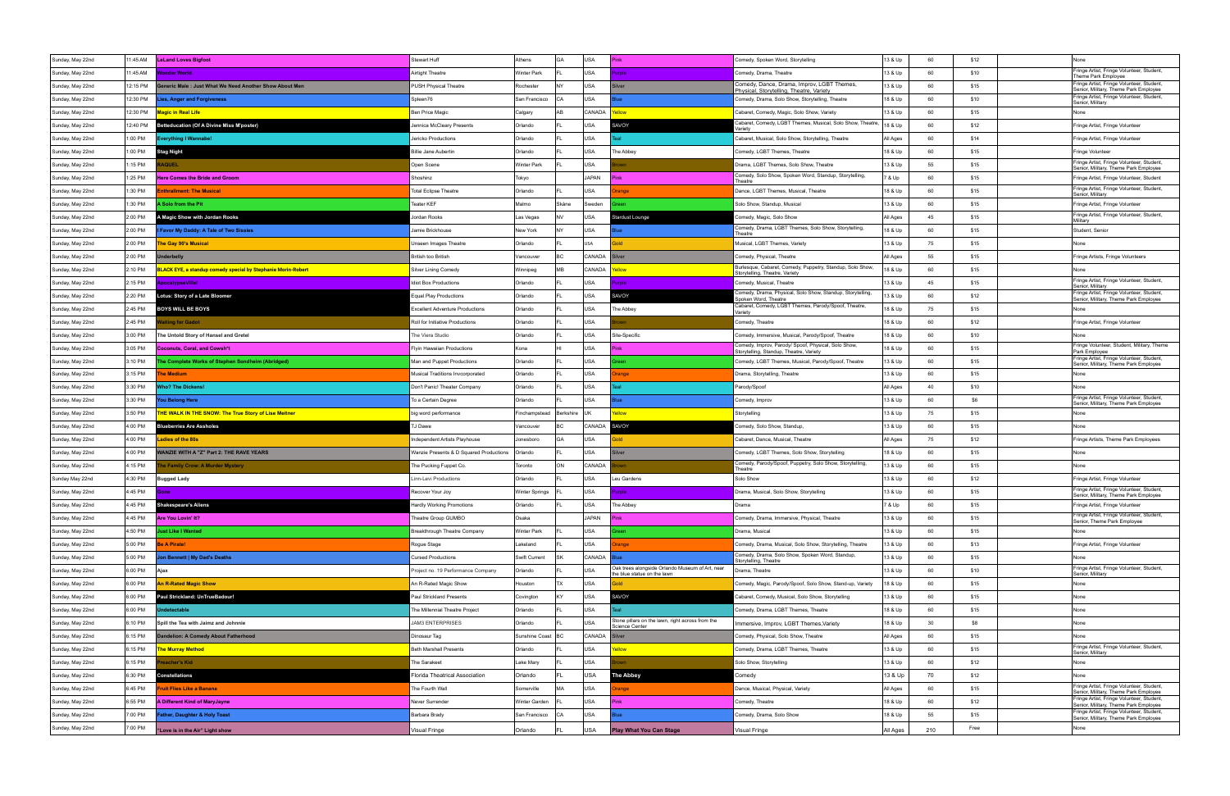| Sunday, May 22nd | 1:45 AM  | <b>LeLand Loves Bigfoot</b>                                  | Stewart Huff                            | Athens             | USA<br>l GA      |                                                                                | Comedy, Spoken Word, Storytelling                                                              | 13 & Up  | 60 | \$12 | None                                                                               |
|------------------|----------|--------------------------------------------------------------|-----------------------------------------|--------------------|------------------|--------------------------------------------------------------------------------|------------------------------------------------------------------------------------------------|----------|----|------|------------------------------------------------------------------------------------|
| Sunday, May 22nd | 1:45 AM  | onder World                                                  | Airtight Theatre                        | <b>Winter Park</b> | USA              | mle.                                                                           | Comedy, Drama, Theatre                                                                         | 13 & Up  | 60 | \$10 | Fringe Artist, Fringe Volunteer, Student,<br>Theme Park Employee                   |
| Sunday, May 22nd | 12:15 PM | eneric Male: Just What We Need Another Show About Mer        | PUSH Physical Theatre                   | Rochester          | <b>USA</b>       |                                                                                | Comedy, Dance, Drama, Improv, LGBT Themes,<br>Physical, Storytelling, Theatre, Variety         | 13 & Up  | 60 | \$15 | Fringe Artist, Fringe Volunteer, Student,<br>Senior, Military, Theme Park Employee |
| Sunday, May 22nd | 12:30 PM | ies, Anger and Forgiveness                                   | Spleen76                                | San Francisco      | <b>USA</b><br>CА |                                                                                | Comedy, Drama, Solo Show, Storytelling, Theatre                                                | 18 & Up  | 60 | \$10 | Fringe Artist, Fringe Volunteer, Student,<br>Senior, Military                      |
| Sunday, May 22nd | 12:30 PM | <b>Magic in Real Life</b>                                    | Ben Price Magic                         | Calgary            | CANADA<br>AR     | wolls                                                                          | Cabaret, Comedy, Magic, Solo Show, Variety                                                     | 13 & Up  | 60 | \$15 | None                                                                               |
| Sunday, May 22nd | 2:40 PM  | etteducation (Of A Divine Miss M'poster)                     | lennica McCleary Presents               | Orlando            | USA              | <b>SAVOY</b>                                                                   | Cabaret, Comedy, LGBT Themes, Musical, Solo Show, Theatre<br>/ariet\                           | 18 & Up  | 60 | \$12 | Fringe Artist, Fringe Volunteer                                                    |
| Sunday, May 22nd | 1:00 PM  | verything I Wannabe!                                         | Jericko Productions                     | Orlando            | USA              |                                                                                | Cabaret, Musical, Solo Show, Storytelling, Theatre                                             | All Ages | 60 | \$14 | Fringe Artist, Fringe Volunteer                                                    |
| Sunday, May 22nd | :00 PM   | <b>Stag Night</b>                                            | <b>Billie Jane Aubertin</b>             | Orlando            | USA              | The Abbey                                                                      | Comedy, LGBT Themes, Theatre                                                                   | 18 & Up  | 60 | \$15 | Fringe Volunteer                                                                   |
| Sunday, May 22nd | 1:15 PM  | <b>AQUEL</b>                                                 | Open Scene                              | <b>Winter Park</b> | <b>USA</b>       |                                                                                | Drama, LGBT Themes, Solo Show, Theatre                                                         | 13 & Up  | 55 | \$15 | Fringe Artist, Fringe Volunteer, Student,<br>Senior, Military, Theme Park Employee |
| Sunday, May 22nd | 1:25 PM  | <b>Here Comes the Bride and Groom</b>                        | Shoshinz                                | Tokyo              | <b>JAPAN</b>     |                                                                                | Comedy, Solo Show, Spoken Word, Standup, Storytelling,<br>Theatre                              | 7 & Up   | 60 | \$15 | Fringe Artist, Fringe Volunteer, Student                                           |
| Sunday, May 22nd | 1:30 PM  | <b>nthrallment: The Musical</b>                              | <b>Total Eclipse Theatre</b>            | Orlando            | USA              | ange                                                                           | Dance, LGBT Themes, Musical, Theatre                                                           | 18 & Up  | 60 | \$15 | Fringe Artist, Fringe Volunteer, Student,<br>Senior, Military                      |
| Sunday, May 22nd | :30 PM   | Solo from the Pit                                            | <b>Teater KEF</b>                       | Malmo              | Skåne<br>Sweden  |                                                                                | Solo Show, Standup, Musical                                                                    | 13 & Up  | 60 | \$15 | Fringe Artist, Fringe Volunteer                                                    |
| Sunday, May 22nd | 2:00 PM  | <b>A Magic Show with Jordan Rooks</b>                        | lordan Rooks                            | Las Vegas          | USA              | Stardust Lounge                                                                | Comedy, Magic, Solo Show                                                                       | All Ages | 45 | \$15 | Fringe Artist, Fringe Volunteer, Student,<br>Militarv                              |
| Sunday, May 22nd | 2:00 PM  | Favor My Daddy: A Tale of Two Sissies                        | Jamie Brickhouse                        | New York           | USA              |                                                                                | Comedy, Drama, LGBT Themes, Solo Show, Storytelling<br>Theatre                                 | 18 & Up  | 60 | \$15 | Student, Senior                                                                    |
| Sunday, May 22nd | 2:00 PM  | he Gay 90's Musical                                          | <b>Unseen Images Theatre</b>            | Orlando            | USA              |                                                                                | Musical, LGBT Themes, Variety                                                                  | 13 & Up  | 75 | \$15 | None                                                                               |
| Sunday, May 22nd | 2:00 PM  | nderbelly                                                    | British too British                     | Vancouver          | CANADA           |                                                                                | Comedy, Physical, Theatre                                                                      | All Ages | 55 | \$15 | Fringe Artists, Fringe Volunteers                                                  |
| Sunday, May 22nd | 2:10 PM  | LACK EYE, a standup comedy special by Stephanie Morin-Robert | Silver Lining Comedy                    | <b>Winnipeg</b>    | CANADA<br>MВ     | <b>Illow</b>                                                                   | Burlesque, Cabaret, Comedy, Puppetry, Standup, Solo Show,<br>Storytelling, Theatre, Variety    | 18 & Up  | 60 | \$15 | None                                                                               |
| Sunday, May 22nd | 2:15 PM  | pocalypseVille!                                              | <b>Idiot Box Productions</b>            | Orlando            | USA              | irple                                                                          | Comedy, Musical, Theatre                                                                       | 13 & Up  | 45 | \$15 | Fringe Artist, Fringe Volunteer, Student,<br>Senior, Military                      |
| Sunday, May 22nd | 2:20 PM  | otus: Story of a Late Bloomer                                | <b>Equal Play Productions</b>           | Orlando            | USA              | SAVOY                                                                          | Comedy, Drama, Physical, Solo Show, Standup, Storytelling,<br>poken Word, Theatre              | 13 & Up  | 60 | \$12 | Fringe Artist, Fringe Volunteer, Student,<br>Senior, Military, Theme Park Employee |
| Sunday, May 22nd | 2:45 PM  | <b>BOYS WILL BE BOYS</b>                                     | <b>Excellent Adventure Productions</b>  | Orlando            | USA              | The Abbey                                                                      | Cabaret, Comedy, LGBT Themes, Parody/Spoof, Theatre,<br>Variety                                | 18 & Up  | 75 | \$15 | None                                                                               |
| Sunday, May 22nd | 2:45 PM  | iting for Gadot                                              | Roll for Initiative Productions         | Orlando            | USA              |                                                                                | Comedy, Theatre                                                                                | 18 & Up  | 60 | \$12 | Fringe Artist, Fringe Volunteer                                                    |
| Sunday, May 22nd | 3:00 PM  | The Untold Story of Hansel and Gretel                        | The Viera Studio                        | Orlando            | USA              | Site-Specific                                                                  | Comedy, Immersive, Musical, Parody/Spoof, Theatre                                              | 18 & Up  | 60 | \$10 |                                                                                    |
| Sunday, May 22nd | 3:05 PM  | <b>Coconuts, Coral, and Cowsh*t</b>                          | <b>Flyin Hawaiian Productions</b>       | Kona               | <b>USA</b>       |                                                                                | Comedy, Improv, Parody/ Spoof, Physical, Solo Show,<br>Storytelling, Standup, Theatre, Variety | 18 & Up  | 60 | \$15 | Fringe Volunteer, Student, Military, Theme<br>Park Employee                        |
| Sunday, May 22nd | 3:10 PM  | he Complete Works of Stephen Sondheim (Abridged)             | Man and Puppet Productions              | Orlando            | USA              |                                                                                | Comedy, LGBT Themes, Musical, Parody/Spoof, Theatre                                            | 13 & Up  | 60 | \$15 | Fringe Artist, Fringe Volunteer, Student,<br>Senior, Military, Theme Park Employee |
| Sunday, May 22nd | 3:15 PM  | he Medium                                                    | Musical Traditions Invcorporated        | Orlando            | USA              | ange                                                                           | Drama, Storytelling, Theatre                                                                   | 13 & Up  | 60 | \$15 | None                                                                               |
| Sunday, May 22nd | 3:30 PM  | /ho? The Dickens!                                            | Don't Panic! Theater Company            | Orlando            | USA              |                                                                                | Parody/Spoot                                                                                   | All Ages | 40 | \$10 | None                                                                               |
| Sunday, May 22nd | 3:30 PM  | ou Belong Here                                               | To a Certain Degree                     | Orlando            | USA              |                                                                                | Comedy, Improv                                                                                 | 13 & Up  | 60 | \$6  | Fringe Artist, Fringe Volunteer, Student,<br>Senior, Military, Theme Park Employee |
| Sunday, May 22nd | 3:50 PM  | <b>THE WALK IN THE SNOW: The True Story of Lise Meitner</b>  | big word performance                    | Finchampstead      | Berkshire        | ellow                                                                          | Storytelling                                                                                   | 13 & Up  | 75 | \$15 | None                                                                               |
| Sunday, May 22nd | 4:00 PM  | lueberries Are Assholes                                      | J Dawe                                  | Vancouver          | CANADA           | SAVOY                                                                          | Comedy, Solo Show, Standup,                                                                    | 13 & Up  | 60 | \$15 | None                                                                               |
| Sunday, May 22nd | 4:00 PM  | adies of the 80s                                             | Independent Artists Playhouse           | Jonesboro          | USA<br>GА        |                                                                                | Cabaret, Dance, Musical, Theatre                                                               | All Ages | 75 | \$12 | Fringe Artists, Theme Park Employees                                               |
| Sunday, May 22nd | 4:00 PM  | <b>ANZIE WITH A "Z" Part 2: THE RAVE YEARS</b>               | Wanzie Presents & D Squared Productions | Orlando            | USA              |                                                                                | Comedy, LGBT Themes, Solo Show, Storytelling                                                   | 18 & Up  | 60 | \$15 | None                                                                               |
| Sunday, May 22nd | 4:15 PM  | e Family Crow: A Murder Mystery                              | The Pucking Fuppet Co.                  | Toronto            | CANADA<br>ON     |                                                                                | Comedy, Parody/Spoof, Puppetry, Solo Show, Storytelling,                                       |          |    |      |                                                                                    |
| Sunday May 22nd  |          |                                                              |                                         |                    |                  |                                                                                | Theatre                                                                                        | 13 & Up  | 60 | \$15 | None                                                                               |
|                  | 4:30 PM  | Bugged Lady                                                  | Linn-Levi Productions                   | Orlando            | USA              | Leu Gardens                                                                    | Solo Show                                                                                      | 13 & Up  | 60 | \$12 | Fringe Artist, Fringe Volunteer                                                    |
| Sunday, May 22nd | 4:45 PM  |                                                              | Recover Your Joy                        | Winter Springs     | USA              | role                                                                           | Drama, Musical, Solo Show, Storytelling                                                        | 13 & Up  | 60 | \$15 | Fringe Artist, Fringe Volunteer, Student,<br>Senior, Military, Theme Park Employee |
| Sunday, May 22nd | I:45 PM  | <b>Shakespeare's Aliens</b>                                  | ardly Working Promotions                | Orlando            | USA              | 'he Abbey                                                                      | Drama                                                                                          | ' & Up   | 60 | \$15 | Fringe Artist, Fringe Volunteer                                                    |
| Sunday, May 22nd | 4:45 PM  | Are You Lovin' It?                                           | Theatre Group GUMBO                     | Osaka              | <b>JAPAN</b>     | Pink                                                                           | Comedy, Drama, Immersive, Physical, Theatre                                                    | 13 & Up  | 60 | \$15 | Fringe Artist, Fringe Volunteer, Student,<br>Senior, Theme Park Employee           |
| Sunday, May 22nd | 4:50 PM  | ust Like I Wanted                                            | Breakthrough Theatre Company            | <b>Winter Park</b> | USA              |                                                                                | Drama, Musical                                                                                 | 13 & Up  | 60 | \$15 | None                                                                               |
| Sunday, May 22nd | 5:00 PM  | le A Pirate!                                                 | Rogue Stage                             | Lakeland           | <b>USA</b>       | ange                                                                           | Comedy, Drama, Musical, Solo Show, Storytelling, Theatre                                       | 13 & Up  | 60 | \$13 | Fringe Artist, Fringe Volunteer                                                    |
| Sunday, May 22nd | 5:00 PM  | on Bennett   My Dad's Deaths                                 | <b>Cursed Productions</b>               | Swift Current      | CANADA           |                                                                                | Comedy, Drama, Solo Show, Spoken Word, Standup,<br>Storytelling, Theatre                       | 13 & Up  | 60 | \$15 | None                                                                               |
| Sunday, May 22nd | 6:00 PM  | Ajax                                                         | Project no. 19 Performance Company      | Orlando            | USA              | Oak trees alongside Orlando Museum of Art, near<br>the blue statue on the lawn | Drama, Theatre                                                                                 | 13 & Up  | 60 | \$10 | Fringe Artist, Fringe Volunteer, Student,<br>Senior, Military                      |
| Sunday, May 22nd | 6:00 PM  | <b>An R-Rated Magic Show</b>                                 | An R-Rated Magic Show                   | Houston            | TX<br>USA        |                                                                                | Comedy, Magic, Parody/Spoof, Solo Show, Stand-up, Variety                                      | 18 & Up  | 60 | \$15 | None                                                                               |
| Sunday, May 22nd | 6:00 PM  | Paul Strickland: UnTrueBadour!                               | Paul Strickland Presents                | Covington          | KY<br>USA        | SAVOY                                                                          | Cabaret, Comedy, Musical, Solo Show, Storytelling                                              | 13 & Up  | 60 | \$15 | None                                                                               |
| Sunday, May 22nd | 6:00 PM  | ndetectable                                                  | The Millennial Theatre Project          | Orlando            | USA              |                                                                                | Comedy, Drama, LGBT Themes, Theatre                                                            | 18 & Up  | 60 | \$15 | None                                                                               |
| Sunday, May 22nd | 6:10 PM  | Spill the Tea with Jaimz and Johnnie                         | JAM3 ENTERPRISES                        | Orlando            | <b>USA</b>       | Stone pillars on the lawn, right across from the<br><b>Science Center</b>      | Immersive, Improv, LGBT Themes, Variety                                                        | 18 & Up  | 30 | \$8  | None                                                                               |
| Sunday, May 22nd | 6:15 PM  | andelion: A Comedy About Fatherhood                          | Dinosaur Tag                            | Sunshine Coast     | CANADA           |                                                                                | Comedy, Physical, Solo Show, Theatre                                                           | All Ages | 60 | \$15 | None                                                                               |
| Sunday, May 22nd | 6:15 PM  | <b>he Murray Method</b>                                      | <b>Beth Marshall Presents</b>           | Orlando            | <b>USA</b>       |                                                                                | Comedy, Drama, LGBT Themes, Theatre                                                            | 13 & Up  | 60 | \$15 | Fringe Artist, Fringe Volunteer, Student,<br>Senior, Military                      |
| Sunday, May 22nd | 6:15 PM  | acher's Kid                                                  | The Sarakeet                            | Lake Mary          | USA              |                                                                                | Solo Show, Storytelling                                                                        | 13 & Up  | 60 | \$12 | None                                                                               |
| Sunday, May 22nd | 6:30 PM  | Constellations                                               | Florida Theatrical Association          | Orlando            | <b>USA</b>       | <b>The Abbey</b>                                                               | Comedy                                                                                         | 13 & Up  | 70 | \$12 | None                                                                               |
| Sunday, May 22nd | 6:45 PM  | <b>ruit Flies Like a Banana</b>                              | The Fourth Wall                         | Somerville         | MA<br>USA        | ange                                                                           | Dance, Musical, Physical, Variety                                                              | All Ages | 60 | \$15 | Fringe Artist, Fringe Volunteer, Student,<br>Senior, Military, Theme Park Employee |
| Sunday, May 22nd | 6:55 PM  | A Different Kind of MaryJayne                                | Never Surrender                         | Winter Garden      | <b>USA</b>       |                                                                                | Comedy, Theatre                                                                                | 18 & Up  | 60 | \$12 | Fringe Artist, Fringe Volunteer, Student,<br>Senior, Military, Theme Park Employee |
| Sunday, May 22nd | 7:00 PM  | ather, Daughter & Holy Toast                                 | Barbara Brady                           | San Francisco      | <b>USA</b>       |                                                                                | Comedy, Drama, Solo Show                                                                       | 18 & Up  | 55 | \$15 | Fringe Artist, Fringe Volunteer, Student,<br>Senior, Military, Theme Park Employee |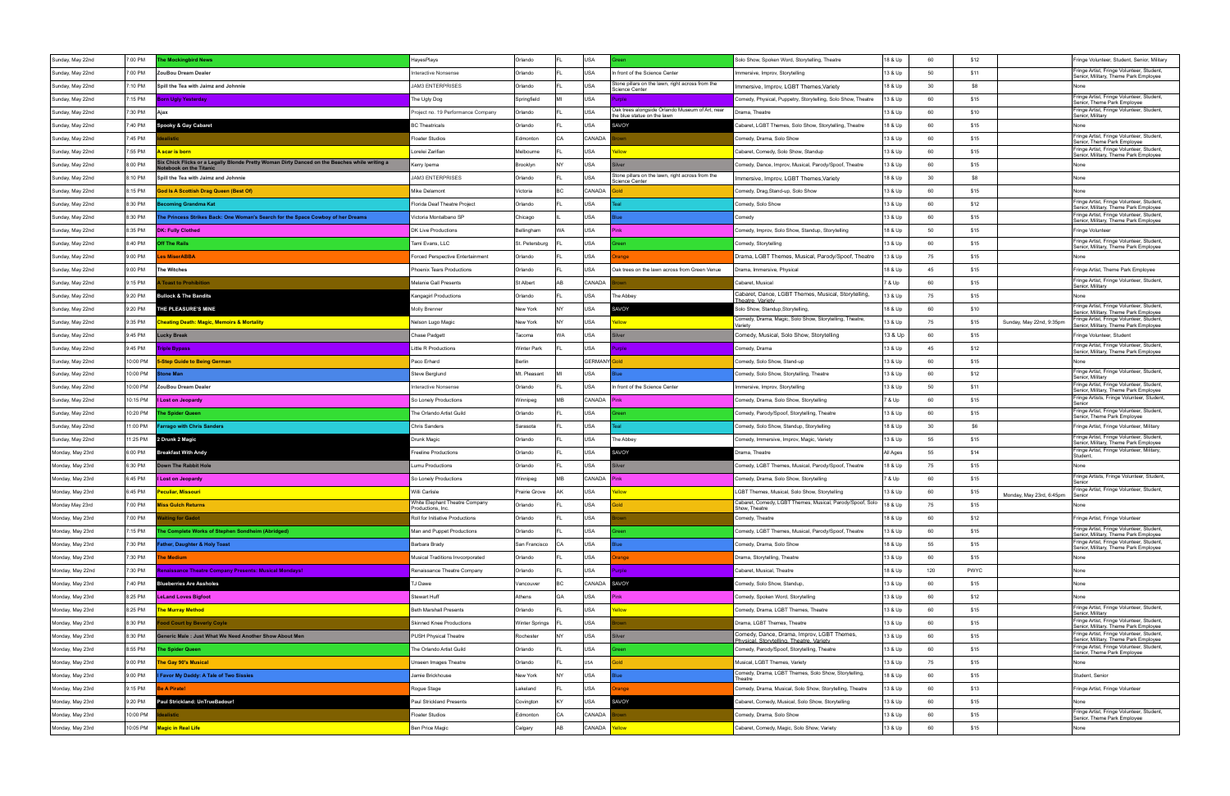| Sunday, May 22nd | 7:00 PM  | he Mockingbird News                                                                                               | HayesPlays                                       | Orlando               |           | USA                 |                                                                                | Solo Show, Spoken Word, Storytelling, Theatre                                                              | 18 & Up  | 60       | \$12        |                          | Fringe Volunteer, Student, Senior, Military                                                                       |
|------------------|----------|-------------------------------------------------------------------------------------------------------------------|--------------------------------------------------|-----------------------|-----------|---------------------|--------------------------------------------------------------------------------|------------------------------------------------------------------------------------------------------------|----------|----------|-------------|--------------------------|-------------------------------------------------------------------------------------------------------------------|
| Sunday, May 22nd | 7:00 PM  | ZouBou Dream Dealer                                                                                               | <b>Interactive Nonsense</b>                      | Orlando               |           | USA                 | In front of the Science Center                                                 | Immersive, Improv, Storytelling                                                                            | 13 & Up  | 50       | \$11        |                          | Fringe Artist, Fringe Volunteer, Student,<br>Senior, Military, Theme Park Employee                                |
| Sunday, May 22nd | 7:10 PM  | Spill the Tea with Jaimz and Johnnie                                                                              | <b>JAM3 ENTERPRISES</b>                          | Orlando               |           | <b>USA</b>          | Stone pillars on the lawn, right across from the<br><b>Science Center</b>      | Immersive, Improv, LGBT Themes, Variety                                                                    | 18 & Up  | 30       | \$8         |                          |                                                                                                                   |
| Sunday, May 22nd | 7:15 PM  | <b>Sorn Ugly Yesterday</b>                                                                                        | The Ugly Dog                                     | Springfield           |           | USA                 |                                                                                | Comedy, Physical, Puppetry, Storytelling, Solo Show, Theatre                                               | 13 & Up  | 60       | \$15        |                          | Fringe Artist, Fringe Volunteer, Student,<br>Senior, Theme Park Employee                                          |
| Sunday, May 22nd | 7:30 PM  | Ajax                                                                                                              | Project no. 19 Performance Company               | Orlando               |           | lusa                | Oak trees alongside Orlando Museum of Art, near<br>the blue statue on the lawn | Drama, Theatre                                                                                             | 13 & Up  | 60       | \$10        |                          | Fringe Artist, Fringe Volunteer, Student,<br>Senior, Military                                                     |
| Sunday, May 22nd | 7:40 PM  | pooky & Gay Cabaret                                                                                               | <b>3C Theatricals</b>                            | Orlando               |           | <b>USA</b>          | SAVOY                                                                          | Cabaret, LGBT Themes, Solo Show, Storytelling, Theatre                                                     | 18 & Up  | 60       | \$15        |                          | None                                                                                                              |
| Sunday, May 22nd | 7:45 PM  | alistic                                                                                                           | Floater Studios                                  | Edmontor              |           | <b>CANADA</b>       |                                                                                | Comedy, Drama, Solo Show                                                                                   | 13 & Up  | 60       | \$15        |                          | Fringe Artist, Fringe Volunteer, Student,                                                                         |
| Sunday, May 22nd | 7:55 PM  | scar is born                                                                                                      | Lorelei Zarifian                                 | Melbourne             |           | USA                 |                                                                                | Cabaret, Comedy, Solo Show, Standup                                                                        | 13 & Up  | 60       | \$15        |                          | Senior, Theme Park Employee<br>Fringe Artist, Fringe Volunteer, Student,<br>Senior, Military, Theme Park Employee |
| Sunday, May 22nd | 8:00 PM  | x Chick Flicks or a Legally Blonde Pretty Woman Dirty Danced on the Beaches while writing a<br>ebook on the Titan | Kerry Ipema                                      | Brooklyn              | <b>NY</b> | USA                 |                                                                                | Comedy, Dance, Improv, Musical, Parody/Spoof, Theatre                                                      | 13 & Up  | 60       | \$15        |                          | None                                                                                                              |
| Sunday, May 22nd | 8:10 PM  | Spill the Tea with Jaimz and Johnnie                                                                              | <b>JAM3 ENTERPRISES</b>                          | Orlando               |           | <b>USA</b>          | Stone pillars on the lawn, right across from the                               | Immersive, Improv, LGBT Themes, Variety                                                                    | 18 & Up  | 30       | S8          |                          | None                                                                                                              |
| Sunday, May 22nd | 8:15 PM  | od Is A Scottish Drag Queen (Best Of)                                                                             | Mike Delamont                                    | Victoria              | BC.       | CANADA              | <b>Science Center</b>                                                          | Comedy, Drag, Stand-up, Solo Show                                                                          | 13 & Up  | 60       | \$15        |                          | None                                                                                                              |
| Sunday, May 22nd | 8:30 PM  | coming Grandma Kat                                                                                                | Florida Deaf Theatre Project                     | Orlando               |           | <b>USA</b>          |                                                                                | Comedy, Solo Show                                                                                          | 13 & Up  | 60       | \$12        |                          | Fringe Artist, Fringe Volunteer, Student,                                                                         |
| Sunday, May 22nd | 8:30 PM  | he Princess Strikes Back: One Woman's Search for the Space Cowboy of her Dreams                                   | Victoria Montalbano SP                           | Chicago               |           | USA                 |                                                                                | Comedy                                                                                                     | 13 & Up  | 60       | \$15        |                          | Senior, Military, Theme Park Employee<br>Fringe Artist, Fringe Volunteer, Student,                                |
| Sunday, May 22nd | 8:35 PM  | <b>DK: Fully Clothed</b>                                                                                          | DK Live Productions                              | Bellingham            | NΑ        | USA                 |                                                                                | Comedy, Improv, Solo Show, Standup, Storytelling                                                           | 18 & Up  | 50       | \$15        |                          | Senior, Military, Theme Park Employee<br>Fringe Volunteer                                                         |
| Sunday, May 22nd | 8:40 PM  | Off The Rails                                                                                                     | Tami Evans, LLC                                  | St. Petersburg        |           | USA                 |                                                                                | Comedy, Storytelling                                                                                       | 13 & Up  | 60       | \$15        |                          | Fringe Artist, Fringe Volunteer, Student,                                                                         |
| Sunday, May 22nd | 9:00 PM  | es MiserABBA                                                                                                      | Forced Perspective Entertainment                 | Orlando               |           | USA                 | ange                                                                           | Drama, LGBT Themes, Musical, Parody/Spoof, Theatre                                                         | 13 & Up  | 75       | \$15        |                          | Senior, Military, Theme Park Employee<br>None                                                                     |
| Sunday, May 22nd | 9:00 PM  | The Witches                                                                                                       | Phoenix Tears Productions                        | Orlando               |           | USA                 | Oak trees on the lawn across from Green Venue                                  | Drama, Immersive, Physical                                                                                 | 18 & Up  | 45       | \$15        |                          | Fringe Artist, Theme Park Employee                                                                                |
| Sunday, May 22nd | 9:15 PM  | <b>Toast to Prohibition</b>                                                                                       | Melanie Gall Presents                            | St Albert             |           | <b>CANADA</b>       |                                                                                | Cabaret, Musical                                                                                           | 7 & Up   | 60       | \$15        |                          | Fringe Artist, Fringe Volunteer, Student,                                                                         |
| Sunday, May 22nd | 9:20 PM  | <b>Bullock &amp; The Bandits</b>                                                                                  | Kangagirl Productions                            | Orlando               |           | <b>USA</b>          | The Abbey                                                                      | Cabaret, Dance, LGBT Themes, Musical, Storytelling,                                                        | 13 & Up  | 75       | \$15        |                          | Senior, Military<br>None                                                                                          |
| Sunday, May 22nd | 9:20 PM  | <b>HE PLEASURE'S MINE</b>                                                                                         | Molly Brenner                                    | New York              |           | USA                 | <b>AVOY</b>                                                                    | Theatre, Variety<br>Solo Show, Standup, Storytelling,                                                      | 18 & Up  | 60       | \$10        |                          | Fringe Artist, Fringe Volunteer, Student,                                                                         |
|                  | 9:35 PM  |                                                                                                                   |                                                  | New York              |           | USA                 | ellow                                                                          | Comedy, Drama, Magic, Solo Show, Storytelling, Theatre,                                                    | 13 & Up  | 75       | \$15        |                          | Senior, Military, Theme Park Employee<br>Fringe Artist, Fringe Volunteer, Student,                                |
| Sunday, May 22nd | 9:45 PM  | heating Death: Magic, Memoirs & Mortality                                                                         | Nelson Lugo Magio<br>Chase Padgett               | Tacoma                | WA        | <b>USA</b>          |                                                                                | Variety                                                                                                    |          | 60       | \$15        | Sunday, May 22nd, 9:35pm | Senior, Military, Theme Park Employee<br>Fringe Volunteer, Student                                                |
| Sunday, May 22nd | 9:45 PM  | Lucky Break                                                                                                       | <b>Little R Productions</b>                      | <b>Winter Park</b>    |           | USA                 |                                                                                | Comedy, Musical, Solo Show, Storytelling                                                                   | 13 & Up  | 45       | \$12        |                          | Fringe Artist, Fringe Volunteer, Student,                                                                         |
| Sunday, May 22nd |          | <b>Triple Bypass</b>                                                                                              |                                                  |                       |           | <b>GERMANY</b> Gold | role                                                                           | Comedy, Drama                                                                                              | 13 & Up  |          |             |                          | Senior, Military, Theme Park Employee                                                                             |
| Sunday, May 22nd | 10:00 PM | <b>-Step Guide to Being German</b>                                                                                | Paco Erhard                                      | Berlin                |           |                     |                                                                                | Comedy, Solo Show, Stand-up                                                                                | 13 & Up  | 60       | \$15        |                          | None<br>Fringe Artist, Fringe Volunteer, Student,                                                                 |
| Sunday, May 22nd | 10:00 PM | one Man                                                                                                           | Steve Berglund                                   | Mt. Pleasant          |           | USA                 |                                                                                | Comedy, Solo Show, Storytelling, Theatre                                                                   | 13 & Up  | 60<br>50 | \$12        |                          | Senior, Military<br>Fringe Artist, Fringe Volunteer, Student,                                                     |
| Sunday, May 22nd | 10:00 PM | ZouBou Dream Dealer                                                                                               | <b>Interactive Nonsense</b>                      | Orlando               |           | USA                 | In front of the Science Center                                                 | Immersive, Improv, Storytelling                                                                            | 13 & Up  |          | \$11        |                          | Senior, Military, Theme Park Employee<br>Fringe Artists, Fringe Volunteer, Student,                               |
| Sunday, May 22nd | 10:15 PM | <b>I Lost on Jeopardy</b>                                                                                         | So Lonely Productions                            | Winnipeg              | MВ        | CANADA              |                                                                                | Comedy, Drama, Solo Show, Storytelling                                                                     | 7 & Up   | 60       | \$15        |                          | Senior<br>Fringe Artist, Fringe Volunteer, Student,                                                               |
| Sunday, May 22nd | 10:20 PM | he Spider Queen                                                                                                   | The Orlando Artist Guild                         | Orlando               |           | USA                 |                                                                                | Comedy, Parody/Spoof, Storytelling, Theatre                                                                | 13 & Up  | 60       | \$15        |                          | Senior, Theme Park Employee                                                                                       |
| Sunday, May 22nd | 1:00 PM  | <b>arrago with Chris Sanders</b>                                                                                  | <b>Chris Sanders</b>                             | Sarasota              |           | USA                 |                                                                                | Comedy, Solo Show, Standup, Storytelling                                                                   | 18 & Up  | 30       | \$6         |                          | Fringe Artist, Fringe Volunteer, Military<br>Fringe Artist, Fringe Volunteer, Student,                            |
| Sunday, May 22nd | 1:25 PM  | 2 Drunk 2 Magic                                                                                                   | Drunk Magio                                      | Orlando               |           | <b>USA</b>          | The Abbey                                                                      | Comedy, Immersive, Improv, Magic, Variety                                                                  | 13 & Up  | 55       | \$15        |                          | Senior, Military, Theme Park Employee<br>Fringe Artist, Fringe Volunteer, Military,                               |
| Monday, May 23rd | 6:00 PM  | Breakfast With Andy                                                                                               | reeline Productions                              | Orlando               |           | USA                 | SAVOY                                                                          | Orama, Theatre                                                                                             | All Ages | 55       | \$14        |                          | Student,                                                                                                          |
| Monday, May 23rd | 6:30 PM  | own The Rabbit Hole                                                                                               | umu Productions                                  | Orlando               |           | USA                 |                                                                                | Comedy, LGBT Themes, Musical, Parody/Spoof, Theatre                                                        | 18 & Up  | 75       | \$15        |                          | None<br>Fringe Artists, Fringe Volunteer, Student,                                                                |
| Monday, May 23rd | 6:45 PM  | Lost on Jeopardy                                                                                                  | So Lonely Productions                            | Winnipeg              | MВ        | CANADA              |                                                                                | Comedy, Drama, Solo Show, Storytelling                                                                     | 7 & Up   | 60       | \$15        |                          | Fringe Artist, Fringe Volunteer, Student,                                                                         |
| Monday, May 23rd | 6:45 PM  | Peculiar, Missouri                                                                                                | Willi Carlisle<br>White Elephant Theatre Company | Prairie Grove         | AΚ        | USA                 | 'ellow                                                                         | LGBT Themes, Musical, Solo Show, Storytelling<br>Cabaret, Comedy, LGBT Themes, Musical, Parody/Spoof, Solo | 13 & Up  | 60       | \$15        | Monday, May 23rd, 6:45pm | Senior                                                                                                            |
| Monday May 23rd  | ':00 PM  | <b>Miss Gulch Returns</b>                                                                                         | Productions, Inc.                                | Orlando               |           | <b>USA</b>          |                                                                                | Show, Theatre                                                                                              | 18 & Up  | 75       | \$15        |                          | None                                                                                                              |
| Monday, May 23rd | 7:00 PM  | iiting for Gadot                                                                                                  | Roll for Initiative Productions                  | Orlando               |           | <b>USA</b>          |                                                                                | Comedy, Theatre                                                                                            | 18 & Up  | 60       | \$12        |                          | Fringe Artist, Fringe Volunteer<br>Fringe Artist, Fringe Volunteer, Student,                                      |
| Monday, May 23rd | 7:15 PM  | he Complete Works of Stephen Sondheim (Abridged)                                                                  | Man and Puppet Productions                       | Orlando               |           | USA                 | een                                                                            | Comedy, LGBT Themes, Musical, Parody/Spoof, Theatre                                                        | 13 & Up  | 60       | \$15        |                          | Senior, Military, Theme Park Employee<br>Fringe Artist, Fringe Volunteer, Student,                                |
| Monday, May 23rd | 7:30 PM  | ather, Daughter & Holy Toast                                                                                      | Barbara Brady                                    | San Francisco         | ΩÂ        | <b>USA</b>          |                                                                                | Comedy, Drama, Solo Show                                                                                   | 18 & Up  | 55       | \$15        |                          | Senior, Military, Theme Park Employee                                                                             |
| Monday, May 23rd | 7:30 PM  | he Medium                                                                                                         | Musical Traditions Invcorporated                 | Orlando               |           | <b>USA</b>          | ange                                                                           | Drama, Storytelling, Theatre                                                                               | 13 & Up  | 60       | \$15        |                          | None                                                                                                              |
| Monday, May 22nd | 7:30 PM  | enaissance Theatre Company Presents: Musical Mondays!                                                             | Renaissance Theatre Company                      | Orlando               |           | <b>USA</b>          | urple                                                                          | Cabaret, Musical, Theatre                                                                                  | 18 & Up  | 120      | <b>PWYC</b> |                          | None                                                                                                              |
| Monday, May 23rd | 7:40 PM  | <b>Blueberries Are Assholes</b>                                                                                   | TJ Dawe                                          | Vancouver             |           | CANADA              | SAVOY                                                                          | Comedy, Solo Show, Standup,                                                                                | 13 & Up  | 60       | \$15        |                          | None                                                                                                              |
| Monday, May 23rd | 8:25 PM  | <b>LeLand Loves Bigfoot</b>                                                                                       | Stewart Huff                                     | Athens                | GA        | USA                 |                                                                                | Comedy, Spoken Word, Storytelling                                                                          | 13 & Up  | 60       | \$12        |                          | None                                                                                                              |
| Monday, May 23rd | 8:25 PM  | he Murray Method                                                                                                  | <b>Beth Marshall Presents</b>                    | Orlando               |           | <b>USA</b>          |                                                                                | Comedy, Drama, LGBT Themes, Theatre                                                                        | 13 & Up  | 60       | \$15        |                          | Fringe Artist, Fringe Volunteer, Student,<br>Senior, Military                                                     |
| Monday, May 23rd | 8:30 PM  | od Court by Beverly Coyle                                                                                         | <b>Skinned Knee Productions</b>                  | <b>Winter Springs</b> |           | USA                 |                                                                                | Drama, LGBT Themes, Theatre                                                                                | 13 & Up  | 60       | \$15        |                          | Fringe Artist, Fringe Volunteer, Student,<br>Senior, Military, Theme Park Employee                                |
| Monday, May 23rd | 8:30 PM  | ieneric Male: Just What We Need Another Show About Men                                                            | PUSH Physical Theatre                            | Rochester             | VΥ        | <b>USA</b>          |                                                                                | Comedy, Dance, Drama, Improv, LGBT Themes,<br>Physical, Storvtelling, Theatre, Variety                     | 13 & Up  | 60       | \$15        |                          | Fringe Artist, Fringe Volunteer, Student,<br>Senior, Military, Theme Park Employee                                |
| Monday, May 23rd | 8:55 PM  | he Spider Queen                                                                                                   | The Orlando Artist Guild                         | Orlando               |           | <b>USA</b>          |                                                                                | Comedy, Parody/Spoof, Storytelling, Theatre                                                                | 13 & Up  | 60       | \$15        |                          | Fringe Artist, Fringe Volunteer, Student,<br>Senior, Theme Park Employee                                          |
| Monday, May 23rd | 9:00 PM  | he Gay 90's Musical                                                                                               | Unseen Images Theatre                            | Orlando               |           | USA                 |                                                                                | Musical, LGBT Themes, Variety                                                                              | 13 & Up  | 75       | \$15        |                          | None                                                                                                              |
| Monday, May 23rd | 9:00 PM  | Favor My Daddy: A Tale of Two Sissies                                                                             | lamie Brickhouse                                 | New York              | <b>NY</b> | <b>USA</b>          |                                                                                | Comedy, Drama, LGBT Themes, Solo Show, Storytelling,<br>Theatre                                            | 18 & Up  | 60       | \$15        |                          | Student, Senior                                                                                                   |
| Monday, May 23rd | 9:15 PM  | le A Pirate!                                                                                                      | Rogue Stage                                      | Lakeland              |           | <b>USA</b>          | ange                                                                           | Comedy, Drama, Musical, Solo Show, Storytelling, Theatre                                                   | 13 & Up  | 60       | \$13        |                          | Fringe Artist, Fringe Volunteer                                                                                   |
| Monday, May 23rd | 9:20 PM  | Paul Strickland: UnTrueBadour!                                                                                    | Paul Strickland Presents                         | Covington             |           | USA                 | SAVOY                                                                          | Cabaret, Comedy, Musical, Solo Show, Storytelling                                                          | 13 & Up  | 60       | \$15        |                          | None                                                                                                              |
| Monday, May 23rd | 10:00 PM | alistic                                                                                                           | <b>Ioater Studios</b>                            | Edmonton              | CA        | CANADA              |                                                                                | Comedy, Drama, Solo Show                                                                                   | 13 & Up  | 60       | \$15        |                          | Fringe Artist, Fringe Volunteer, Student,<br>Senior, Theme Park Employee                                          |
| Monday, May 23rd | 10:05 PM | <b>Magic in Real Life</b>                                                                                         | Ben Price Magic                                  | Calgary               |           | CANADA              | ellow <sup>'</sup>                                                             | Cabaret, Comedy, Magic, Solo Show, Variety                                                                 | 13 & Up  | 60       | \$15        |                          | None                                                                                                              |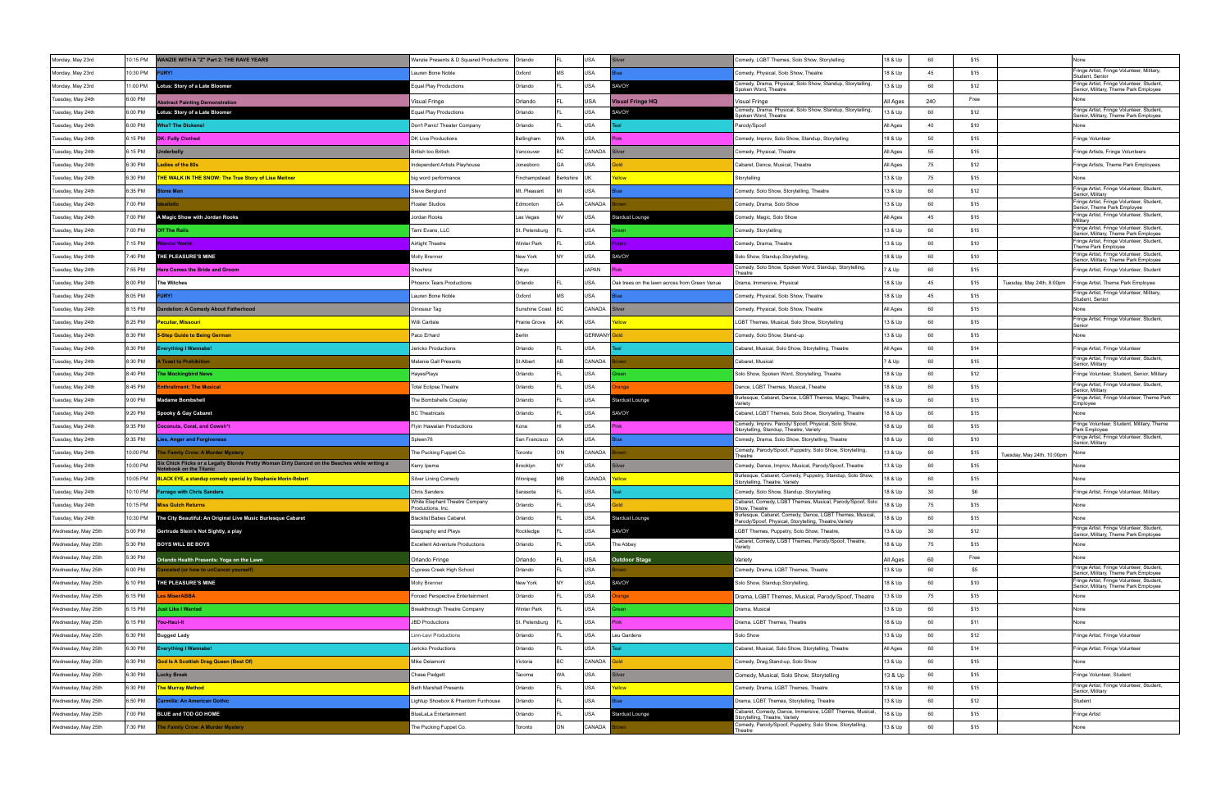| Monday, May 23rd    | 10:15 PM | <b>ANZIE WITH A "Z" Part 2: THE RAVE YEARS</b>                                                                        | Wanzie Presents & D Squared Productions             | Orlando             |           | USA                 |                                               | Comedy, LGBT Themes, Solo Show, Storytelling                                                                       | 18 & Up  | 60  | \$15                               | None                                                                               |
|---------------------|----------|-----------------------------------------------------------------------------------------------------------------------|-----------------------------------------------------|---------------------|-----------|---------------------|-----------------------------------------------|--------------------------------------------------------------------------------------------------------------------|----------|-----|------------------------------------|------------------------------------------------------------------------------------|
| Monday, May 23rd    | 10:30 PM | JRY!                                                                                                                  | Lauren Bone Noble                                   | Oxford              | MS        | <b>USA</b>          |                                               | Comedy, Physical, Solo Show, Theatre                                                                               | 18 & Up  | 45  | \$15                               | Fringe Artist, Fringe Volunteer, Military,<br>Student, Senior                      |
| Monday, May 23rd    | 11:00 PM | Lotus: Story of a Late Bloomer                                                                                        | Equal Play Productions                              | Orlando             |           | USA                 | SAVOY                                         | Comedy, Drama, Physical, Solo Show, Standup, Storytelling,<br>poken Word, Theatre                                  | 13 & Up  | 60  | \$12                               | Fringe Artist, Fringe Volunteer, Student,<br>Senior, Military, Theme Park Employee |
| Tuesday, May 24th   | 6:00 PM  | bstract Painting Demonstration                                                                                        | Visual Fringe                                       | Orlando             |           | USA                 | /isual Fringe HQ                              | Visual Fringe                                                                                                      | All Ages | 240 | Free                               |                                                                                    |
| Tuesday, May 24th   | 6:00 PM  | Lotus: Story of a Late Bloomer                                                                                        | <b>Equal Play Productions</b>                       | Orlando             |           | <b>USA</b>          | <b>SAVOY</b>                                  | Comedy, Drama, Physical, Solo Show, Standup, Storytelling,<br>poken Word, Theatre                                  | 13 & Up  | 60  | \$12                               | Fringe Artist, Fringe Volunteer, Student,<br>Senior, Military, Theme Park Employee |
| Tuesday, May 24th   | 6:00 PM  | Vho? The Dickens!                                                                                                     | Don't Panic! Theater Company                        | Orlando             |           | USA                 |                                               | Parody/Spoof                                                                                                       | All Ages | 40  | \$10                               | None                                                                               |
| Tuesday, May 24th   | 6:15 PM  | <b>DK: Fully Clothed</b>                                                                                              | DK Live Productions                                 | Bellingham          | WA        | USA                 |                                               | Comedy, Improv, Solo Show, Standup, Storytelling                                                                   | 18 & Up  | 50  | \$15                               | Fringe Volunteer                                                                   |
| Tuesday, May 24th   | 6:15 PM  | iderbelly                                                                                                             | British too British                                 | Vancouver           | BC.       | CANADA              |                                               | Comedy, Physical, Theatre                                                                                          | All Ages | 55  | \$15                               | Fringe Artists, Fringe Volunteers                                                  |
| Tuesday, May 24th   | 6:30 PM  | adies of the 80s                                                                                                      | <b>Independent Artists Playhouse</b>                | Jonesboro           | GA        | USA                 |                                               | Cabaret, Dance, Musical, Theatre                                                                                   | All Ages | 75  | \$12                               | Fringe Artists, Theme Park Employees                                               |
| Tuesday, May 24th   | 6:30 PM  | <b>HE WALK IN THE SNOW: The True Story of Lise Meitner</b>                                                            | big word performance                                | Finchampstead       | Berkshire | llik                | ellow                                         | Storytelling                                                                                                       | 13 & Up  | 75  | \$15                               | None                                                                               |
| Tuesday, May 24th   | 6:35 PM  | one Man                                                                                                               | Steve Berglund                                      | Mt. Pleasant        |           | USA                 |                                               | Comedy, Solo Show, Storytelling, Theatre                                                                           | 13 & Up  | 60  | \$12                               | Fringe Artist, Fringe Volunteer, Student,<br>Senior, Military                      |
| Tuesday, May 24th   | 7:00 PM  | alistic                                                                                                               | Floater Studios                                     | Edmonton            | CA        | CANADA              |                                               | Comedy, Drama, Solo Show                                                                                           | 13 & Up  | 60  | \$15                               | Fringe Artist, Fringe Volunteer, Student,<br>Senior, Theme Park Employee           |
| Tuesday, May 24th   | 7:00 PM  | A Magic Show with Jordan Rooks                                                                                        | Jordan Rooks                                        | Las Vegas           |           | USA                 | tardust Lounge                                | comedy, Magic, Solo Show:                                                                                          | All Ages | 45  | \$15                               | Fringe Artist, Fringe Volunteer, Student,<br>Militarv                              |
| Tuesday, May 24th   | 7:00 PM  | ff The Rails                                                                                                          | Tami Evans, LLC                                     | St. Petersburg      |           | USA                 |                                               | Comedy, Storytelling                                                                                               | 13 & Up  | 60  | \$15                               | Fringe Artist, Fringe Volunteer, Student,<br>Senior, Military, Theme Park Employee |
| Tuesday, May 24th   | 7:15 PM  | onder World                                                                                                           | Airtight Theatre                                    | Winter Park         |           | USA                 | ırole                                         | Comedy, Drama, Theatre                                                                                             | 13 & Up  | 60  | \$10                               | Fringe Artist, Fringe Volunteer, Student,<br>Theme Park Employee                   |
| Tuesday, May 24th   | 7:40 PM  | THE PLEASURE'S MINE                                                                                                   | <b>Molly Brenner</b>                                | New York            |           | USA                 | <b>SAVOY</b>                                  | iolo Show, Standup,Storytelling,                                                                                   | 18 & Up  | 60  | \$10                               | Fringe Artist, Fringe Volunteer, Student,<br>Senior, Military, Theme Park Employee |
| Tuesday, May 24th   | 7:55 PM  | <b>Here Comes the Bride and Groom</b>                                                                                 | Shoshinz                                            | Tokyo               |           | JAPAN               |                                               | Comedy, Solo Show, Spoken Word, Standup, Storytelling,<br>Theatre                                                  | 7 & Up   | 60  | \$15                               | Fringe Artist, Fringe Volunteer, Student                                           |
| Tuesday, May 24th   | 8:00 PM  | The Witches                                                                                                           | Phoenix Tears Productions                           | Orlando             |           | <b>USA</b>          | Oak trees on the lawn across from Green Venue | Drama, Immersive, Physical                                                                                         | 18 & Up  | 45  | \$15<br>Tuesday, May 24th, 8:00pm  | Fringe Artist, Theme Park Employee                                                 |
| Tuesday, May 24th   | 8:05 PM  | JRY!                                                                                                                  | Lauren Bone Noble                                   | Oxford              | MS        | USA                 |                                               | Comedy, Physical, Solo Show, Theatre                                                                               | 18 & Up  | 45  | \$15                               | Fringe Artist, Fringe Volunteer, Military,<br>Student, Senior                      |
| Tuesday, May 24th   | 8:15 PM  | ndelion: A Comedy About Fatherhood                                                                                    | Dinosaur Tag                                        | Sunshine Coast   BC |           | CANADA              |                                               | Comedy, Physical, Solo Show, Theatre                                                                               | All Ages | 60  | \$15                               | None                                                                               |
| Tuesday, May 24th   | 8:25 PM  | eculiar, Missouri                                                                                                     | Willi Carlisle                                      | Prairie Grove       |           | USA                 |                                               | LGBT Themes, Musical, Solo Show, Storytelling                                                                      | 13 & Up  | 60  | \$15                               | Fringe Artist, Fringe Volunteer, Student<br>Senior                                 |
| Tuesday, May 24th   | 8:30 PM  | <b>-Step Guide to Being German</b>                                                                                    | Paco Erhard                                         | Berlin              |           | <b>GERMANY</b> Gold |                                               | Comedy, Solo Show, Stand-up                                                                                        | 13 & Up  | 60  | \$15                               | None                                                                               |
| Tuesday, May 24th   | 8:30 PM  | verything I Wannabe!                                                                                                  | Jericko Productions                                 | Orlando             |           | USA                 |                                               | Cabaret, Musical, Solo Show, Storytelling, Theatre                                                                 | All Ages | 60  | \$14                               | Fringe Artist, Fringe Volunteer                                                    |
| Tuesday, May 24th   | 8:30 PM  | <b>Toast to Prohibition</b>                                                                                           | Melanie Gall Presents                               | St Albert           |           | CANADA              |                                               | Cabaret, Musical                                                                                                   | 7 & Up   | 60  | \$15                               | Fringe Artist, Fringe Volunteer, Student,<br>Senior, Military                      |
| Tuesday, May 24th   | 8:40 PM  | he Mockingbird News                                                                                                   | HayesPlays                                          | Orlando             |           | USA                 |                                               | Solo Show, Spoken Word, Storytelling, Theatre                                                                      | 18 & Up  | 60  | \$12                               | Fringe Volunteer, Student, Senior, Military                                        |
| Tuesday, May 24th   | 8:45 PM  | nthrallment: The Musical                                                                                              | <b>Total Eclipse Theatre</b>                        | Orlando             |           | USA                 | anae                                          | Dance, LGBT Themes, Musical, Theatre                                                                               | 18 & Up  | 60  | \$15                               | Fringe Artist, Fringe Volunteer, Student,                                          |
| Tuesday, May 24th   | 9:00 PM  | ladame Bombshell                                                                                                      | The Bombshells Cosplay                              | Orlando             |           | USA                 | tardust Lounge                                | Jurlesque, Cabaret, Dance, LGBT Themes, Magic, Theatre,                                                            | 18 & Up  | 60  | \$15                               | Senior, Military<br>Fringe Artist, Fringe Volunteer, Theme Park                    |
| Tuesday, May 24th   | 9:20 PM  | Spooky & Gay Cabaret                                                                                                  | <b>BC Theatricals</b>                               | Orlando             |           | USA                 | AVOY                                          | /ariety<br>Cabaret, LGBT Themes, Solo Show, Storytelling, Theatre                                                  | 18 & Up  | 60  | \$15                               | Employee<br>None                                                                   |
| Tuesday, May 24th   | 9:35 PM  | <b>Coconuts, Coral, and Cowsh*t</b>                                                                                   | <b>Flyin Hawaiian Productions</b>                   | Kona                |           | USA                 | Pinl                                          | Comedy, Improv, Parody/ Spoof, Physical, Solo Show,                                                                | 18 & Up  | 60  | \$15                               | Fringe Volunteer, Student, Military, Theme                                         |
| Tuesday, May 24th   | 9:35 PM  | ies, Anger and Forgiveness                                                                                            | Spleen76                                            | San Francisco       | l CA      | USA                 |                                               | Storytelling, Standup, Theatre, Variety<br>Comedy, Drama, Solo Show, Storytelling, Theatre                         | 18 & Up  | 60  | \$10                               | Park Employee<br>Fringe Artist, Fringe Volunteer, Student,<br>Senior, Military     |
| Tuesday, May 24th   | 10:00 PM | he Family Crow: A Murder Mystery                                                                                      | The Pucking Fuppet Co.                              | Toronto             | ON        | CANADA              |                                               | Comedy, Parody/Spoof, Puppetry, Solo Show, Storytelling,<br><b>heatre</b>                                          | 13 & Up  | 60  | \$15<br>Tuesday, May 24th, 10:00pm | None                                                                               |
| Tuesday, May 24th   | 10:00 PM | Six Chick Flicks or a Legally Blonde Pretty Woman Dirty Danced on the Beaches while writing a<br>ebook on the Titanic | Kerry Ipema                                         | Brooklyn            |           | USA                 |                                               | Comedy, Dance, Improv, Musical, Parody/Spoof, Theatre                                                              | 13 & Up  | 60  | \$15                               | None                                                                               |
| Tuesday, May 24th   | 10:05 PM | LACK EYE, a standup comedy special by Stephanie Morin-Robert                                                          | <b>Silver Lining Comedy</b>                         | Winnipeg            | <b>MB</b> | CANADA              | low                                           | Burlesque, Cabaret, Comedy, Puppetry, Standup, Solo Show,<br>Storytelling, Theatre, Variety                        | 18 & Up  | 60  | \$15                               | None                                                                               |
| Tuesday, May 24th   | 10:10 PM | <b>Farrago with Chris Sanders</b>                                                                                     | Chris Sanders                                       | Sarasota            |           | USA                 |                                               | Comedy, Solo Show, Standup, Storytelling                                                                           | 18 & Up  | 30  | \$6                                | Fringe Artist, Fringe Volunteer, Military                                          |
| ⊺uesday, May 24th   | 10:15 PM | <b>Miss Gulch Returns</b>                                                                                             | White Elephant Theatre Company<br>Productions, Inc. | Orlando             |           |                     |                                               | Cabaret, Comedy, LGBT Themes, Musical, Parody/Spoof, Solo<br>Show, Theatre                                         | 18 & Up  | 75  | \$15                               | None                                                                               |
| Tuesday, May 24th   | 10:30 PM | The City Beautiful: An Original Live Music Burlesque Cabaret                                                          | <b>Blacklist Babes Cabaret</b>                      | Orlando             |           | USA                 | Stardust Lounge                               | Burlesque, Cabaret, Comedy, Dance, LGBT Themes, Musical,<br>Parody/Spoof, Physical, Storytelling, Theatre, Variety | 18 & Up  | 60  | \$15                               | None                                                                               |
| Wednesday, May 25th | 5:00 PM  | Gertrude Stein's Not Sightly, a play                                                                                  | Geography and Plays                                 | Rockledge           |           | USA                 | <b>AVOY</b>                                   | GBT Themes, Puppetry, Solo Show, Theatre,                                                                          | 13 & Up  | 30  | \$12                               | Fringe Artist, Fringe Volunteer, Student,<br>Senior, Military, Theme Park Employee |
| Wednesday, May 25th | 5:30 PM  | <b>BOYS WILL BE BOYS</b>                                                                                              | <b>Excellent Adventure Productions</b>              | Orlando             |           | USA                 | The Abbey                                     | Cabaret, Comedy, LGBT Themes, Parody/Spoof, Theatre,<br>Variety                                                    | 18 & Up  | 75  | \$15                               | None                                                                               |
| Wednesday, May 25th | 5:30 PM  | Orlando Health Presents: Yoga on the Lawn                                                                             | Orlando Fringe                                      | Orlando             |           | USA                 | <b>Outdoor Stage</b>                          | Variety                                                                                                            | All Ages | 60  | Free                               | None                                                                               |
| Wednesday, May 25th | 6:00 PM  | inceled (or how to unCancel yourself)                                                                                 | Cypress Creek High School                           | Orlando             |           | USA                 |                                               | Comedy, Drama, LGBT Themes, Theatre                                                                                | 13 & Up  | 60  | \$5                                | Fringe Artist, Fringe Volunteer, Student,<br>Senior, Military, Theme Park Employee |
| Wednesday, May 25th | 6:10 PM  | THE PLEASURE'S MINE                                                                                                   | Molly Brenner                                       | New York            | INY.      | USA                 | SAVOY                                         | Solo Show, Standup, Storytelling,                                                                                  | 18 & Up  | 60  | \$10                               | Fringe Artist, Fringe Volunteer, Student,<br>Senior, Military, Theme Park Employee |
| Wednesday, May 25th | 6:15 PM  | es MiserABBA                                                                                                          | Forced Perspective Entertainment                    | Orlando             |           | USA                 | range                                         | Drama, LGBT Themes, Musical, Parody/Spoof, Theatre                                                                 | 13 & Up  | 75  | \$15                               | None                                                                               |
| Wednesday, May 25th | 6:15 PM  | ust Like I Wanted                                                                                                     | Breakthrough Theatre Company                        | Winter Park         |           | USA                 |                                               | Drama, Musical                                                                                                     | 13 & Up  | 60  | \$15                               | None                                                                               |
| Wednesday, May 25th | 6:15 PM  | You-Haul-It                                                                                                           | <b>JBD Productions</b>                              | St. Petersburg      |           | USA                 | Pink                                          | Drama, LGBT Themes, Theatre                                                                                        | 18 & Up  | 60  | \$11                               | None                                                                               |
| Wednesday, May 25th | 6:30 PM  | <b>Bugged Lady</b>                                                                                                    | Linn-Levi Productions                               | Orlando             |           | USA                 | Leu Gardens                                   | Solo Show                                                                                                          | 13 & Up  | 60  | \$12                               | Fringe Artist, Fringe Volunteer                                                    |
| Wednesday, May 25th | 6:30 PM  | verything I Wannabe!                                                                                                  | Jericko Productions                                 | Orlando             |           | USA                 |                                               | Cabaret, Musical, Solo Show, Storytelling, Theatre                                                                 | All Ages | 60  | \$14                               | Fringe Artist, Fringe Volunteer                                                    |
| Wednesday, May 25th | 6:30 PM  | God Is A Scottish Drag Queen (Best Of)                                                                                | Mike Delamont                                       | Victoria            | BC        | CANADA              | old                                           | Comedy, Drag, Stand-up, Solo Show                                                                                  | 13 & Up  | 60  | \$15                               | None                                                                               |
| Wednesday, May 25th | 6:30 PM  | Lucky Break                                                                                                           | Chase Padgett                                       | Tacoma              | WA.       | USA                 |                                               | Comedy, Musical, Solo Show, Storytelling                                                                           | 13 & Up  | 60  | \$15                               | Fringe Volunteer, Student                                                          |
| Wednesday, May 25th | 6:30 PM  | he Murray Method                                                                                                      | <b>Beth Marshall Presents</b>                       | Orlando             |           | USA                 |                                               | Comedy, Drama, LGBT Themes, Theatre                                                                                | 13 & Up  | 60  | \$15                               | Fringe Artist, Fringe Volunteer, Student,<br>Senior, Military                      |
| Wednesday, May 25th | 6:50 PM  | armilla: An American Gothic                                                                                           | Lightup Shoebox & Phantom Funhouse                  | Orlando             |           | USA                 |                                               | Drama, LGBT Themes, Storytelling, Theatre                                                                          | 13 & Up  | 60  | \$12                               | Student                                                                            |
| Wednesday, May 25th | 7:00 PM  | BLUE and TOD GO HOME                                                                                                  | <b>SlueLaLa Entertainment</b>                       | Orlando             |           | USA                 | Stardust Lounge                               | Cabaret, Comedy, Dance, Immersive, LGBT Themes, Musical,<br>itorytelling, Theatre, Variety                         | 18 & Up  | 60  | \$15                               | Fringe Artist                                                                      |
| Wednesday, May 25th | 7:30 PM  | he Family Crow: A Murder Mystery                                                                                      | The Pucking Fuppet Co.                              | Toronto             | ON        | CANADA              |                                               | Comedy, Parody/Spoof, Puppetry, Solo Show, Storytelling,<br>Theatre                                                | 13 & Up  | 60  | \$15                               | None                                                                               |
|                     |          |                                                                                                                       |                                                     |                     |           |                     |                                               |                                                                                                                    |          |     |                                    |                                                                                    |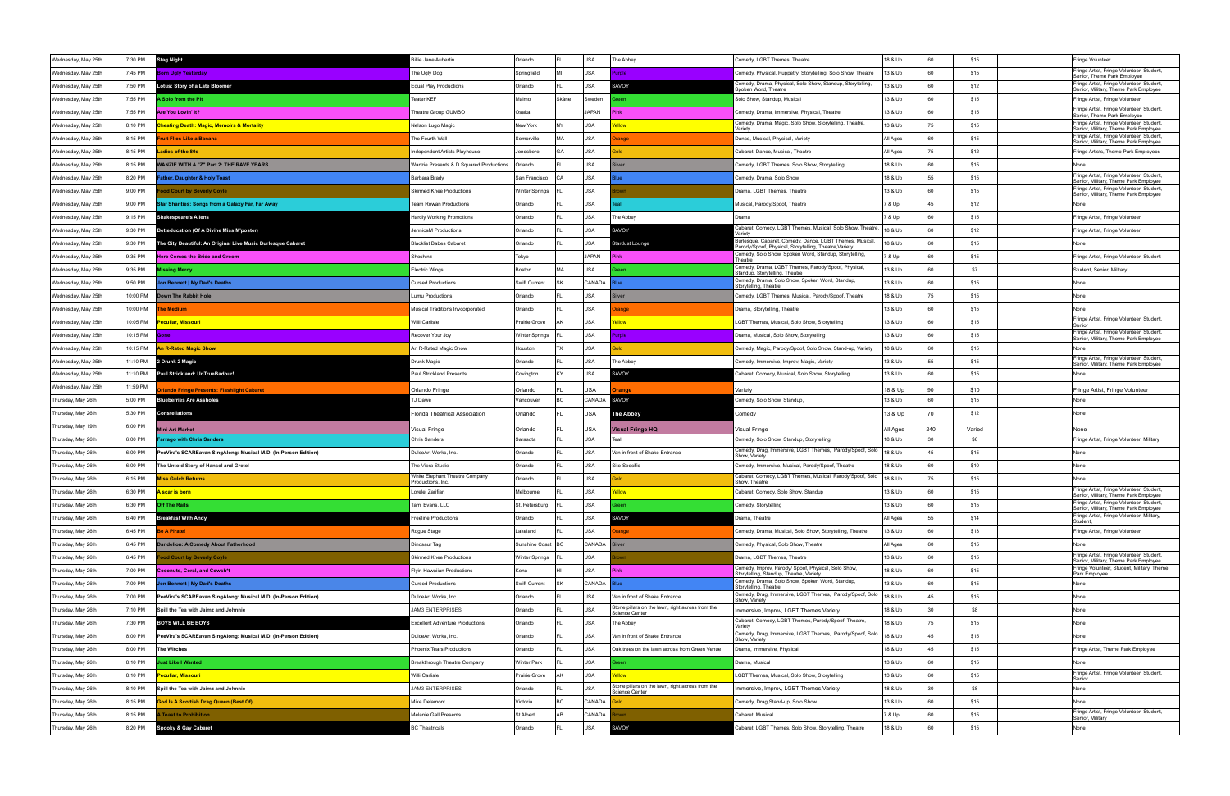| Wednesday, May 25th | 7:30 PM            | <b>Stag Night</b>                                                                     | Billie Jane Aubertin                               | Orlando            |       | <b>USA</b>   | The Abbey                                                                       | Comedy, LGBT Themes, Theatre                                                                                      | 18 & Up            | 60  | \$15   | Fringe Volunteer                                                                   |
|---------------------|--------------------|---------------------------------------------------------------------------------------|----------------------------------------------------|--------------------|-------|--------------|---------------------------------------------------------------------------------|-------------------------------------------------------------------------------------------------------------------|--------------------|-----|--------|------------------------------------------------------------------------------------|
| Wednesday, May 25th | 7:45 PM            | orn Ugly Yesterday                                                                    | he Ugly Dog                                        | Springfield        |       | USA          | rple.                                                                           | Comedy, Physical, Puppetry, Storytelling, Solo Show, Theatre                                                      | 13 & Up            | 60  | \$15   | Fringe Artist, Fringe Volunteer, Student,                                          |
| Wednesday, May 25th | 7:50 PM            | Lotus: Story of a Late Bloomer                                                        | Equal Play Productions                             | Orlando            |       | USA          | <b>AVOY</b>                                                                     | Comedy, Drama, Physical, Solo Show, Standup, Storytelling,                                                        | 13 & Up            | 60  | \$12   | Senior, Theme Park Employee<br>Fringe Artist, Fringe Volunteer, Student,           |
| Wednesday, May 25th | 7:55 PM            | Solo from the Pit                                                                     | Teater KEF                                         | Malmo              | Skåne | Sweden       |                                                                                 | Spoken Word, Theatre<br>Solo Show, Standup, Musical                                                               | 13 & Up            | 60  | \$15   | Senior, Military, Theme Park Employee<br>Fringe Artist, Fringe Volunteer           |
|                     | 7:55 PM            | Are You Lovin' It?                                                                    | Theatre Group GUMBO                                | Osaka              |       | JAPAN        |                                                                                 |                                                                                                                   | 13 & Up            | 60  | \$15   | Fringe Artist, Fringe Volunteer, Student,                                          |
| Wednesday, May 25th |                    |                                                                                       |                                                    |                    |       |              |                                                                                 | Comedy, Drama, Immersive, Physical, Theatre<br>Comedy, Drama, Magic, Solo Show, Storytelling, Theatre,            |                    |     |        | Senior, Theme Park Employee<br>Fringe Artist, Fringe Volunteer, Student,           |
| Wednesday, May 25th | 8:10 PM            | heating Death: Magic, Memoirs & Mortality                                             | Nelson Lugo Magic                                  | New York           | NY    | USA          |                                                                                 | Variety                                                                                                           | 13 & Up            | 75  | \$15   | Senior, Military, Theme Park Employee<br>Fringe Artist, Fringe Volunteer, Student, |
| Wednesday, May 25th | 8:15 PM            | ruit Flies Like a Banana                                                              | The Fourth Wall                                    | Somerville         | MA    | USA          | nge                                                                             | Dance, Musical, Physical, Variety                                                                                 | All Ages           | 60  | \$15   | Senior, Military, Theme Park Employee                                              |
| Wednesday, May 25th | 8:15 PM            | adies of the 80s                                                                      | Independent Artists Playhouse                      | Jonesboro          | GA    | USA          |                                                                                 | Cabaret, Dance, Musical, Theatre                                                                                  | All Ages           | 75  | \$12   | Fringe Artists, Theme Park Employees                                               |
| Wednesday, May 25th | 8:15 PM            | VANZIE WITH A "Z" Part 2: THE RAVE YEARS                                              | Wanzie Presents & D Squared Productions            | Orlando            |       | <b>USA</b>   |                                                                                 | Comedy, LGBT Themes, Solo Show, Storytelling                                                                      | 18 & Up            | 60  | \$15   |                                                                                    |
| Wednesday, May 25th | 8:20 PM            | ather, Daughter & Holy Toast                                                          | Barbara Brady                                      | San Francisco      |       | <b>USA</b>   |                                                                                 | Comedy, Drama, Solo Show                                                                                          | 18 & Up            | 55  | \$15   | Fringe Artist, Fringe Volunteer, Student,<br>Senior, Military, Theme Park Employee |
| Wednesday, May 25th | 9:00 PM            | ood Court by Beverly Coyle                                                            | <b>Skinned Knee Productions</b>                    | Winter Springs     |       | <b>USA</b>   |                                                                                 | Drama, LGBT Themes, Theatre                                                                                       | 13 & Up            | 60  | \$15   | Fringe Artist, Fringe Volunteer, Student,<br>Senior, Military, Theme Park Employee |
| Wednesday, May 25th | 9:00 PM            | Star Shanties: Songs from a Galaxy Far, Far Away                                      | Team Rowan Productions                             | Orlando            |       | <b>USA</b>   |                                                                                 | Musical, Parody/Spoof, Theatre                                                                                    | 7 & Up             | 45  | \$12   | None                                                                               |
| Wednesday, May 25th | 9:15 PM            | <b>Shakespeare's Aliens</b>                                                           | <b>Hardly Working Promotions</b>                   | Orlando            |       | <b>USA</b>   | The Abbey                                                                       | Drama                                                                                                             | 7 & Up             | 60  | \$15   | Fringe Artist, Fringe Volunteer                                                    |
| Wednesday, May 25th | 9:30 PM            | Betteducation (Of A Divine Miss M'poster)                                             | JennicaM Productions                               | Orlando            |       | USA          | <b>SAVOY</b>                                                                    | Cabaret, Comedy, LGBT Themes, Musical, Solo Show, Theatre                                                         | 18 & Up            | 60  | \$12   | Fringe Artist, Fringe Volunteer                                                    |
| Wednesday, May 25th | 9:30 PM            | The City Beautiful: An Original Live Music Burlesque Cabaret                          | <b>Blacklist Babes Cabaret</b>                     | Orlando            |       | USA          | <b>Stardust Lounge</b>                                                          | 3urlesque, Cabaret, Comedy, Dance, LGBT Themes, Musical,<br>arody/Spoof, Physical, Storytelling, Theatre, Variety | 18 & Up            | 60  | \$15   |                                                                                    |
| Wednesday, May 25th | 9:35 PM            | <b>Here Comes the Bride and Groom</b>                                                 | Shoshinz                                           | Tokyo              |       | <b>JAPAN</b> |                                                                                 | Comedy, Solo Show, Spoken Word, Standup, Storytelling,<br>Theatre                                                 | 7 & Up             | 60  | \$15   | Fringe Artist, Fringe Volunteer, Student                                           |
| Wednesday, May 25th | 9:35 PM            | issing Mercy                                                                          | <b>Electric Wings</b>                              | Boston             | MA    | <b>USA</b>   |                                                                                 | Comedy, Drama, LGBT Themes, Parody/Spoof, Physical,<br>Standup, Storytelling, Theatre                             | 13 & Up            | 60  | \$7    | Student, Senior, Military                                                          |
| Wednesday, May 25th | 9:50 PM            | on Bennett   My Dad's Deaths                                                          | <b>Cursed Productions</b>                          | Swift Current      |       | CANADA       |                                                                                 | Comedy, Drama, Solo Show, Spoken Word, Standup,<br>Storytelling, Theatre                                          | 13 & Up            | 60  | \$15   | None                                                                               |
| Wednesday, May 25th | 0:00 PM            | Down The Rabbit Hole                                                                  | Lumu Productions                                   | Orlando            |       | USA          |                                                                                 | Comedy, LGBT Themes, Musical, Parody/Spoof, Theatre                                                               | 18 & Up            | 75  | \$15   | None                                                                               |
| Wednesday, May 25th | 10:00 PM           | he Medium                                                                             | Musical Traditions Invcorporated                   | Orlando            |       | <b>USA</b>   | ange                                                                            | Drama, Storytelling, Theatre                                                                                      | 13 & Up            | 60  | \$15   | None                                                                               |
| Wednesday, May 25th | 10:05 PM           | Peculiar, Missouri                                                                    | Willi Carlisle                                     | Prairie Grove      |       | USA          | ellow                                                                           | LGBT Themes, Musical, Solo Show, Storytelling                                                                     | 13 & Up            | 60  | \$15   | Fringe Artist, Fringe Volunteer, Student,                                          |
| Wednesday, May 25th | 10:15 PM           | Gone                                                                                  | Recover Your Joy                                   | Winter Springs     |       | USA          | role                                                                            | Drama, Musical, Solo Show, Storytelling                                                                           | 13 & Up            | 60  | \$15   | Senior<br>Fringe Artist, Fringe Volunteer, Student,                                |
| Wednesday, May 25th | 10:15 PM           | n R-Rated Magic Show                                                                  | An R-Rated Magic Show                              | Houston            | TX    | USA          |                                                                                 | Comedy, Magic, Parody/Spoof, Solo Show, Stand-up, Variety                                                         | 18 & Up            | 60  | \$15   | Senior, Military, Theme Park Employee                                              |
|                     | 1:10 PM            | 2 Drunk 2 Magic                                                                       | Drunk Magio                                        | Orlando            |       | USA          | The Abbey                                                                       |                                                                                                                   | 13 & Up            | 55  | \$15   | Fringe Artist, Fringe Volunteer, Student,                                          |
| Wednesday, May 25th |                    |                                                                                       |                                                    |                    |       |              |                                                                                 | Comedy, Immersive, Improv, Magic, Variety                                                                         |                    |     |        | Senior, Military, Theme Park Employee                                              |
| Wednesday, May 25th | 11:10 PM           | Paul Strickland: UnTrueBadour!                                                        | <b>Paul Strickland Presents</b>                    | Covington          |       | <b>USA</b>   | SAVOY                                                                           | Cabaret, Comedy, Musical, Solo Show, Storytelling                                                                 | 13 & Up            | 60  | \$15   | None                                                                               |
| Wednesday, May 25th | 11:59 PM           | lando Fringe Presents: Flashlight Cabaret                                             | Orlando Fringe                                     | Orlando            |       | USA          | range                                                                           | Variety                                                                                                           | 18 & Up            | 90  | \$10   | Fringe Artist, Fringe Volunteer                                                    |
| Thursday, May 26th  | 5:00 PM            | <b>Blueberries Are Assholes</b>                                                       | ГЈ Dawe                                            | Vancouver          |       | CANADA       | SAVOY                                                                           | Comedy, Solo Show, Standup,                                                                                       | 13 & Up            | 60  | \$15   | None                                                                               |
| Thursday, May 26th  | 5:30 PM            | <b>Constellations</b>                                                                 | Florida Theatrical Association                     | Orlando            |       | USA          | <b>The Abbey</b>                                                                | Comedy                                                                                                            | 13 & Up            | 70  | \$12   | None                                                                               |
| Thursday, May 19th  | 6:00 PM            | ini-Art Market                                                                        | /isual Fringe                                      | Orlando            |       | USA          | /isual Fringe HQ                                                                | <b>Visual Fringe</b>                                                                                              | All Ages           | 240 | Varied | None                                                                               |
| Thursday, May 26th  | 6:00 PM            | arrago with Chris Sanders                                                             | Chris Sanders                                      | Sarasota           |       | <b>USA</b>   | Teal                                                                            | Comedy, Solo Show, Standup, Storytelling                                                                          | 18 & Up            | 30  | \$6    | Fringe Artist, Fringe Volunteer, Military                                          |
| Thursday, May 26th  | 6:00 PM            | PeeVira's SCAREavan SingAlong: Musical M.D. (In-Person Edition)                       | DulceArt Works, Inc.                               | Orlando            |       | <b>USA</b>   | Van in front of Shake Entrance                                                  | Comedy, Drag, Immersive, LGBT Themes, Parody/Spoof, Solo<br>Show, Variety                                         | 18 & Up            | 45  | \$15   | None                                                                               |
| Thursday, May 26th  | 6:00 PM            | The Untold Story of Hansel and Gretel                                                 | The Viera Studio                                   | Orlando            |       | USA          | Site-Specific                                                                   | Comedy, Immersive, Musical, Parody/Spoof, Theatre                                                                 | 18 & Up            | 60  | \$10   | None                                                                               |
| Thursday, May 26th  | 6:15 PM            | liss Gulch Returns                                                                    | White Elephant Theatre Company<br>Productions, Inc | Orlando            |       | USA          |                                                                                 | Cabaret, Comedy, LGBT Themes, Musical, Parody/Spoof, Solo<br>Show, Theatre                                        | 18 & Up            | 75  | \$15   |                                                                                    |
| Thursday, May 26th  | 6:30 PM            | scar is born                                                                          | Lorelei Zarifian                                   | Melbourne          |       | USA          |                                                                                 | Cabaret, Comedy, Solo Show, Standup                                                                               | 13 & Up            | 60  | \$15   | Fringe Artist, Fringe Volunteer, Student,<br>Senior, Military, Theme Park Employee |
| Thursday, May 26th  | 6:30 PM            | <b>Off The Rails</b>                                                                  | Tami Evans, LLC                                    | St. Petersburg     |       | USA          |                                                                                 | Comedy, Storytelling                                                                                              | 13 & Up            | 60  | \$15   | Fringe Artist, Fringe Volunteer, Student,<br>Senior, Military, Theme Park Employee |
| Thursday, May 26th  | 6:40 PM            | <b>Breakfast With Andy</b>                                                            | reeline Productions                                | Orlando            |       | USA          | SAVOY                                                                           | Orama, Theatre                                                                                                    | All Ages           | 55  | \$14   | Fringe Artist, Fringe Volunteer, Military,<br>Student.                             |
| Thursday, May 26th  | 6:45 PM            | le A Pirate!                                                                          | Rogue Stage                                        | Lakeland           |       | <b>USA</b>   | ange                                                                            | Comedy, Drama, Musical, Solo Show, Storytelling, Theatre                                                          | 13 & Up            | 60  | \$13   | Fringe Artist, Fringe Volunteer                                                    |
| Thursday, May 26th  | 6:45 PM            | Indelion: A Comedy About Fatherhood                                                   | Dinosaur Tag                                       | Sunshine Coast     | BC.   | CANADA       | ilver                                                                           | Comedy, Physical, Solo Show, Theatre                                                                              | All Ages           | 60  | \$15   | None                                                                               |
| Thursday, May 26th  | 6:45 PM            | od Court by Beverly Coyle                                                             | <b>Skinned Knee Productions</b>                    | Winter Springs     |       | USA          |                                                                                 | Drama, LGBT Themes, Theatre                                                                                       | 13 & Up            | 60  | \$15   | Fringe Artist, Fringe Volunteer, Student,<br>Senior, Military, Theme Park Employee |
| Thursday, May 26th  | 7:00 PM            | <b>Coconuts, Coral, and Cowsh*t</b>                                                   | Flyin Hawaiian Productions                         | Kona               |       | USA          | Pink                                                                            | Comedy, Improv, Parody/ Spoof, Physical, Solo Show,<br>Storytelling, Standup, Theatre, Variety                    | 18 & Up            | 60  | \$15   | Fringe Volunteer, Student, Military, Theme<br>Park Employee                        |
| Thursday, May 26th  | 7:00 PM            | on Bennett   My Dad's Deaths                                                          | <b>Cursed Productions</b>                          | Swift Current      |       | CANADA       |                                                                                 | Comedy, Drama, Solo Show, Spoken Word, Standup,                                                                   | 13 & Up            | 60  | \$15   | None                                                                               |
| Thursday, May 26th  | 7:00 PM            | PeeVira's SCAREavan SingAlong: Musical M.D. (In-Person Edition)                       | DulceArt Works, Inc.                               | Orlando            |       | USA          | Van in front of Shake Entrance                                                  | Storytelling, Theatre<br>Comedy, Drag, Immersive, LGBT Themes, Parody/Spoof, Solo                                 | 18 & Up            | 45  | \$15   | None                                                                               |
| Thursday, May 26th  | 7:10 PM            | Spill the Tea with Jaimz and Johnnie                                                  | JAM3 ENTERPRISES                                   | Orlando            |       | <b>USA</b>   | Stone pillars on the lawn, right across from the                                | Show, Variety<br>Immersive, Improv, LGBT Themes, Variety                                                          | 18 & Up            | 30  | \$8    | None                                                                               |
| Thursday, May 26th  | 7:30 PM            | <b>BOYS WILL BE BOYS</b>                                                              | <b>Excellent Adventure Productions</b>             | Orlando            |       | USA          | Science Center<br>The Abbey                                                     | Cabaret, Comedy, LGBT Themes, Parody/Spoof, Theatre,                                                              | 18 & Up            | 75  | \$15   | None                                                                               |
|                     |                    |                                                                                       |                                                    |                    |       | USA          |                                                                                 | Variety<br>Comedy, Drag, Immersive, LGBT Themes, Parody/Spoof, Solo                                               |                    | 45  | \$15   |                                                                                    |
| Thursday, May 26th  | 8:00 PM<br>8:00 PM | PeeVira's SCAREavan SingAlong: Musical M.D. (In-Person Edition)<br><b>The Witches</b> | DulceArt Works, Inc.<br>Phoenix Tears Productions  | Orlando<br>Orlando |       | USA          | Van in front of Shake Entrance<br>Oak trees on the lawn across from Green Venue | Show, Variety                                                                                                     | 18 & Up<br>18 & Up | 45  | \$15   | None<br>Fringe Artist, Theme Park Employee                                         |
| Thursday, May 26th  |                    |                                                                                       |                                                    |                    |       |              |                                                                                 | Drama, Immersive, Physical                                                                                        |                    |     |        |                                                                                    |
| Thursday, May 26th  | 8:10 PM            | ust Like I Wanted                                                                     | Breakthrough Theatre Company                       | <b>Winter Park</b> |       | <b>USA</b>   |                                                                                 | Drama, Musical                                                                                                    | 13 & Up            | 60  | \$15   | None<br>Fringe Artist, Fringe Volunteer, Student,                                  |
| Thursday, May 26th  | 8:10 PM            | eculiar, Missouri                                                                     | Willi Carlisle                                     | Prairie Grove      |       | USA          | ellow <sup>1</sup><br>Stone pillars on the lawn, right across from the          | LGBT Themes, Musical, Solo Show, Storytelling                                                                     | 13 & Up            | 60  | \$15   | Senior                                                                             |
| Thursday, May 26th  | 8:10 PM            | Spill the Tea with Jaimz and Johnnie                                                  | <b>JAM3 ENTERPRISES</b>                            | Orlando            |       | USA          | <b>Science Center</b>                                                           | Immersive, Improv, LGBT Themes, Variety                                                                           | 18 & Up            | 30  | \$8    | None                                                                               |
| Thursday, May 26th  | 8:15 PM            | God Is A Scottish Drag Queen (Best Of)                                                | Mike Delamont                                      | Victoria           |       | CANADA       |                                                                                 | Comedy, Drag, Stand-up, Solo Show                                                                                 | 13 & Up            | 60  | \$15   | None                                                                               |
| Thursday, May 26th  | 8:15 PM            | <b>Toast to Prohibition</b>                                                           | Melanie Gall Presents                              | St Albert          | AB    | CANADA       |                                                                                 | Cabaret, Musical                                                                                                  | 7 & Up             | 60  | \$15   | Fringe Artist, Fringe Volunteer, Student,<br>Senior, Military                      |
| Thursday, May 26th  | 8:20 PM            | Spooky & Gay Cabaret                                                                  | <b>3C Theatricals</b>                              | Orlando            |       | <b>USA</b>   | SAVOY                                                                           | Cabaret, LGBT Themes, Solo Show, Storytelling, Theatre                                                            | 18 & Up            | 60  | \$15   | None                                                                               |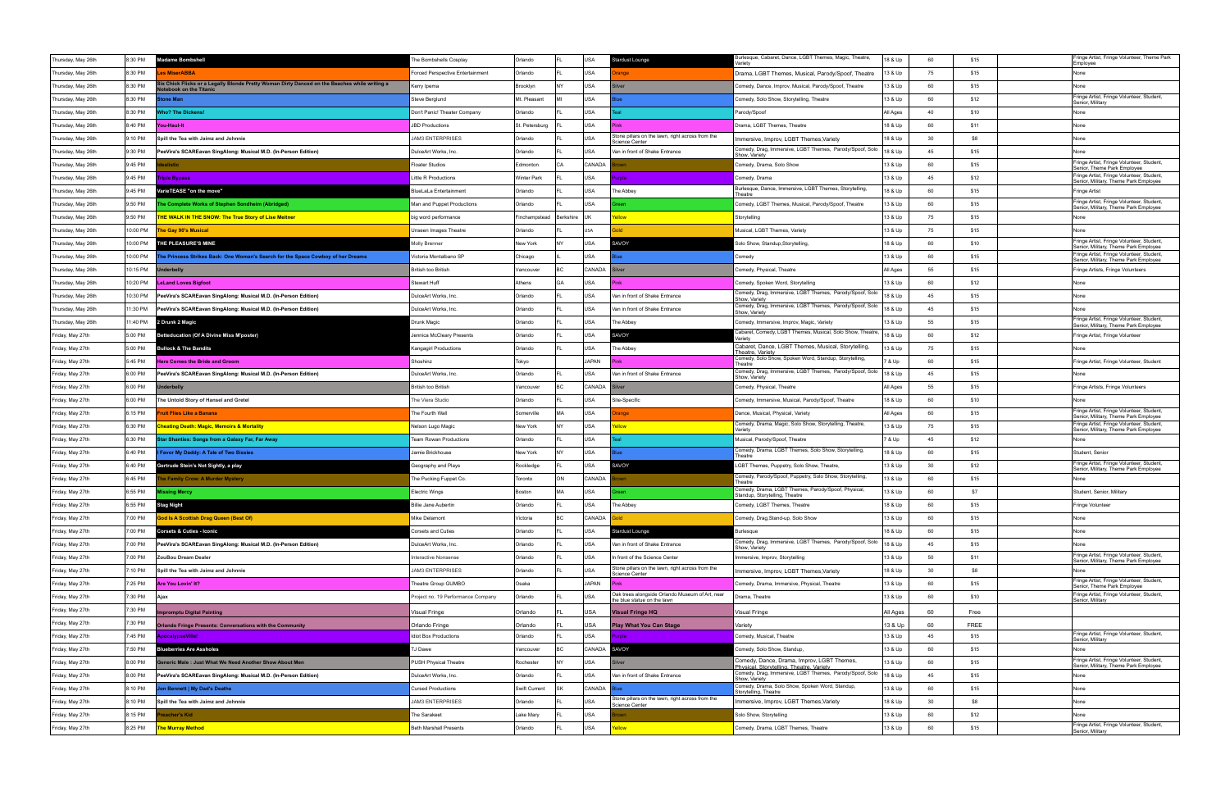| Thursday, May 26th | 8:30 PM  | <b>Madame Bombshell</b>                                                                                               | The Bombshells Cosplay             | Orlando            |           | USA           | <b>Stardust Lounge</b>                                                         | Burlesque, Cabaret, Dance, LGBT Themes, Magic, Theatre,<br>/ariety                     | 18 & Up  | 60 | \$15        | Fringe Artist, Fringe Volunteer, Theme Park<br>Employee                                                                     |
|--------------------|----------|-----------------------------------------------------------------------------------------------------------------------|------------------------------------|--------------------|-----------|---------------|--------------------------------------------------------------------------------|----------------------------------------------------------------------------------------|----------|----|-------------|-----------------------------------------------------------------------------------------------------------------------------|
| Thursday, May 26th | 8:30 PM  | <b>es MiserABBA</b>                                                                                                   | Forced Perspective Entertainment   | Orlando            |           | USA           | ange                                                                           | Drama, LGBT Themes, Musical, Parody/Spoof, Theatre                                     | 13 & Up  | 75 | \$15        | None                                                                                                                        |
| Thursday, May 26th | 8:30 PM  | ix Chick Flicks or a Legally Blonde Pretty Woman Dirty Danced on the Beaches while writing a<br>tebook on the Titanic | Kerry Ipema                        | Brooklyn           | <b>NY</b> | USA           | <b>Iver</b>                                                                    | Comedy, Dance, Improv, Musical, Parody/Spoof, Theatre                                  | 13 & Up  | 60 | \$15        | None                                                                                                                        |
| Thursday, May 26th | 8:30 PM  | one Man                                                                                                               | Steve Berglund                     | Mt. Pleasant       |           | USA           |                                                                                | Comedy, Solo Show, Storytelling, Theatre                                               | 13 & Up  | 60 | \$12        | Fringe Artist, Fringe Volunteer, Student,<br>Senior, Military                                                               |
| Thursday, May 26th | 8:30 PM  | <b>Tho? The Dickens!</b>                                                                                              | Don't Panic! Theater Company       | Orlando            |           | USA           |                                                                                | Parody/Spoof                                                                           | All Ages | 40 | \$10        | None                                                                                                                        |
| Thursday, May 26th | 8:40 PM  | You-Haul-It                                                                                                           | <b>JBD Productions</b>             | St. Petersburg     |           | USA           |                                                                                | Drama, LGBT Themes, Theatre                                                            | 18 & Up  | 60 | \$11        | None                                                                                                                        |
| Thursday, May 26th | 9:10 PM  | Spill the Tea with Jaimz and Johnnie                                                                                  | <b>JAM3 ENTERPRISES</b>            | Orlando            |           | USA           | Stone pillars on the lawn, right across from the<br><b>Science Center</b>      | Immersive, Improv, LGBT Themes, Variety                                                | 18 & Up  | 30 | \$8         | None                                                                                                                        |
| Thursday, May 26th | 9:30 PM  | PeeVira's SCAREavan SingAlong: Musical M.D. (In-Person Edition)                                                       | DulceArt Works, Inc.               | Orlando            |           | USA           | Van in front of Shake Entrance                                                 | Comedy, Drag, Immersive, LGBT Themes, Parody/Spoof, Solo<br>Show, Variety              | 18 & Up  | 45 | \$15        | None                                                                                                                        |
| Thursday, May 26th | 9:45 PM  | alistic                                                                                                               | Floater Studios                    | Edmonton           | CA        | CANADA        |                                                                                | Comedy, Drama, Solo Show                                                               | 13 & Up  | 60 | \$15        | Fringe Artist, Fringe Volunteer, Student,<br>Senior, Theme Park Employee                                                    |
| Thursday, May 26th | 9:45 PM  | Triple Bypass                                                                                                         | ittle R Productions                | <b>Winter Park</b> |           | USA           | irole                                                                          | Comedy, Drama                                                                          | 13 & Up  | 45 | \$12        | Fringe Artist, Fringe Volunteer, Student,<br>Senior, Military, Theme Park Employee                                          |
| Thursday, May 26th | 9:45 PM  | VarieTEASE "on the move"                                                                                              | <b>BlueLaLa Entertainment</b>      | Orlando            |           | USA           | The Abbey                                                                      | Burlesque, Dance, Immersive, LGBT Themes, Storytelling<br>Theatre                      | 18 & Up  | 60 | \$15        | Fringe Artist                                                                                                               |
| Thursday, May 26th | 9:50 PM  | he Complete Works of Stephen Sondheim (Abridged)                                                                      | Man and Puppet Productions         | Orlando            |           | USA           |                                                                                | Comedy, LGBT Themes, Musical, Parody/Spoof, Theatre                                    | 13 & Up  | 60 | \$15        | Fringe Artist, Fringe Volunteer, Student,<br>Senior, Military, Theme Park Employee                                          |
| Thursday, May 26th | 9:50 PM  | <b>HE WALK IN THE SNOW: The True Story of Lise Meitner</b>                                                            | big word performance               | Finchampstead      | Berkshire | l Uk          |                                                                                | Storytelling                                                                           | 13 & Up  | 75 | \$15        | None                                                                                                                        |
| Thursday, May 26th | 10:00 PM | he Gay 90's Musical                                                                                                   | Unseen Images Theatre              | Orlando            |           | USA           |                                                                                | Musical, LGBT Themes, Variety                                                          | 13 & Up  | 75 | \$15        | None                                                                                                                        |
| Thursday, May 26th | 10:00 PM | THE PLEASURE'S MINE                                                                                                   | Molly Brenner                      | New York           | <b>NY</b> | USA           | SAVOY                                                                          | Solo Show, Standup, Storytelling,                                                      | 18 & Up  | 60 | \$10        | Fringe Artist, Fringe Volunteer, Student,<br>Senior, Military, Theme Park Employee                                          |
| Thursday, May 26th | 10:00 PM | The Princess Strikes Back: One Woman's Search for the Space Cowboy of her Dreams                                      | /ictoria Montalbano SP             | Chicago            |           | USA           |                                                                                | Comedy                                                                                 | 13 & Up  | 60 | \$15        | Fringe Artist, Fringe Volunteer, Student,<br>Senior, Military, Theme Park Employee                                          |
| Thursday, May 26th | 10:15 PM | <b>nderbelly</b>                                                                                                      | <b>British too British</b>         | Vancouve           |           | <b>CANADA</b> |                                                                                | Comedy, Physical, Theatre                                                              | All Ages | 55 | \$15        | Fringe Artists, Fringe Volunteers                                                                                           |
| Thursday, May 26th | 10:20 PM | <b>LeLand Loves Bigfoot</b>                                                                                           | Stewart Huff                       | Athens             | GA        | USA           |                                                                                | Comedy, Spoken Word, Storytelling                                                      | 13 & Up  | 60 | \$12        | None                                                                                                                        |
| Thursday, May 26th | 10:30 PM | PeeVira's SCAREavan SingAlong: Musical M.D. (In-Person Edition)                                                       | DulceArt Works, Inc.               | Orlando            |           | <b>USA</b>    | Van in front of Shake Entrance                                                 | Comedy, Drag, Immersive, LGBT Themes, Parody/Spoof, Solo<br>Show, Variety              | 18 & Up  | 45 | \$15        | None                                                                                                                        |
| Thursday, May 26th | 11:30 PM | PeeVira's SCAREavan SingAlong: Musical M.D. (In-Person Edition)                                                       | DulceArt Works, Inc.               | Orlando            |           | USA           | Van in front of Shake Entrance                                                 | Comedy, Drag, Immersive, LGBT Themes, Parody/Spoof, Solo<br>Show, Variety              | 18 & Up  | 45 | \$15        | None                                                                                                                        |
| Thursday, May 26th | 11:40 PM | 2 Drunk 2 Magic                                                                                                       | Drunk Magic                        | Orlando            |           | USA           | The Abbey                                                                      | Comedy, Immersive, Improv, Magic, Variety                                              | 13 & Up  | 55 | \$15        | Fringe Artist, Fringe Volunteer, Student,<br>Senior, Military, Theme Park Employee                                          |
| Friday, May 27th   | 5:00 PM  | <b>Betteducation (Of A Divine Miss M'poster)</b>                                                                      | Jennica McCleary Presents          | Orlando            |           | USA           | SAVOY                                                                          | Cabaret, Comedy, LGBT Themes, Musical, Solo Show, Theatre,<br>/arietv                  | 18 & Up  | 60 | \$12        | Fringe Artist, Fringe Volunteer                                                                                             |
| Friday, May 27th   | 5:00 PM  | <b>Bullock &amp; The Bandits</b>                                                                                      | Kangagirl Productions              | Orlando            |           | <b>USA</b>    | The Abbey                                                                      | Cabaret, Dance, LGBT Themes, Musical, Storytelling,<br>Theatre, Variety                | 13 & Up  | 75 | \$15        | None                                                                                                                        |
| Friday, May 27th   | 5:45 PM  | <b>Here Comes the Bride and Groom</b>                                                                                 | Shoshinz                           | Tokyo              |           | <b>JAPAN</b>  |                                                                                | Comedy, Solo Show, Spoken Word, Standup, Storytelling,<br>Theatre                      | ' & Up   | 60 | \$15        | Fringe Artist, Fringe Volunteer, Student                                                                                    |
| Friday, May 27th   | 6:00 PM  | PeeVira's SCAREavan SingAlong: Musical M.D. (In-Person Edition)                                                       | DulceArt Works, Inc.               | Orlando            |           | USA           | Van in front of Shake Entrance                                                 | Comedy, Drag, Immersive, LGBT Themes, Parody/Spoof, Solo<br>Show, Variety              | 18 & Up  | 45 | \$15        | None                                                                                                                        |
| Friday, May 27th   | 6:00 PM  | <b>nderbelly</b>                                                                                                      | British too British                | Vancouve           |           | CANADA        |                                                                                | Comedy, Physical, Theatre                                                              | All Ages | 55 | \$15        | Fringe Artists, Fringe Volunteers                                                                                           |
|                    |          |                                                                                                                       |                                    |                    |           |               |                                                                                |                                                                                        |          |    |             |                                                                                                                             |
| Friday, May 27th   | 6:00 PM  | The Untold Story of Hansel and Gretel                                                                                 | The Viera Studio                   | Orlando            |           | USA           | Site-Specific                                                                  | Comedy, Immersive, Musical, Parody/Spoof, Theatre                                      | 18 & Up  | 60 | \$10        |                                                                                                                             |
| Friday, May 27th   | 6:15 PM  | ruit Flies Like a Banana                                                                                              | The Fourth Wall                    | Somerville         | MА        | USA           | ange                                                                           | Dance, Musical, Physical, Variety                                                      | All Ages | 60 | \$15        | Fringe Artist, Fringe Volunteer, Student,                                                                                   |
| Friday, May 27th   | 6:30 PM  | <b>heating Death: Magic, Memoirs &amp; Mortality</b>                                                                  | Nelson Lugo Magic                  | New York           | NY        | USA           | llow                                                                           | Comedy, Drama, Magic, Solo Show, Storytelling, Theatre,<br>Variety                     | 13 & Up  | 75 | \$15        | Senior, Military, Theme Park Employee<br>Fringe Artist, Fringe Volunteer, Student,<br>Senior, Military, Theme Park Employee |
| Friday, May 27th   | 6:30 PM  | tar Shanties: Songs from a Galaxy Far, Far Away                                                                       | Team Rowan Productions             | Orlando            |           | USA           |                                                                                | Musical, Parody/Spoof, Theatre                                                         | 7 & Up   | 45 | \$12        | None                                                                                                                        |
| Friday, May 27th   | 6:40 PM  | Favor My Daddy: A Tale of Two Sissies                                                                                 | Jamie Brickhouse                   | New York           |           | USA           |                                                                                | Comedy, Drama, LGBT Themes, Solo Show, Storytelling<br>Theatre                         | 18 & Up  | 60 | \$15        | Student, Senior                                                                                                             |
| Friday, May 27th   | 6:40 PM  | Gertrude Stein's Not Sightly, a play                                                                                  | Geography and Plays                | Rockledge          |           | USA           | SAVOY                                                                          | GBT Themes, Puppetry, Solo Show, Theatre,                                              | 13 & Up  | 30 | \$12        | Fringe Artist, Fringe Volunteer, Student,<br>Senior, Military, Theme Park Employee                                          |
| Friday, May 27th   | 6:45 PM  | e Family Crow: A Murder Mystery                                                                                       | The Pucking Fuppet Co.             | Toronto            | ON        | CANADA        |                                                                                | Comedy, Parody/Spoof, Puppetry, Solo Show, Storytelling,<br><b>Theatre</b>             | 13 & Up  | 60 | \$15        | None                                                                                                                        |
| Friday, May 27th   | 6:55 PM  | issing Mercy                                                                                                          | <b>Electric Wings</b>              | Boston             | <b>MA</b> | USA           |                                                                                | Comedy, Drama, LGBT Themes, Parody/Spoof, Physical,<br>Standup, Storytelling, Theatre  | 13 & Up  | 60 | \$7         | Student, Senior, Military                                                                                                   |
| Friday, May 27th   | 6:55 PM  | <b>Stag Night</b>                                                                                                     | llie Jane Aubertin                 | Orlando            |           | <b>USA</b>    | The Abbey                                                                      | Comedy, LGBT Themes, Theatre                                                           | 18 & Up  | 60 | \$15        | Fringe Volunteer                                                                                                            |
| Friday, May 27th   | 7:00 PM  | <b>God Is A Scottish Drag Queen (Best Of)</b>                                                                         | Mike Delamont                      | Victoria           | BC        | CANADA        |                                                                                | Comedy, Drag, Stand-up, Solo Show                                                      | 13 & Up  | 60 | \$15        | None                                                                                                                        |
| Friday, May 27th   | 7:00 PM  | <b>Corsets &amp; Cuties - Iconic</b>                                                                                  | Corsets and Cuties                 | Orlando            |           | USA           | Stardust Lounge                                                                | 3urlesque                                                                              | 18 & Up  | 60 | \$15        | None                                                                                                                        |
| Friday, May 27th   | 7:00 PM  | PeeVira's SCAREavan SingAlong: Musical M.D. (In-Person Edition)                                                       | DulceArt Works, Inc.               | Orlando            |           | USA           | Van in front of Shake Entrance                                                 | Comedy, Drag, Immersive, LGBT Themes, Parody/Spoof, Solo<br>Show, Variety              | 18 & Up  | 45 | \$15        | None                                                                                                                        |
| Friday, May 27th   | 7:00 PM  | ZouBou Dream Dealer                                                                                                   | nteractive Nonsense                | Orlando            |           | USA           | In front of the Science Center                                                 | Immersive, Improv, Storytelling                                                        | 13 & Up  | 50 | \$11        | Fringe Artist, Fringe Volunteer, Student,<br>Senior, Military, Theme Park Employee                                          |
| Friday, May 27th   | 7:10 PM  | Spill the Tea with Jaimz and Johnnie                                                                                  | <b>JAM3 ENTERPRISES</b>            | Orlando            |           | USA           | Stone pillars on the lawn, right across from the<br><b>Science Center</b>      | Immersive, Improv, LGBT Themes, Variety                                                | 18 & Up  | 30 | \$8         | None.                                                                                                                       |
| Friday, May 27th   | 7:25 PM  | Are You Lovin' It?                                                                                                    | Theatre Group GUMBO                | Osaka              |           | <b>JAPAN</b>  | Pink                                                                           | Comedy, Drama, Immersive, Physical, Theatre                                            | 13 & Up  | 60 | \$15        | Fringe Artist, Fringe Volunteer, Student,<br>Senior, Theme Park Employee                                                    |
| Friday, May 27th   | 7:30 PM  | Aiax                                                                                                                  | Project no. 19 Performance Company | Orlando            |           | lusa          | Oak trees alongside Orlando Museum of Art, near<br>the blue statue on the lawn | Drama, Theatre                                                                         | 13 & Up  | 60 | \$10        | Fringe Artist, Fringe Volunteer, Student,<br>Senior, Military                                                               |
| Friday, May 27th   | 7:30 PM  | promptu Digital Painting                                                                                              | /isual Fringe                      | Orlando            |           | <b>USA</b>    | <b>Visual Fringe HQ</b>                                                        | Visual Fringe                                                                          | All Ages | 60 | Free        |                                                                                                                             |
| Friday, May 27th   | 7:30 PM  | <b>Orlando Fringe Presents: Conversations with the Community</b>                                                      | Orlando Fringe                     | Orlando            |           | <b>USA</b>    | lay What You Can Stage                                                         | Variety                                                                                | 13 & Up  | 60 | <b>FREE</b> |                                                                                                                             |
| Friday, May 27th   | 7:45 PM  | pocalypseVille!                                                                                                       | diot Box Productions               | Orlando            |           | USA           | ırole                                                                          | Comedy, Musical, Theatre                                                               | 13 & Up  | 45 | \$15        | Fringe Artist, Fringe Volunteer, Student,<br>Senior, Military                                                               |
| Friday, May 27th   | 7:50 PM  | <b>Blueberries Are Assholes</b>                                                                                       | <b>J Dawe</b>                      | Vancouver          | BC.       | CANADA        | SAVOY                                                                          | Comedy, Solo Show, Standup,                                                            | 13 & Up  | 60 | \$15        | None                                                                                                                        |
| Friday, May 27th   | 8:00 PM  | Generic Male: Just What We Need Another Show About Men                                                                | PUSH Physical Theatre              | Rochester          | NY        | USA           | ilver                                                                          | Comedy, Dance, Drama, Improv, LGBT Themes,<br>Physical, Storytelling, Theatre, Variety | 13 & Up  | 60 | \$15        | Fringe Artist, Fringe Volunteer, Student,<br>Senior, Military, Theme Park Employee                                          |
| Friday, May 27th   | 8:00 PM  | PeeVira's SCAREavan SingAlong: Musical M.D. (In-Person Edition)                                                       | DulceArt Works, Inc.               | Orlando            |           | USA           | Van in front of Shake Entrance                                                 | Comedy, Drag, Immersive, LGBT Themes, Parody/Spoof, Solo<br>Show, Variety              | 18 & Up  | 45 | \$15        | None                                                                                                                        |
| Friday, May 27th   | 3:10 PM  | on Bennett   My Dad's Deaths                                                                                          | <b>Cursed Productions</b>          | Swift Current      |           | CANADA        |                                                                                | Comedy, Drama, Solo Show, Spoken Word, Standup,<br>Storytelling, Theatre               | 13 & Up  | 60 | \$15        | None                                                                                                                        |
| Friday, May 27th   | 8:10 PM  | Spill the Tea with Jaimz and Johnnie                                                                                  | <b>JAM3 ENTERPRISES</b>            | Orlando            |           | USA           | Stone pillars on the lawn, right across from the<br>Science Center             | Immersive, Improv, LGBT Themes, Variety                                                | 18 & Up  | 30 | \$8         | None                                                                                                                        |
| Friday, May 27th   | 8:15 PM  | acher's Kid                                                                                                           | The Sarakeet                       | Lake Mary          |           | USA           |                                                                                | Solo Show, Storytelling                                                                | 13 & Up  | 60 | \$12        | None<br>Fringe Artist, Fringe Volunteer, Student,                                                                           |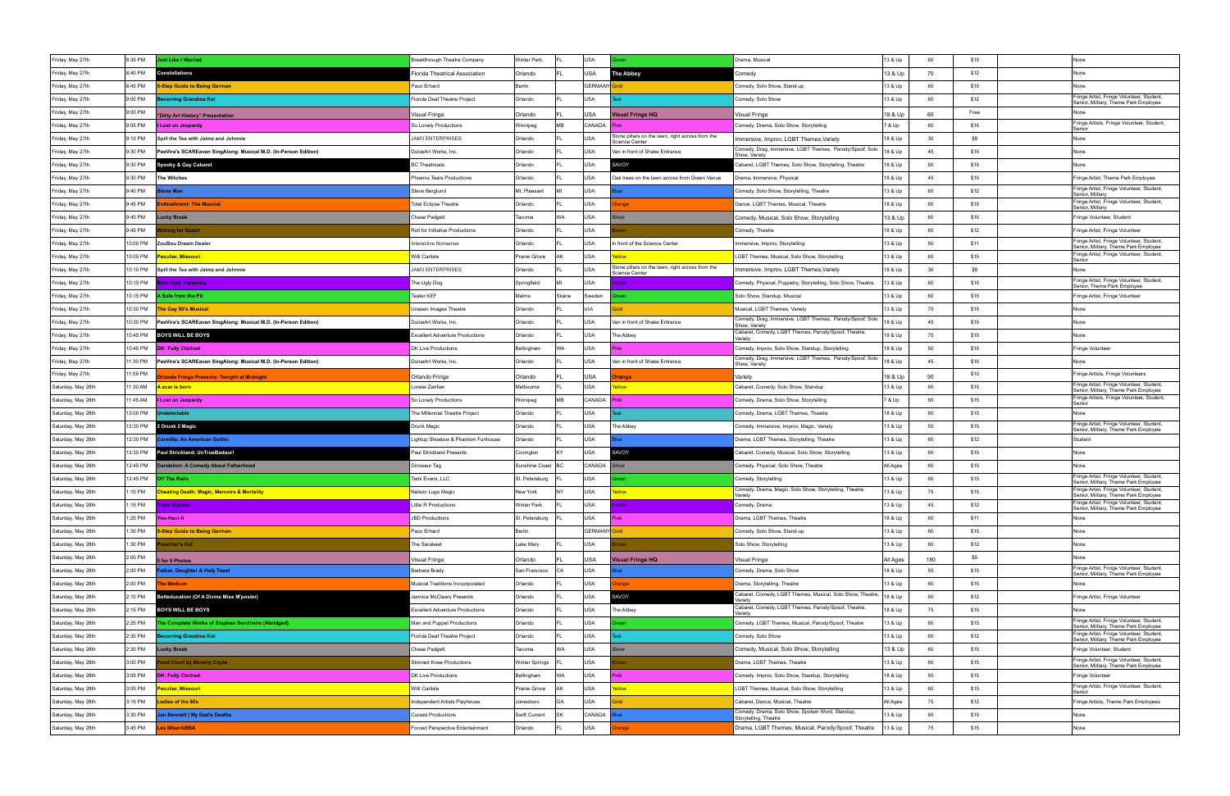| Friday, May 27th   | 8:35 PM  | ust Like I Wanted                                               | Breakthrough Theatre Company           | <b>Winter Park</b>  |           | USA                 |                                                                           | Drama, Musical                                                            | 13 & Up  | 60  | \$15 | None                                                                               |
|--------------------|----------|-----------------------------------------------------------------|----------------------------------------|---------------------|-----------|---------------------|---------------------------------------------------------------------------|---------------------------------------------------------------------------|----------|-----|------|------------------------------------------------------------------------------------|
| Friday, May 27th   | 8:40 PM  | Constellations                                                  | Florida Theatrical Association         | Orlando             |           | USA                 | <b>The Abbey</b>                                                          | Comedy                                                                    | 13 & Up  | 70  | \$12 | None                                                                               |
| Friday, May 27th   | 8:45 PM  | <b>Step Guide to Being German</b>                               | Paco Erhard                            | Berlin              |           | <b>GERMANY</b> Gold |                                                                           | Comedy, Solo Show, Stand-up                                               | 13 & Up  | 60  | \$15 | None                                                                               |
| Friday, May 27th   | 9:00 PM  | coming Grandma Kat                                              | Florida Deaf Theatre Project           | Orlando             |           | USA                 |                                                                           | Comedy, Solo Show                                                         | 13 & Up  | 60  | \$12 | Fringe Artist, Fringe Volunteer, Student,<br>Senior, Military, Theme Park Employee |
| Friday, May 27th   | 9:00 PM  | "Dirty Art History" Presentation                                | Visual Fringe                          | Orlando             |           | USA                 | <b>Visual Fringe HQ</b>                                                   | Visual Fringe                                                             | 18 & Up  | 60  | Free | None                                                                               |
| Friday, May 27th   | 9:05 PM  | <b>I Lost on Jeopardy</b>                                       | So Lonely Productions                  | Winnipeg            | <b>MB</b> | CANADA              | Pink                                                                      | Comedy, Drama, Solo Show, Storytelling                                    | 7 & Up   | 60  | \$15 | Fringe Artists, Fringe Volunteer, Student,<br>Senior                               |
| Friday, May 27th   | 9:10 PM  | Spill the Tea with Jaimz and Johnnie                            | <b>JAM3 ENTERPRISES</b>                | Orlando             |           | <b>USA</b>          | Stone pillars on the lawn, right across from the<br><b>Science Center</b> | Immersive, Improv, LGBT Themes, Variety                                   | 18 & Up  | 30  | \$8  | None                                                                               |
| Friday, May 27th   | 9:30 PM  | PeeVira's SCAREavan SingAlong: Musical M.D. (In-Person Edition) | DulceArt Works, Inc.                   | Orlando             |           | USA                 | Van in front of Shake Entrance                                            | Comedy, Drag, Immersive, LGBT Themes, Parody/Spoof, Solo<br>Show, Variety | 18 & Up  | 45  | \$15 | None                                                                               |
| Friday, May 27th   | 9:30 PM  | Spooky & Gay Cabaret                                            | <b>3C Theatricals</b>                  | Orlando             |           | USA                 | <b>SAVOY</b>                                                              | abaret, LGBT Themes, Solo Show, Storytelling, Theatre                     | 18 & Up  | 60  | \$15 | None                                                                               |
| Friday, May 27th   | 9:30 PM  | <b>The Witches</b>                                              | Phoenix Tears Productions              | Orlando             |           | USA                 | Oak trees on the lawn across from Green Venue                             | Drama, Immersive, Physical                                                | 18 & Up  | 45  | \$15 | Fringe Artist, Theme Park Employee                                                 |
| Friday, May 27th   | 9:40 PM  | one Man                                                         | Steve Berglund                         | Mt. Pleasant        |           | USA                 |                                                                           | Comedy, Solo Show, Storytelling, Theatre                                  | 13 & Up  | 60  | \$12 | Fringe Artist, Fringe Volunteer, Student,<br>Senior, Military                      |
| Friday, May 27th   | 9:45 PM  | nthrallment: The Musical                                        | <b>Total Eclipse Theatre</b>           | Orlando             |           | USA                 | ange                                                                      | Dance, LGBT Themes, Musical, Theatre                                      | 18 & Up  | 60  | \$15 | Fringe Artist, Fringe Volunteer, Student,<br>Senior, Military                      |
| Friday, May 27th   | 9:45 PM  | ucky Break                                                      | Chase Padgett                          | Tacoma              | WA        | <b>USA</b>          | ilver                                                                     | Comedy, Musical, Solo Show, Storytelling                                  | 13 & Up  | 60  | \$15 | Fringe Volunteer, Student                                                          |
| Friday, May 27th   | 9:45 PM  | aiting for Gadot                                                | Roll for Initiative Productions        | Orlando             |           | USA                 |                                                                           | Comedy, Theatre                                                           | 18 & Up  | 60  | \$12 | Fringe Artist, Fringe Volunteer                                                    |
| Friday, May 27th   | 10:00 PM | ZouBou Dream Dealer                                             | <b>Interactive Nonsense</b>            | Orlando             |           | USA                 | n front of the Science Center                                             | Immersive, Improv, Storytelling                                           | 13 & Up  | 50  | \$11 | Fringe Artist, Fringe Volunteer, Student,<br>Senior, Military, Theme Park Employee |
| Friday, May 27th   | 10:05 PM | <mark>eculiar, Missouri</mark>                                  | Willi Carlisle                         | Prairie Grove       | ١К        | USA                 |                                                                           | LGBT Themes, Musical, Solo Show, Storytelling                             | 13 & Up  | 60  | \$15 | Fringe Artist, Fringe Volunteer, Student<br>Senior                                 |
| Friday, May 27th   | 10:10 PM | Spill the Tea with Jaimz and Johnnie                            | <b>JAM3 ENTERPRISES</b>                | Orlando             |           | USA                 | Stone pillars on the lawn, right across from the<br><b>Science Center</b> | Immersive, Improv, LGBT Themes, Variety                                   | 18 & Up  | 30  | \$8  | None                                                                               |
| Friday, May 27th   | 10:15 PM | orn Ugly Yesterday                                              | The Ugly Dog                           | Springfield         |           | <b>USA</b>          | role                                                                      | Comedy, Physical, Puppetry, Storytelling, Solo Show, Theatre              | 13 & Up  | 60  | \$15 | Fringe Artist, Fringe Volunteer, Student,<br>Senior, Theme Park Employee           |
| Friday, May 27th   | 10:15 PM | Solo from the Pit                                               | Teater KEF                             | Malmo               | Skåne     | Sweden              |                                                                           | Solo Show, Standup, Musical                                               | 13 & Up  | 60  | \$15 | Fringe Artist, Fringe Volunteer                                                    |
| Friday, May 27th   | 10:30 PM | <b>he Gay 90's Musical</b>                                      | Unseen Images Theatre                  | Orlando             |           | USA                 |                                                                           | Musical, LGBT Themes, Variety                                             | 13 & Up  | 75  | \$15 | None                                                                               |
| Friday, May 27th   | 10:30 PM | PeeVira's SCAREavan SingAlong: Musical M.D. (In-Person Edition) | DulceArt Works, Inc.                   | Orlando             |           | USA                 | Van in front of Shake Entrance                                            | Comedy, Drag, Immersive, LGBT Themes, Parody/Spoof, Solo<br>Show, Variety | 18 & Up  | 45  | \$15 | None                                                                               |
| Friday, May 27th   | 10:45 PM | <b>BOYS WILL BE BOYS</b>                                        | <b>Excellent Adventure Productions</b> | Orlando             |           | USA                 | The Abbey                                                                 | Cabaret, Comedy, LGBT Themes, Parody/Spoof, Theatre,<br>Varietv           | 18 & Up  | 75  | \$15 | None                                                                               |
| Friday, May 27th   | 10:45 PM | <b>DK: Fully Clothed</b>                                        | DK Live Productions                    | Bellingham          | <b>WA</b> | USA                 |                                                                           | Comedy, Improv, Solo Show, Standup, Storytelling                          | 18 & Up  | 50  | \$15 | Fringe Volunteer                                                                   |
| Friday, May 27th   | 11:30 PM | PeeVira's SCAREavan SingAlong: Musical M.D. (In-Person Edition) | DulceArt Works, Inc.                   | Orlando             |           | USA                 | Van in front of Shake Entrance                                            | Comedy, Drag, Immersive, LGBT Themes, Parody/Spoof, Solo<br>Show, Variety | 18 & Up  | 45  | \$15 | None                                                                               |
| Friday, May 27th   | 11:59 PM | rlando Fringe Presents: Tonight at Midnight                     | Orlando Fringe                         | Orlando             |           | USA                 | range                                                                     | Variety                                                                   | 18 & Up  | 90  | \$10 | Fringe Artists, Fringe Volunteers                                                  |
| Saturday, May 28th | 11:30 AM | <u>l scar is born</u>                                           | Lorelei Zarifian                       | Melbourne           |           | USA                 | wolls                                                                     | Cabaret, Comedy, Solo Show, Standup                                       | 13 & Up  | 60  | \$15 | Fringe Artist, Fringe Volunteer, Student<br>Senior, Military, Theme Park Employee  |
| Saturday, May 28th | 11:45 AM | I Lost on Jeopardy                                              | So Lonely Productions                  | Winnipeg            | MB        | CANADA              |                                                                           | Comedy, Drama, Solo Show, Storytelling                                    | 7 & Up   | 60  | \$15 | Fringe Artists, Fringe Volunteer, Student,<br>Senior                               |
| Saturday, May 28th | 12:00 PM | detectable                                                      | The Millennial Theatre Project         | Orlando             |           | USA                 |                                                                           | Comedy, Drama, LGBT Themes, Theatre                                       | 18 & Up  | 60  | \$15 | None                                                                               |
| Saturday, May 28th | 12:30 PM | 2 Drunk 2 Magic                                                 | Drunk Magic                            | Orlando             |           | <b>USA</b>          | The Abbey                                                                 | Comedy, Immersive, Improv, Magic, Variety                                 | 13 & Up  | 55  | \$15 | Fringe Artist, Fringe Volunteer, Student,<br>Senior, Military, Theme Park Employee |
| Saturday, May 28th | 12:30 PM | rmilla: An American Gothic                                      | Lightup Shoebox & Phantom Funhouse     | Orlando             |           | <b>USA</b>          |                                                                           | Drama, LGBT Themes, Storytelling, Theatre                                 | 13 & Up  | 60  | \$12 | Student                                                                            |
| Saturday, May 28th | 12:30 PM | Paul Strickland: UnTrueBadour!                                  | <b>Paul Strickland Presents</b>        | Covington           |           | USA                 | SAVOY                                                                     | Cabaret, Comedy, Musical, Solo Show, Storytelling                         | 13 & Up  | 60  | \$15 | None                                                                               |
| Saturday, May 28th | 12:45 PM | Indelion: A Comedy About Fatherhood                             | Dinosaur Tag                           | Sunshine Coast   BC |           | CANADA              | silver                                                                    | Comedy, Physical, Solo Show, Theatre                                      | All Ages | 60  | \$15 | None                                                                               |
| Saturday, May 28th | 12:45 PM | ff The Rails                                                    | Tami Evans, LLC                        | St. Petersburg      |           | USA                 |                                                                           | Comedy, Storytelling                                                      | 13 & Up  | 60  | \$15 | Fringe Artist, Fringe Volunteer, Student,<br>Senior, Military, Theme Park Employee |
| Saturday, May 28th | 1:10 PM  | <b>Cheating Death: Magic, Memoirs &amp; Mortality</b>           | Nelson Lugo Magic                      | New York            | <b>NY</b> | USA                 | ellow                                                                     | Comedy, Drama, Magic, Solo Show, Storytelling, Theatre,<br>Varietv        | 13 & Up  | 75  | \$15 | Fringe Artist, Fringe Volunteer, Student,<br>Senior, Military, Theme Park Employee |
| Saturday, May 28th | 1:15 PM  | <b>Triple Bypass</b>                                            | little R Productions                   | Winter Park         |           | <b>USA</b>          |                                                                           | Comedy, Drama                                                             | 13 & Up  | 45  | \$12 | Fringe Artist, Fringe Volunteer, Student<br>Senior, Military, Theme Park Employee  |
| Saturday, May 28th | 1:25 PM  | You-Haul-It                                                     | <b>JBD Productions</b>                 | St. Petersburg      |           | USA                 | Pinl                                                                      | Drama, LGBT Themes, Theatre                                               | 18 & Up  | 60  | \$11 | None                                                                               |
| Saturday, May 28th | 1:30 PM  | <b>Step Guide to Being German</b>                               | Paco Erhard                            | Berlin              |           | GERMANY Gold        |                                                                           | Comedy, Solo Show, Stand-up                                               | 13 & Up  | 60  | \$15 | None                                                                               |
| Saturday, May 28th | 1:30 PM  | reacher's Kid                                                   | The Sarakeet                           | Lake Mary           |           | USA                 |                                                                           | Solo Show, Storytelling                                                   | 13 & Up  | 60  | \$12 | None                                                                               |
| Saturday, May 28th | 2:00 PM  | for 5 Photos                                                    | √isual Fringe                          | Orlando             |           | USA                 | <b>Visual Fringe HQ</b>                                                   | Visual Fringe                                                             | All Ages | 180 | \$5  | None                                                                               |
| Saturday, May 28th | 2:00 PM  | ather, Daughter & Holy Toast                                    | Barbara Brady                          | San Francisco       | CA        | <b>USA</b>          |                                                                           | Comedy, Drama, Solo Show                                                  | 18 & Up  | 55  | \$15 | Fringe Artist, Fringe Volunteer, Student,<br>Senior, Military, Theme Park Employee |
| Saturday, May 28th | 2:00 PM  | he Medium                                                       | Musical Traditions Invcorporated       | Orlando             |           | USA                 | range                                                                     | Drama, Storytelling, Theatre                                              | 13 & Up  | 60  | \$15 | None                                                                               |
| Saturday, May 28th | 2:10 PM  | <b>Betteducation (Of A Divine Miss M'poster)</b>                | Jennica McCleary Presents              | Orlando             |           | <b>USA</b>          | <b>SAVOY</b>                                                              | Cabaret, Comedy, LGBT Themes, Musical, Solo Show, Theatre,<br>/ariety     | 18 & Up  | 60  | \$12 | Fringe Artist, Fringe Volunteer                                                    |
| Saturday, May 28th | 2:15 PM  | <b>BOYS WILL BE BOYS</b>                                        | <b>Excellent Adventure Productions</b> | Orlando             |           | USA                 | The Abbey                                                                 | Cabaret, Comedy, LGBT Themes, Parody/Spoof, Theatre,<br>Variety           | 18 & Up  | 75  | \$15 | None                                                                               |
| Saturday, May 28th | 2:25 PM  | he Complete Works of Stephen Sondheim (Abridged)                | Man and Puppet Productions             | Orlando             |           | USA                 |                                                                           | Comedy, LGBT Themes, Musical, Parody/Spoof, Theatre                       | 13 & Up  | 60  | \$15 | Fringe Artist, Fringe Volunteer, Student,<br>Senior, Military, Theme Park Employee |
| Saturday, May 28th | 2:30 PM  | coming Grandma Kat                                              | Florida Deaf Theatre Project           | Orlando             |           | USA                 |                                                                           | Comedy, Solo Show                                                         | 13 & Up  | 60  | \$12 | Fringe Artist, Fringe Volunteer, Student,<br>Senior, Military, Theme Park Employee |
| Saturday, May 28th | 2:30 PM  | <b>Lucky Break</b>                                              | Chase Padgett                          | Tacoma              | WA        | USA                 | ilver                                                                     | Comedy, Musical, Solo Show, Storytelling                                  | 13 & Up  | 60  | \$15 | Fringe Volunteer, Student                                                          |
| Saturday, May 28th | 3:00 PM  | <b>ood Court by Beverly Coyle</b>                               | <b>Skinned Knee Productions</b>        | Winter Springs      |           | USA                 |                                                                           | Drama, LGBT Themes, Theatre                                               | 13 & Up  | 60  | \$15 | Fringe Artist, Fringe Volunteer, Student,<br>Senior, Military, Theme Park Employee |
| Saturday, May 28th | 3:05 PM  | <b>DK: Fully Clothed</b>                                        | DK Live Productions                    | Bellingham          | WA        | USA                 | <sup>2</sup> inl                                                          | Comedy, Improv, Solo Show, Standup, Storytelling                          | 18 & Up  | 50  | \$15 | Fringe Volunteer                                                                   |
| Saturday, May 28th | 3:05 PM  | <mark>eculiar, Missouri</mark>                                  | Willi Carlisle                         | Prairie Grove       |           | USA                 | <b>Nolls</b>                                                              | LGBT Themes, Musical, Solo Show, Storytelling                             | 13 & Up  | 60  | \$15 | Fringe Artist, Fringe Volunteer, Student,<br>Senior                                |
| Saturday, May 28th | 3:15 PM  | adies of the 80s                                                | Independent Artists Playhouse          | Jonesboro           | $G\Delta$ | USA                 |                                                                           | Cabaret, Dance, Musical, Theatre                                          | All Ages | 75  | \$12 | Fringe Artists, Theme Park Employees                                               |
| Saturday, May 28th | 3:30 PM  | on Bennett   My Dad's Deaths                                    | <b>Cursed Productions</b>              | Swift Current       |           | CANADA              |                                                                           | Comedy, Drama, Solo Show, Spoken Word, Standup,<br>Storytelling, Theatre  | 13 & Up  | 60  | \$15 | None                                                                               |
| Saturday, May 28th | 3:45 PM  | es MiserABBA                                                    | Forced Perspective Entertainment       | Orlando             |           | USA                 | ange                                                                      | Drama, LGBT Themes, Musical, Parody/Spoof, Theatre                        | 13 & Up  | 75  | \$15 | None                                                                               |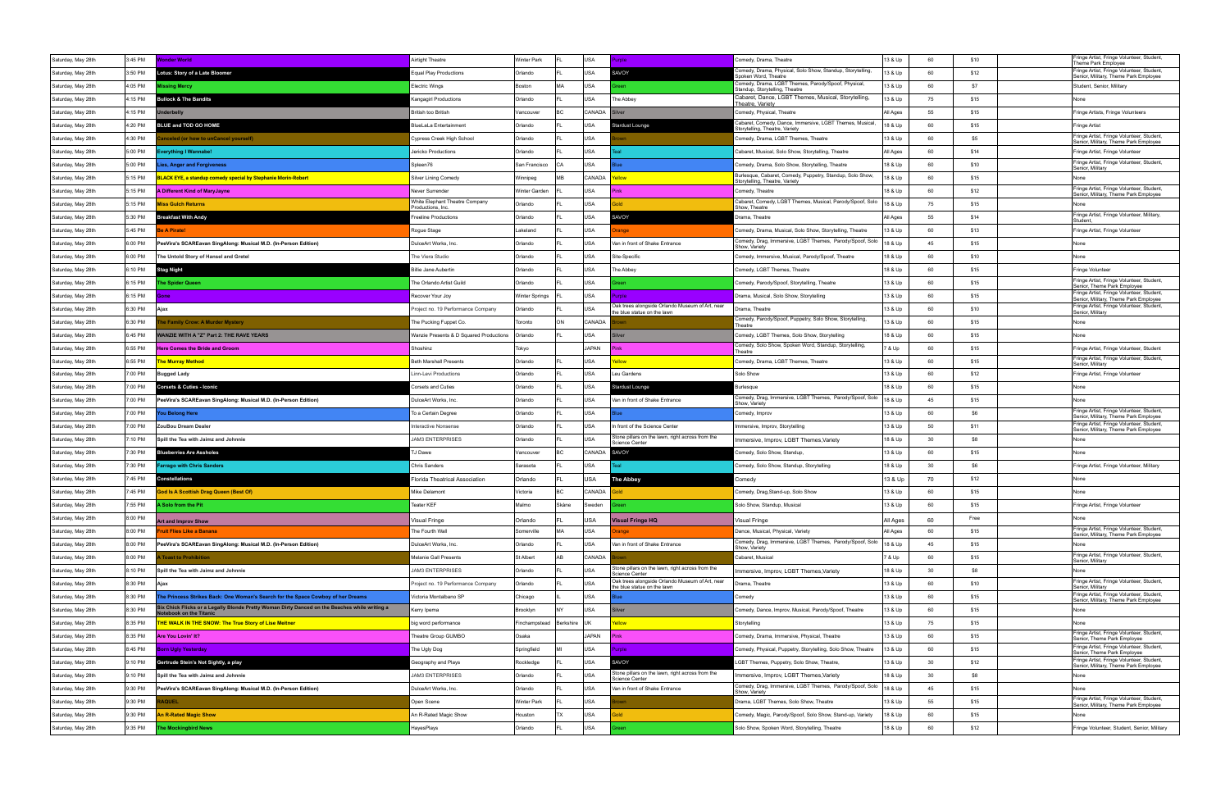|                    |         |                                                                                                                        |                                                    |                       |                |             |                                                                                    |                                                                                             |          |    |      | Fringe Artist, Fringe Volunteer, Student,                                          |
|--------------------|---------|------------------------------------------------------------------------------------------------------------------------|----------------------------------------------------|-----------------------|----------------|-------------|------------------------------------------------------------------------------------|---------------------------------------------------------------------------------------------|----------|----|------|------------------------------------------------------------------------------------|
| Saturday, May 28th | 3:45 PM | <b>Vonder World</b>                                                                                                    | <b>Nirtight Theatre</b>                            | <b>Winter Park</b>    |                | <b>USA</b>  | role                                                                               | Comedy, Drama, Theatre<br>Comedy, Drama, Physical, Solo Show, Standup, Storytelling         | 13 & Up  | 60 | \$10 | Theme Park Employee<br>Fringe Artist, Fringe Volunteer, Student,                   |
| Saturday, May 28th | 3:50 PM | otus: Story of a Late Bloomer                                                                                          | Equal Play Productions                             | Orlando               |                | USA         | SAVOY                                                                              | poken Word, Theatre<br>Comedy, Drama, LGBT Themes, Parody/Spoof, Physical,                  | 13 & Up  | 60 | \$12 | Senior, Military, Theme Park Employee                                              |
| Saturday, May 28th | 4:05 PM | issing Mercy                                                                                                           | <b>Electric Wings</b>                              | Boston                | MA             | USA         | een                                                                                | Standup, Storytelling, Theatre                                                              | 13 & Up  | 60 | \$7  | Student, Senior, Military                                                          |
| Saturday, May 28th | 1:15 PM | <b>Bullock &amp; The Bandits</b>                                                                                       | Kangagirl Productions                              | Orlando               |                | USA         | The Abbey                                                                          | Cabaret, Dance, LGBT Themes, Musical, Storytelling,<br>Theatre. Varietv                     | 13 & Up  | 75 | \$15 |                                                                                    |
| Saturday, May 28th | 1:15 PM | ıderbelly                                                                                                              | British too British                                | Vancouver             | B <sub>C</sub> | CANADA      |                                                                                    | Comedy, Physical, Theatre                                                                   | All Ages | 55 | \$15 | Fringe Artists, Fringe Volunteers                                                  |
| Saturday, May 28th | 4:20 PM | BLUE and TOD GO HOME                                                                                                   | <b>BlueLaLa Entertainment</b>                      | Orlando               |                | USA         | Stardust Lounge                                                                    | Cabaret, Comedy, Dance, Immersive, LGBT Themes, Musical,<br>Storytelling, Theatre, Variety  | 18 & Up  | 60 | \$15 | Fringe Artist                                                                      |
| Saturday, May 28th | 4:30 PM | inceled (or how to unCancel yourself)                                                                                  | Cypress Creek High School                          | Orlando               |                | USA         |                                                                                    | Comedy, Drama, LGBT Themes, Theatre                                                         | 13 & Up  | 60 | \$5  | Fringe Artist, Fringe Volunteer, Student,<br>Senior, Military, Theme Park Employee |
| Saturday, May 28th | 5:00 PM | verything I Wannabe!                                                                                                   | Jericko Productions                                | Orlando               |                | USA         |                                                                                    | Cabaret, Musical, Solo Show, Storytelling, Theatre                                          | All Ages | 60 | \$14 | Fringe Artist, Fringe Volunteer                                                    |
| Saturday, May 28th | 5:00 PM | ies, Anger and Forgiveness.                                                                                            | Spleen76                                           | San Francisco         | CА             | USA         |                                                                                    | Comedy, Drama, Solo Show, Storytelling, Theatre                                             | 18 & Up  | 60 | \$10 | Fringe Artist, Fringe Volunteer, Student,<br>Senior, Military                      |
| Saturday, May 28th | 5:15 PM | <u>BLACK EYE, a standup comedy special by Stephanie Morin-Robert</u>                                                   | Silver Lining Comedy                               | Winnipeg              | МB             | CANADA      | wolls                                                                              | Burlesque, Cabaret, Comedy, Puppetry, Standup, Solo Show,<br>Storytelling, Theatre, Variety | 18 & Up  | 60 | \$15 | None                                                                               |
| Saturday, May 28th | 5:15 PM | A Different Kind of MaryJayne                                                                                          | Never Surrender                                    | Winter Garden         |                | USA         |                                                                                    | Comedy, Theatre                                                                             | 18 & Up  | 60 | \$12 | Fringe Artist, Fringe Volunteer, Student,<br>Senior, Military, Theme Park Employee |
| Saturday, May 28th | 5:15 PM | liss Gulch Returns                                                                                                     | White Elephant Theatre Company<br>Productions, Inc | Orlando               |                | USA         |                                                                                    | Cabaret, Comedy, LGBT Themes, Musical, Parody/Spoof, Solo<br>Show, Theatre                  | 18 & Up  | 75 | \$15 | None                                                                               |
| Saturday, May 28th | 5:30 PM | <b>Breakfast With Andy</b>                                                                                             | reeline Productions                                | Orlando               |                | <b>USA</b>  | SAVOY                                                                              | Orama, Theatre                                                                              | All Ages | 55 | \$14 | Fringe Artist, Fringe Volunteer, Military,<br>Student.                             |
| Saturday, May 28th | 5:45 PM | e A Pirate!                                                                                                            | Rogue Stage                                        | Lakeland              |                | USA         | ange                                                                               | Comedy, Drama, Musical, Solo Show, Storytelling, Theatre                                    | 13 & Up  | 60 | \$13 | Fringe Artist, Fringe Volunteer                                                    |
| Saturday, May 28th | 6:00 PM | PeeVira's SCAREavan SingAlong: Musical M.D. (In-Person Edition)                                                        | DulceArt Works, Inc.                               | Orlando               |                | USA         | Van in front of Shake Entrance                                                     | Comedy, Drag, Immersive, LGBT Themes, Parody/Spoof, Solo<br>Show, Variety                   | 18 & Up  | 45 | \$15 | None                                                                               |
| Saturday, May 28th | 6:00 PM | The Untold Story of Hansel and Gretel                                                                                  | The Viera Studio                                   | Orlando               |                | USA         | Site-Specific                                                                      | Comedy, Immersive, Musical, Parody/Spoof, Theatre                                           | 18 & Up  | 60 | \$10 | None                                                                               |
| Saturday, May 28th | 3:10 PM | Stag Night                                                                                                             | iillie Jane Aubertin                               | Orlando               |                | <b>USA</b>  | The Abbey                                                                          | Comedy, LGBT Themes, Theatre                                                                | 18 & Up  | 60 | \$15 | Fringe Volunteer                                                                   |
| Saturday, May 28th | 6:15 PM | he Spider Queen                                                                                                        | The Orlando Artist Guild                           | Orlando               |                | USA         |                                                                                    | Comedy, Parody/Spoof, Storytelling, Theatre                                                 | 13 & Up  | 60 | \$15 | Fringe Artist, Fringe Volunteer, Student,<br>Senior, Theme Park Employee           |
| Saturday, May 28th | 3:15 PM |                                                                                                                        | Recover Your Joy                                   | <b>Winter Springs</b> |                | USA         | role                                                                               | Drama, Musical, Solo Show, Storytelling                                                     | 13 & Up  | 60 | \$15 | Fringe Artist, Fringe Volunteer, Student,                                          |
| Saturday, May 28th | 6:30 PM | Ajax                                                                                                                   | roject no. 19 Performance Company                  | Orlando               |                | USA         | Oak trees alongside Orlando Museum of Art, near                                    | Drama, Theatre                                                                              | 13 & Up  | 60 | \$10 | Senior, Military, Theme Park Employee<br>Fringe Artist, Fringe Volunteer, Student, |
| Saturday, May 28th | 6:30 PM | e Family Crow: A Murder Mystery                                                                                        | The Pucking Fuppet Co.                             | Toronto               | ON             | CANADA      | the blue statue on the lawn                                                        | Comedy, Parody/Spoof, Puppetry, Solo Show, Storytelling,                                    | 13 & Up  | 60 | \$15 | Senior, Military<br>None                                                           |
| Saturday, May 28th | 6:45 PM | VANZIE WITH A "Z" Part 2: THE RAVE YEARS                                                                               | Wanzie Presents & D Squared Productions            | Orlando               |                | USA         |                                                                                    | Γheatre<br>Comedy, LGBT Themes, Solo Show, Storytelling                                     | 18 & Up  | 60 | \$15 | None                                                                               |
| Saturday, May 28th | 3:55 PM | <b>Here Comes the Bride and Groom</b>                                                                                  | Shoshinz                                           | Tokyo                 |                | JAPAN       |                                                                                    | Comedy, Solo Show, Spoken Word, Standup, Storytelling,                                      | 7 & Up   | 60 | \$15 | Fringe Artist, Fringe Volunteer, Student                                           |
| Saturday, May 28th | 6:55 PM | he Murray Method                                                                                                       | <b>Beth Marshall Presents</b>                      | Orlando               |                | USA         |                                                                                    | Theatre<br>Comedy, Drama, LGBT Themes, Theatre                                              | 13 & Up  | 60 | \$15 | Fringe Artist, Fringe Volunteer, Student,                                          |
| Saturday, May 28th | 7:00 PM | Bugged Lady                                                                                                            | Linn-Levi Productions                              | Orlando               |                | USA         | Leu Gardens                                                                        | Solo Show                                                                                   | 13 & Up  | 60 | \$12 | Senior, Military<br>Fringe Artist, Fringe Volunteer                                |
| Saturday, May 28th | 7:00 PM | <b>Corsets &amp; Cuties - Iconic</b>                                                                                   | Corsets and Cuties                                 | Orlando               |                | USA         | itardust Lounge                                                                    | 3urlesque                                                                                   | 18 & Up  | 60 | \$15 | None                                                                               |
|                    | 7:00 PM |                                                                                                                        |                                                    |                       |                | USA         |                                                                                    | Comedy, Drag, Immersive, LGBT Themes, Parody/Spoof, Solo                                    | 18 & Up  | 45 | \$15 | None                                                                               |
| Saturday, May 28th |         | PeeVira's SCAREavan SingAlong: Musical M.D. (In-Person Edition)                                                        | DulceArt Works, Inc.                               | Orlando               |                | USA         | Van in front of Shake Entrance                                                     | Show, Variety                                                                               |          | 60 | \$6  | Fringe Artist, Fringe Volunteer, Student,                                          |
| Saturday, May 28th | 7:00 PM | ou Belong Here                                                                                                         | To a Certain Degree                                | Orlando               |                |             |                                                                                    | Comedy, Improv                                                                              | 13 & Up  |    |      | Senior, Military, Theme Park Employee<br>Fringe Artist, Fringe Volunteer, Student, |
| Saturday, May 28th | 7:00 PM | ZouBou Dream Dealer                                                                                                    | Interactive Nonsense                               | Orlando               |                | USA         | In front of the Science Center<br>Stone pillars on the lawn, right across from the | Immersive, Improv, Storytelling                                                             | 13 & Up  | 50 | \$11 | Senior, Military, Theme Park Employee                                              |
| Saturday, May 28th | ':10 PM | Spill the Tea with Jaimz and Johnnie                                                                                   | <b>JAM3 ENTERPRISES</b>                            | Orlando               |                | USA         | Science Center                                                                     | Immersive, Improv, LGBT Themes, Variety                                                     | 18 & Up  | 30 | \$8  | None                                                                               |
| Saturday, May 28th | 7:30 PM | <b>Blueberries Are Assholes</b>                                                                                        | J Dawe                                             | Vancouve              |                | CANADA      | SAVOY                                                                              | Comedy, Solo Show, Standup,                                                                 | 13 & Up  | 60 | \$15 | None                                                                               |
| Saturday, May 28th | 7:30 PM | arrago with Chris Sanders                                                                                              | <b>Chris Sanders</b>                               | Sarasota              |                | USA         |                                                                                    | Comedy, Solo Show, Standup, Storytelling                                                    | 18 & Up  | 30 | \$6  | Fringe Artist, Fringe Volunteer, Military                                          |
| Saturday, May 28th | 7:45 PM | Constellations                                                                                                         | <b>Iorida Theatrical Association</b>               | Orlando               |                | USA         | <b>The Abbey</b>                                                                   | Comedy                                                                                      | 13 & Up  | 70 | \$12 | None                                                                               |
| Saturday, May 28th | 7:45 PM | God Is A Scottish Drag Queen (Best Of)                                                                                 | Mike Delamont                                      | Victoria              | IBC.           | CANADA      | Bold                                                                               | Comedy, Drag, Stand-up, Solo Show                                                           | 13 & Up  | 60 | \$15 | None                                                                               |
| Saturday, May 28th | 7:55 PM | A Solo from the Pit                                                                                                    | <b>Teater KEF</b>                                  | Malmo                 | Skåne          | Sweden      |                                                                                    | Solo Show, Standup, Musical                                                                 | 13 & Up  | 60 | \$15 | Fringe Artist, Fringe Volunteer                                                    |
| Saturday, May 28th | 8:00 PM | <b>Art and Improv Show</b>                                                                                             | Visual Fringe                                      | Orlando               |                | USA         | <b>Visual Fringe HQ</b>                                                            | <b>Visual Fringe</b>                                                                        | All Ages | 60 | Free | None                                                                               |
| Saturday, May 28th | 8:00 PM | <b>Truit Flies Like a Banana</b>                                                                                       | The Fourth Wall                                    | Somerville            | MA             | USA         |                                                                                    | Dance, Musical, Physical, Variety                                                           | All Ages | 60 | \$15 | Fringe Artist, Fringe Volunteer, Student,<br>Senior, Military, Theme Park Employee |
| Saturday, May 28th | 8:00 PM | PeeVira's SCAREavan SingAlong: Musical M.D. (In-Person Edition)                                                        | DulceArt Works, Inc.                               | Orlando               |                | USA         | Van in front of Shake Entrance                                                     | Comedy, Drag, Immersive, LGBT Themes, Parody/Spoof, Solo<br>Show, Variety                   | 18 & Up  | 45 | \$15 | None                                                                               |
| Saturday, May 28th | 8:00 PM | <b>Toast to Prohibition</b>                                                                                            | Melanie Gall Presents                              | St Albert             | AB             | CANADA      |                                                                                    | Cabaret, Musical                                                                            | 7 & Up   | 60 | \$15 | Fringe Artist, Fringe Volunteer, Student,<br>Senior, Military                      |
| Saturday, May 28th | 3:10 PM | Spill the Tea with Jaimz and Johnnie                                                                                   | <b>JAM3 ENTERPRISES</b>                            | Orlando               |                | USA         | Stone pillars on the lawn, right across from the<br><b>Science Center</b>          | Immersive, Improv, LGBT Themes, Variety                                                     | 18 & Up  | 30 | \$8  | None                                                                               |
| Saturday, May 28th | 8:30 PM | Ajax                                                                                                                   | Project no. 19 Performance Company                 | Orlando               |                | USA         | Oak trees alongside Orlando Museum of Art, near<br>the blue statue on the lawn     | Drama, Theatre                                                                              | 13 & Up  | 60 | \$10 | Fringe Artist, Fringe Volunteer, Student,<br>Senior, Military                      |
| Saturday, May 28th | 8:30 PM | he Princess Strikes Back: One Woman's Search for the Space Cowboy of her Dreams                                        | Victoria Montalbano SP                             | Chicago               |                | USA         |                                                                                    | Comedy                                                                                      | 13 & Up  | 60 | \$15 | Fringe Artist, Fringe Volunteer, Student,<br>Senior, Military, Theme Park Employee |
| Saturday, May 28th | 8:30 PM | Six Chick Flicks or a Legally Blonde Pretty Woman Dirty Danced on the Beaches while writing a<br>tebook on the Titanic | Kerry Ipema                                        | Brooklyn              |                | USA         | ilver                                                                              | Comedy, Dance, Improv, Musical, Parody/Spoof, Theatre                                       | 13 & Up  | 60 | \$15 | None                                                                               |
| Saturday, May 28th | 8:35 PM | <b>THE WALK IN THE SNOW: The True Story of Lise Meitner</b>                                                            | big word performance                               | Finchampstead         | Berkshire      | <b>IIIK</b> | ellow                                                                              | Storytelling                                                                                | 13 & Up  | 75 | \$15 | None                                                                               |
| Saturday, May 28th | 8:35 PM | Are You Lovin' It?                                                                                                     | Theatre Group GUMBO                                | Osaka                 |                | JAPAN       |                                                                                    | Comedy, Drama, Immersive, Physical, Theatre                                                 | 13 & Up  | 60 | \$15 | Fringe Artist, Fringe Volunteer, Student,<br>Senior, Theme Park Employee           |
| Saturday, May 28th | 8:45 PM | orn Ugly Yesterday                                                                                                     | The Ugly Dog                                       | Springfield           |                | USA         | urple                                                                              | Comedy, Physical, Puppetry, Storytelling, Solo Show, Theatre                                | 13 & Up  | 60 | \$15 | Fringe Artist, Fringe Volunteer, Student,<br>Senior, Theme Park Employee           |
| Saturday, May 28th | 9:10 PM | Gertrude Stein's Not Sightly, a play                                                                                   | Geography and Plays                                | Rockledge             |                | USA         | SAVOY                                                                              | GBT Themes, Puppetry, Solo Show, Theatre,                                                   | 13 & Up  | 30 | \$12 | Fringe Artist, Fringe Volunteer, Student,<br>Senior, Military, Theme Park Employee |
| Saturday, May 28th | 9:10 PM | Spill the Tea with Jaimz and Johnnie                                                                                   | <b>JAM3 ENTERPRISES</b>                            | Orlando               |                | USA         | Stone pillars on the lawn, right across from the<br>Science Center                 | Immersive, Improv, LGBT Themes, Variety                                                     | 18 & Up  | 30 | \$8  | None                                                                               |
| Saturday, May 28th | 9:30 PM | PeeVira's SCAREavan SingAlong: Musical M.D. (In-Person Edition)                                                        | DulceArt Works, Inc.                               | Orlando               |                | USA         | Van in front of Shake Entrance                                                     | Comedy, Drag, Immersive, LGBT Themes, Parody/Spoof, Solo<br>Show, Variety                   | 18 & Up  | 45 | \$15 | None                                                                               |
| Saturday, May 28th | 9:30 PM | QUEL.                                                                                                                  | Open Scene                                         | <b>Winter Park</b>    |                | USA         |                                                                                    | Drama, LGBT Themes, Solo Show, Theatre                                                      | 13 & Up  | 55 | \$15 | Fringe Artist, Fringe Volunteer, Student,<br>Senior, Military, Theme Park Employee |
| Saturday, May 28th | 9:30 PM | <b>An R-Rated Magic Show</b>                                                                                           | An R-Rated Magic Show                              | Houston               | TX             | USA         |                                                                                    | Comedy, Magic, Parody/Spoof, Solo Show, Stand-up, Variety                                   | 18 & Up  | 60 | \$15 | None                                                                               |
| Saturday, May 28th | 9:35 PM | The Mockingbird News                                                                                                   | HayesPlays                                         | Orlando               |                | USA         |                                                                                    | Solo Show, Spoken Word, Storytelling, Theatre                                               | 18 & Up  | 60 | \$12 | Fringe Volunteer, Student, Senior, Military                                        |
|                    |         |                                                                                                                        |                                                    |                       |                |             |                                                                                    |                                                                                             |          |    |      |                                                                                    |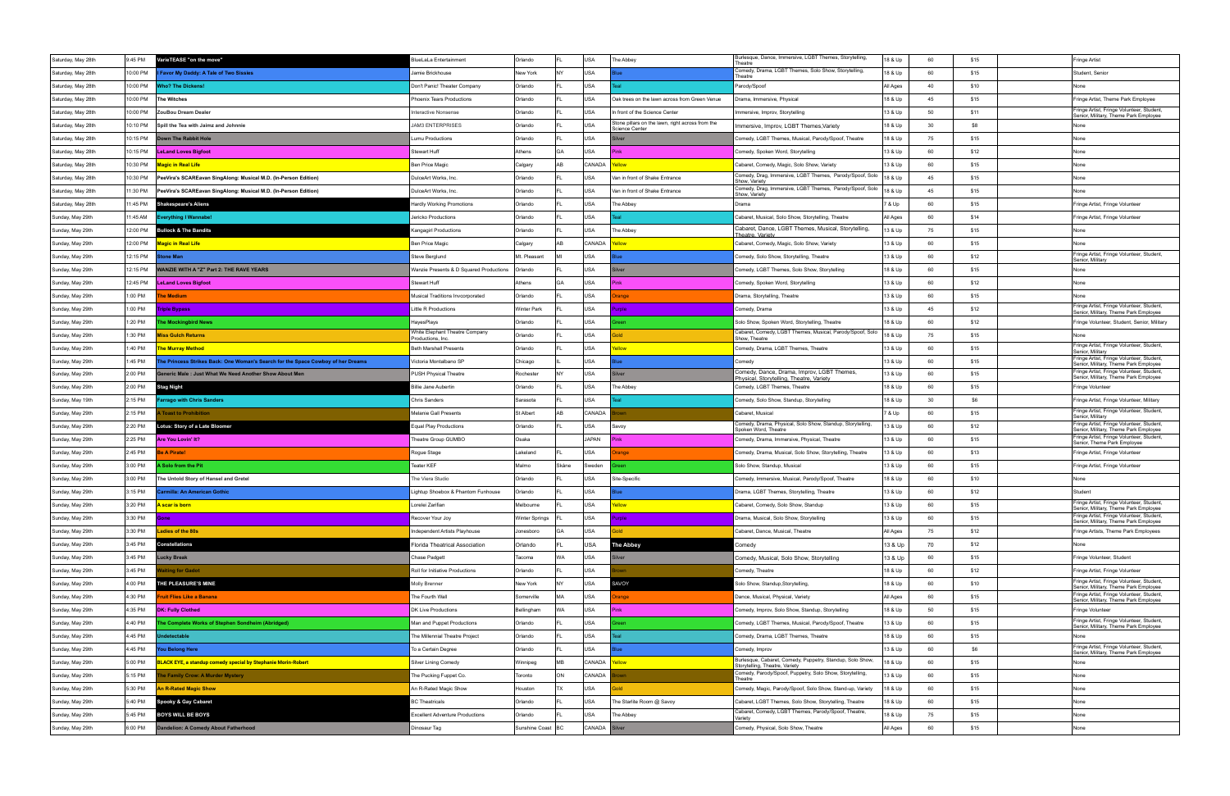| Saturday, May 28th | 9:45 PM  | VarieTEASE "on the move"                                                        | llueLaLa Entertainment                              | Orlando            |           | USA           | The Abbey                                                                 | Burlesque, Dance, Immersive, LGBT Themes, Storytelling,<br>Theatre                          | 18 & Up  | 60 | \$15 | Fringe Artist                                                                      |
|--------------------|----------|---------------------------------------------------------------------------------|-----------------------------------------------------|--------------------|-----------|---------------|---------------------------------------------------------------------------|---------------------------------------------------------------------------------------------|----------|----|------|------------------------------------------------------------------------------------|
| Saturday, May 28th | 10:00 PM | Favor My Daddy: A Tale of Two Sissies                                           | Jamie Brickhouse                                    | New York           | INY.      | USA           |                                                                           | Comedy, Drama, LGBT Themes, Solo Show, Storytelling,<br>Theatre                             | 18 & Up  | 60 | \$15 | Student, Senior                                                                    |
| Saturday, May 28th | 10:00 PM | <b>Nho? The Dickens!</b>                                                        | Don't Panic! Theater Company                        | Orlando            |           | USA           |                                                                           | Parody/Spoof                                                                                | All Ages | 40 | \$10 | None                                                                               |
| Saturday, May 28th | 10:00 PM | <b>The Witches</b>                                                              | Phoenix Tears Productions                           | Orlando            |           | USA           | Oak trees on the lawn across from Green Venue                             | Drama, Immersive, Physical                                                                  | 18 & Up  | 45 | \$15 | Fringe Artist, Theme Park Employee                                                 |
| Saturday, May 28th | 10:00 PM | ZouBou Dream Dealer                                                             | Interactive Nonsense                                | Orlando            |           | USA           | In front of the Science Center                                            | Immersive, Improv, Storytelling                                                             | 13 & Up  | 50 | \$11 | Fringe Artist, Fringe Volunteer, Student,<br>Senior, Military, Theme Park Employee |
| Saturday, May 28th | 10:10 PM | Spill the Tea with Jaimz and Johnnie                                            | <b>JAM3 ENTERPRISES</b>                             | Orlando            |           | USA           | Stone pillars on the lawn, right across from the<br><b>Science Center</b> | Immersive, Improv, LGBT Themes, Variety                                                     | 18 & Up  | 30 | \$8  | None                                                                               |
| Saturday, May 28th | 10:15 PM | own The Rabbit Hole                                                             | Lumu Productions                                    | Orlando            |           | USA           |                                                                           | Comedy, LGBT Themes, Musical, Parody/Spoof, Theatre                                         | 18 & Up  | 75 | \$15 | None                                                                               |
| Saturday, May 28th | 10:15 PM | <b>LeLand Loves Bigfoot</b>                                                     | Stewart Huff                                        | Athens             | GA        | USA           |                                                                           | Comedy, Spoken Word, Storytelling                                                           | 13 & Up  | 60 | \$12 | None                                                                               |
| Saturday, May 28th | 10:30 PM | <b>Magic in Real Life</b>                                                       | <b>Ben Price Magic</b>                              | Calgary            | AB        | CANADA        | llow.                                                                     | Cabaret, Comedy, Magic, Solo Show, Variety                                                  | 13 & Up  | 60 | \$15 | None                                                                               |
| Saturday, May 28th | 10:30 PM | PeeVira's SCAREavan SingAlong: Musical M.D. (In-Person Edition)                 | DulceArt Works, Inc.                                | Orlando            |           | <b>USA</b>    | Van in front of Shake Entrance                                            | Comedy, Drag, Immersive, LGBT Themes, Parody/Spoof, Solo<br>Show, Variety                   | 18 & Up  | 45 | \$15 | None                                                                               |
| Saturday, May 28th | 1:30 PM  | PeeVira's SCAREavan SingAlong: Musical M.D. (In-Person Edition)                 | DulceArt Works, Inc.                                | Orlando            |           | USA           | Van in front of Shake Entrance                                            | Comedy, Drag, Immersive, LGBT Themes, Parody/Spoof, Solo<br>Show, Variety                   | 18 & Up  | 45 | \$15 | None                                                                               |
| Saturday, May 28th | 11:45 PM | <b>Shakespeare's Aliens</b>                                                     | Hardly Working Promotions                           | Orlando            |           | USA           | The Abbey                                                                 | Drama                                                                                       | 7 & Up   | 60 | \$15 | Fringe Artist, Fringe Volunteer                                                    |
| Sunday, May 29th   | 1:45 AM  | verything I Wannabe!                                                            | Jericko Productions                                 | Orlando            |           | <b>USA</b>    |                                                                           | Cabaret, Musical, Solo Show, Storytelling, Theatre                                          | All Ages | 60 | \$14 | Fringe Artist, Fringe Volunteer                                                    |
| Sunday, May 29th   | 12:00 PM | <b>Bullock &amp; The Bandits</b>                                                | Kangagirl Productions                               | Orlando            |           | <b>USA</b>    | The Abbey                                                                 | Cabaret, Dance, LGBT Themes, Musical, Storytelling,<br>Theatre, Variety                     | 13 & Up  | 75 | \$15 | None                                                                               |
| Sunday, May 29th   | 12:00 PM | <b>Magic in Real Life</b>                                                       | Ben Price Magic                                     | Calgary            | l AR      | CANADA        | <b>Wolls</b>                                                              | Cabaret, Comedy, Magic, Solo Show, Variety                                                  | 13 & Up  | 60 | \$15 | None                                                                               |
| Sunday, May 29th   | 12:15 PM | one Man                                                                         | Steve Berglund                                      | Mt. Pleasant       |           | USA           |                                                                           | Comedy, Solo Show, Storytelling, Theatre                                                    | 13 & Up  | 60 | \$12 | Fringe Artist, Fringe Volunteer, Student<br>Senior, Military                       |
| Sunday, May 29th   | 12:15 PM | VANZIE WITH A "Z" Part 2: THE RAVE YEARS                                        | Wanzie Presents & D Squared Productions             | Orlando            |           | USA           |                                                                           | Comedy, LGBT Themes, Solo Show, Storytelling                                                | 18 & Up  | 60 | \$15 | None                                                                               |
| Sunday, May 29th   | 12:45 PM | <b>LeLand Loves Bigfoot</b>                                                     | Stewart Huff                                        | Athens             | l GA      | USA           |                                                                           | Comedy, Spoken Word, Storytelling                                                           | 13 & Up  | 60 | \$12 | None                                                                               |
| Sunday, May 29th   | 1:00 PM  | he Medium                                                                       | Musical Traditions Invcorporated                    | Orlando            |           | USA           | ange                                                                      | Drama, Storytelling, Theatre                                                                | 13 & Up  | 60 | \$15 | None                                                                               |
| Sunday, May 29th   | 1:00 PM  | <b>Triple Bypass</b>                                                            | Little R Productions                                | <b>Winter Park</b> |           | USA           | role                                                                      | Comedy, Drama                                                                               | 13 & Up  | 45 | \$12 | Fringe Artist, Fringe Volunteer, Student,<br>Senior, Military, Theme Park Employee |
| Sunday, May 29th   | 1:20 PM  | he Mockingbird News                                                             | HayesPlays                                          | Orlando            |           | USA           |                                                                           | Solo Show, Spoken Word, Storytelling, Theatre                                               | 18 & Up  | 60 | \$12 | Fringe Volunteer, Student, Senior, Military                                        |
| Sunday, May 29th   | 1:30 PM  | <b>Aiss Gulch Returns</b>                                                       | White Elephant Theatre Company<br>Productions, Inc. | Orlando            |           | USA           | nld                                                                       | Cabaret, Comedy, LGBT Themes, Musical, Parody/Spoof, Solo<br>Show. Theatre                  | 18 & Up  | 75 | \$15 | None                                                                               |
| Sunday, May 29th   | 1:40 PM  | <b>The Murray Method</b>                                                        | <b>Beth Marshall Presents</b>                       | Orlando            |           | USA           | ellow                                                                     | Comedy, Drama, LGBT Themes, Theatre                                                         | 13 & Up  | 60 | \$15 | Fringe Artist, Fringe Volunteer, Student<br>Senior, Military                       |
| Sunday, May 29th   | 1:45 PM  | he Princess Strikes Back: One Woman's Search for the Space Cowboy of her Dreams | Victoria Montalbano SP                              | Chicago            |           | USA           |                                                                           | Comedv                                                                                      | 13 & Up  | 60 | \$15 | Fringe Artist, Fringe Volunteer, Student,<br>Senior, Military, Theme Park Employee |
| Sunday, May 29th   | 2:00 PM  | ieneric Male : Just What We Need Another Show About Men                         | PUSH Physical Theatre                               | Rochester          |           | USA           |                                                                           | Comedy, Dance, Drama, Improv, LGBT Themes,<br>Physical, Storytelling, Theatre, Variety      | 13 & Up  | 60 | \$15 | Fringe Artist, Fringe Volunteer, Student<br>Senior, Military, Theme Park Employee  |
| Sunday, May 29th   | 2:00 PM  | Stag Night                                                                      | Billie Jane Aubertin                                | Orlando            |           | USA           | The Abbey                                                                 | Comedy, LGBT Themes, Theatre                                                                | 18 & Up  | 60 | \$15 | Fringe Volunteer                                                                   |
| Sunday, May 19th   | 2:15 PM  | arrago with Chris Sanders                                                       | Chris Sanders                                       | Sarasota           |           | USA           |                                                                           | Comedy, Solo Show, Standup, Storytelling                                                    | 18 & Up  | 30 | \$6  | Fringe Artist, Fringe Volunteer, Military                                          |
| Sunday, May 29th   | 2:15 PM  | <b>Toast to Prohibition</b>                                                     | Melanie Gall Presents                               | St Albert          | l AB      | CANADA        |                                                                           | Cabaret, Musical                                                                            | 7 & Up   | 60 | \$15 | Fringe Artist, Fringe Volunteer, Student<br>Senior, Military                       |
| Sunday, May 29th   | 2:20 PM  | Lotus: Story of a Late Bloomer                                                  | <b>Equal Play Productions</b>                       | Orlando            |           | USA           | Savoy                                                                     | Comedy, Drama, Physical, Solo Show, Standup, Storytelling<br>Spoken Word, Theatre           | 13 & Up  | 60 | \$12 | Fringe Artist, Fringe Volunteer, Student,<br>Senior, Military, Theme Park Employee |
| Sunday, May 29th   | 2:25 PM  | Are You Lovin' It?                                                              | Theatre Group GUMBO                                 | Osaka              |           | <b>JAPAN</b>  |                                                                           | Comedy, Drama, Immersive, Physical, Theatre                                                 | 13 & Up  | 60 | \$15 | Fringe Artist, Fringe Volunteer, Student,<br>Senior, Theme Park Employee           |
| Sunday, May 29th   | 2:45 PM  | e A Pirate!                                                                     | Rogue Stage                                         | Lakeland           |           | USA           | ange                                                                      | Comedy, Drama, Musical, Solo Show, Storytelling, Theatre                                    | 13 & Up  | 60 | \$13 | Fringe Artist, Fringe Volunteer                                                    |
| Sunday, May 29th   | 3:00 PM  | Solo from the Pit                                                               | Teater KEF                                          | Malmo              | Skåne     | Sweden        |                                                                           | Solo Show, Standup, Musical                                                                 | 13 & Up  | 60 | \$15 | Fringe Artist, Fringe Volunteer                                                    |
| Sunday, May 29th   | 3:00 PM  | The Untold Story of Hansel and Gretel                                           | The Viera Studio                                    | Orlando            |           | USA           | Site-Specific                                                             | Comedy, Immersive, Musical, Parody/Spoof, Theatre                                           | 18 & Up  | 60 | \$10 | None                                                                               |
| Sunday, May 29th   | 3:15 PM  | <b>Carmilla: An American Gothic</b>                                             | ightup Shoebox & Phantom Funhouse                   | Orlando            |           | USA           |                                                                           | Drama, LGBT Themes, Storytelling, Theatre                                                   | 13 & Up  | 60 | \$12 | Student                                                                            |
| Sunday, May 29th   | 3:20 PM  | A scar is born                                                                  | Lorelei Zarifian                                    | Melbourne          |           | <b>USA</b>    |                                                                           | Cabaret, Comedy, Solo Show, Standup                                                         | 13 & Up  | 60 | \$15 | Fringe Artist, Fringe Volunteer, Student,<br>Senior, Military, Theme Park Employee |
| Sunday, May 29th   | 3:30 PM  | ione                                                                            | Recover Your Joy                                    | Winter Springs     |           | USA           | ırole                                                                     | Drama, Musical, Solo Show, Storytelling                                                     | 13 & Up  | 60 | \$15 | Fringe Artist, Fringe Volunteer, Student,<br>Senior, Military, Theme Park Employee |
| Sunday, May 29th   | 3:30 PM  | adies of the 80s                                                                | <b>Independent Artists Playhouse</b>                | Jonesboro          | GA        | USA           | old                                                                       | Cabaret, Dance, Musical, Theatre                                                            | All Ages | 75 | \$12 | Fringe Artists, Theme Park Employees                                               |
| Sunday, May 29th   | 3:45 PM  | <b>Constellations</b>                                                           | Florida Theatrical Association                      | Orlando            |           | USA           | <b>The Abbey</b>                                                          | Comedy                                                                                      | 13 & Up  | 70 | \$12 | None                                                                               |
| Sunday, May 29th   | 3:45 PM  | Lucky Break                                                                     | Chase Padgett                                       | Tacoma             | WA.       | USA           | ilver                                                                     | Comedy, Musical, Solo Show, Storytelling                                                    | 13 & Up  | 60 | \$15 | Fringe Volunteer, Student                                                          |
| Sunday, May 29th   | 3:45 PM  | iting for Gadot                                                                 | Roll for Initiative Productions                     | Orlando            |           | USA           |                                                                           | Comedy, Theatre                                                                             | 18 & Up  | 60 | \$12 | Fringe Artist, Fringe Volunteer                                                    |
| Sunday, May 29th   | 4:00 PM  | <b>HE PLEASURE'S MINE</b>                                                       | Molly Brenner                                       | New York           | <b>NY</b> | USA           | <b>SAVOY</b>                                                              | Solo Show, Standup, Storytelling,                                                           | 18 & Up  | 60 | \$10 | Fringe Artist, Fringe Volunteer, Student,<br>Senior, Military, Theme Park Employee |
| Sunday, May 29th   | 4:30 PM  | ruit Flies Like a Banana                                                        | The Fourth Wall                                     | Somerville         | MA        | USA           | range                                                                     | Dance, Musical, Physical, Variety                                                           | All Ages | 60 | \$15 | Fringe Artist, Fringe Volunteer, Student,<br>Senior, Military, Theme Park Employee |
| Sunday, May 29th   | 1:35 PM  | <b>DK: Fully Clothed</b>                                                        | DK Live Productions                                 | Bellingham         | WA.       | USA           | Pink                                                                      | Comedy, Improv, Solo Show, Standup, Storytelling                                            | 18 & Up  | 50 | \$15 | Fringe Volunteer                                                                   |
| Sunday, May 29th   | 4:40 PM  | he Complete Works of Stephen Sondheim (Abridged)                                | Man and Puppet Productions                          | Orlando            |           | USA           |                                                                           | Comedy, LGBT Themes, Musical, Parody/Spoof, Theatre                                         | 13 & Up  | 60 | \$15 | Fringe Artist, Fringe Volunteer, Student,<br>Senior, Military, Theme Park Employee |
| Sunday, May 29th   | 4:45 PM  | detectable                                                                      | The Millennial Theatre Project                      | Orlando            |           | USA           |                                                                           | Comedy, Drama, LGBT Themes, Theatre                                                         | 18 & Up  | 60 | \$15 | None                                                                               |
| Sunday, May 29th   | 4:45 PM  | ou Belong Here                                                                  | To a Certain Degree                                 | Orlando            |           | USA           |                                                                           | Comedy, Improv                                                                              | 13 & Up  | 60 | \$6  | Fringe Artist, Fringe Volunteer, Student,<br>Senior, Military, Theme Park Employee |
| Sunday, May 29th   | 5:00 PM  | <b>BLACK EYE, a standup comedy special by Stephanie Morin-Robert</b>            | Silver Lining Comedy                                | Winnipeg           | MB        | CANADA        | <b>Wolls</b>                                                              | Burlesque, Cabaret, Comedy, Puppetry, Standup, Solo Show,<br>Storytelling, Theatre, Variety | 18 & Up  | 60 | \$15 | None                                                                               |
| Sunday, May 29th   | 5:15 PM  | he Family Crow: A Murder Mystery                                                | The Pucking Fuppet Co.                              | Toronto            | ON        | CANADA        |                                                                           | Comedy, Parody/Spoof, Puppetry, Solo Show, Storytelling,<br>Theatre                         | 13 & Up  | 60 | \$15 | None                                                                               |
| Sunday, May 29th   | 5:30 PM  | n R-Rated Magic Show                                                            | An R-Rated Magic Show                               | Houston            | <b>TX</b> | USA           |                                                                           | Comedy, Magic, Parody/Spoof, Solo Show, Stand-up, Variety                                   | 18 & Up  | 60 | \$15 | None                                                                               |
| Sunday, May 29th   | 5:40 PM  | Spooky & Gay Cabaret                                                            | <b>BC Theatricals</b>                               | Orlando            |           | USA           | The Starlite Room @ Savoy                                                 | Cabaret, LGBT Themes, Solo Show, Storytelling, Theatre                                      | 18 & Up  | 60 | \$15 | None                                                                               |
| Sunday, May 29th   | 5:45 PM  | <b>BOYS WILL BE BOYS</b>                                                        | <b>Excellent Adventure Productions</b>              | Orlando            |           | USA           | The Abbey                                                                 | Cabaret, Comedy, LGBT Themes, Parody/Spoof, Theatre,<br>Variety                             | 18 & Up  | 75 | \$15 | None                                                                               |
| Sunday, May 29th   | 3:00 PM  | Dandelion: A Comedy About Fatherhood                                            | Dinosaur Tag                                        | Sunshine Coast BC  |           | CANADA Silver |                                                                           | Comedy, Physical, Solo Show, Theatre                                                        | All Ages | 60 | \$15 | None                                                                               |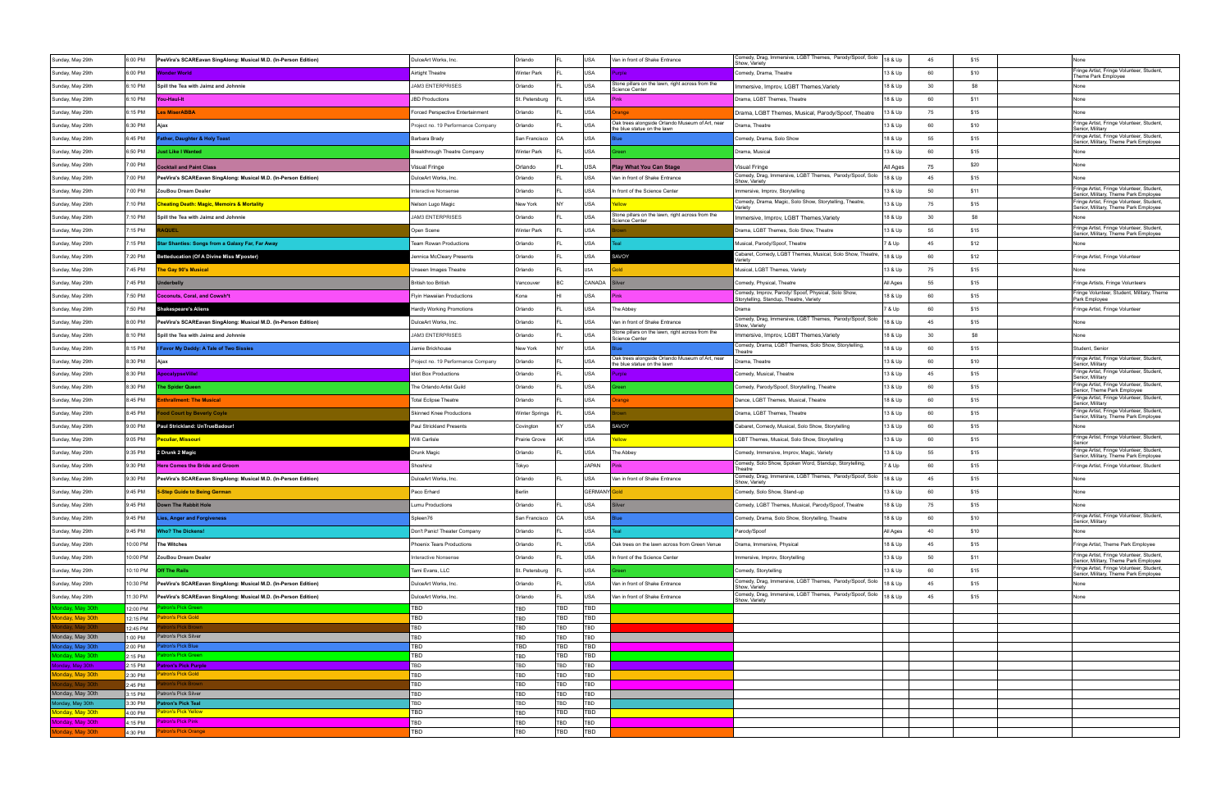| Sunday, May 29th                     | 6:00 PM             | PeeVira's SCAREavan SingAlong: Musical M.D. (In-Person Edition) | DulceArt Works, Inc.                    | Orlando               |            | USA               | Van in front of Shake Entrance                                                 | Comedy, Drag, Immersive, LGBT Themes, Parody/Spoof, Solo<br>Show, Variety                      | 18 & Up  | 45 | \$15 | None                                                                               |
|--------------------------------------|---------------------|-----------------------------------------------------------------|-----------------------------------------|-----------------------|------------|-------------------|--------------------------------------------------------------------------------|------------------------------------------------------------------------------------------------|----------|----|------|------------------------------------------------------------------------------------|
| Sunday, May 29th                     | 6:00 PM             | <b>Vonder World</b>                                             | Airtight Theatre                        | <b>Winter Park</b>    |            | USA               |                                                                                | Comedy, Drama, Theatre                                                                         | 13 & Up  | 60 | \$10 | Fringe Artist, Fringe Volunteer, Student,<br>Theme Park Employee                   |
| Sunday, May 29th                     | 3:10 PM             | Spill the Tea with Jaimz and Johnnie                            | <b>JAM3 ENTERPRISES</b>                 | Orlando               |            | USA               | Stone pillars on the lawn, right across from the<br>Science Center             | mmersive, Improv, LGBT Themes, Variety                                                         | 18 & Up  | 30 | \$8  | None                                                                               |
| Sunday, May 29th                     | 6:10 PM             | <b>You-Haul-It</b>                                              | <b>JBD Productions</b>                  | St. Petersburg        |            | USA               |                                                                                | Drama, LGBT Themes, Theatre                                                                    | 18 & Up  | 60 | \$11 | None                                                                               |
| Sunday, May 29th                     | 6:15 PM             | es MiserABBA                                                    | <b>Forced Perspective Entertainment</b> | Orlando               |            | USA               |                                                                                | Drama, LGBT Themes, Musical, Parody/Spoof, Theatre                                             | 13 & Up  | 75 | \$15 | None                                                                               |
| Sunday, May 29th                     | 6:30 PM             | Ajax                                                            | roject no. 19 Performance Company       | Orlando               |            | USA               | Oak trees alongside Orlando Museum of Art, near<br>the blue statue on the lawn | Drama, Theatre                                                                                 | 13 & Up  | 60 | \$10 | Fringe Artist, Fringe Volunteer, Student,<br>Senior, Military                      |
| Sunday, May 29th                     | 6:45 PM             | ather, Daughter & Holy Toast                                    | Barbara Brady                           | San Francisco         | CA         | USA               |                                                                                | Comedy, Drama, Solo Show                                                                       | 18 & Up  | 55 | \$15 | Fringe Artist, Fringe Volunteer, Student,<br>Senior, Military, Theme Park Employee |
| Sunday, May 29th                     | 6:50 PM             | ust Like I Wanted                                               | Breakthrough Theatre Company            | <b>Winter Park</b>    |            | USA               |                                                                                | Drama, Musical                                                                                 | 13 & Up  | 60 | \$15 | None                                                                               |
| Sunday, May 29th                     | 7:00 PM             | <b>Cocktail and Paint Class</b>                                 | /isual Fringe                           | Orlando               |            | USA               | lay What You Can Stage                                                         | Visual Fringe                                                                                  | All Ages | 75 | \$20 | None                                                                               |
| Sunday, May 29th                     | 7:00 PM             | PeeVira's SCAREavan SingAlong: Musical M.D. (In-Person Edition) | DulceArt Works, Inc.                    | Orlando               |            | USA               | Van in front of Shake Entrance                                                 | Comedy, Drag, Immersive, LGBT Themes, Parody/Spoof, Solo<br>Show, Variety                      | 18 & Up  | 45 | \$15 | None                                                                               |
| Sunday, May 29th                     | 7:00 PM             | ZouBou Dream Dealer                                             | nteractive Nonsense                     | Orlando               |            | USA               | In front of the Science Center                                                 | Immersive, Improv, Storytelling                                                                | 13 & Up  | 50 | \$11 | Fringe Artist, Fringe Volunteer, Student,<br>Senior, Military, Theme Park Employee |
| Sunday, May 29th                     | 7:10 PM             | <b>Cheating Death: Magic, Memoirs &amp; Mortality</b>           | Nelson Lugo Magic                       | New York              | NY         | USA               |                                                                                | Comedy, Drama, Magic, Solo Show, Storytelling, Theatre,                                        | 13 & Up  | 75 | \$15 | Fringe Artist, Fringe Volunteer, Student,<br>Senior, Military, Theme Park Employee |
| Sunday, May 29th                     | 7:10 PM             | Spill the Tea with Jaimz and Johnnie                            | <b>JAM3 ENTERPRISES</b>                 | Orlando               |            | <b>USA</b>        | Stone pillars on the lawn, right across from the<br>Science Center             | Immersive, Improv, LGBT Themes, Variety                                                        | 18 & Up  | 30 | \$8  |                                                                                    |
| Sunday, May 29th                     | 7:15 PM             | <b>\QUEL</b>                                                    | Open Scene                              | <b>Winter Park</b>    |            | USA               |                                                                                | Drama, LGBT Themes, Solo Show, Theatre                                                         | 13 & Up  | 55 | \$15 | Fringe Artist, Fringe Volunteer, Student,<br>Senior, Military, Theme Park Employee |
| Sunday, May 29th                     | 7:15 PM             | tar Shanties: Songs from a Galaxy Far, Far Away                 | Team Rowan Productions                  | Orlando               |            | USA               |                                                                                | Musical, Parody/Spoof, Theatre                                                                 | 7 & Up   | 45 | \$12 |                                                                                    |
| Sunday, May 29th                     | 7:20 PM             | <b>Betteducation (Of A Divine Miss M'poster)</b>                | Jennica McCleary Presents               | Orlando               |            | USA               | SAVOY                                                                          | Cabaret, Comedy, LGBT Themes, Musical, Solo Show, Theatre,<br>/arietv                          | 18 & Up  | 60 | \$12 | Fringe Artist, Fringe Volunteer                                                    |
| Sunday, May 29th                     | 7:45 PM             | The Gay 90's Musical                                            | Unseen Images Theatre                   | Orlando               |            | USA               |                                                                                | Musical, LGBT Themes, Variety                                                                  | 13 & Up  | 75 | \$15 | None                                                                               |
| Sunday, May 29th                     | 7:45 PM             | ıderbelly                                                       | <b>British too British</b>              | Vancouver             |            | CANADA            | ilver                                                                          | Comedy, Physical, Theatre                                                                      | All Ages | 55 | \$15 | Fringe Artists, Fringe Volunteers                                                  |
| Sunday, May 29th                     | 7:50 PM             | <b>Coconuts, Coral, and Cowsh*t</b>                             | Flyin Hawaiian Productions              | Kona                  |            | USA               | Pinl                                                                           | Comedy, Improv, Parody/ Spoof, Physical, Solo Show,<br>Storytelling, Standup, Theatre, Variety | 18 & Up  | 60 | \$15 | Fringe Volunteer, Student, Military, Theme<br>Park Employee                        |
| Sunday, May 29th                     | 7:50 PM             | Shakespeare's Aliens                                            | Hardly Working Promotions               | Orlando               |            | USA               | The Abbey                                                                      | Drama                                                                                          | 7 & Up   | 60 | \$15 | Fringe Artist, Fringe Volunteer                                                    |
| Sunday, May 29th                     | 8:00 PM             | PeeVira's SCAREavan SingAlong: Musical M.D. (In-Person Edition) | DulceArt Works, Inc.                    | Orlando               |            | USA               | Van in front of Shake Entrance                                                 | Comedy, Drag, Immersive, LGBT Themes, Parody/Spoof, Solo                                       | 18 & Up  | 45 | \$15 | None                                                                               |
| Sunday, May 29th                     | 3:10 PM             | Spill the Tea with Jaimz and Johnnie                            | <b>JAM3 ENTERPRISES</b>                 | Orlando               |            | USA               | Stone pillars on the lawn, right across from the<br>Science Center             | Show, Variety<br>mmersive, Improv, LGBT Themes, Variety                                        | 18 & Up  | 30 | \$8  | None                                                                               |
| Sunday, May 29th                     | 3:15 PM             | Favor My Daddy: A Tale of Two Sissies                           | Jamie Brickhouse                        | New York              |            | USA               |                                                                                | Comedy, Drama, LGBT Themes, Solo Show, Storytelling<br>Theatre                                 | 18 & Up  | 60 | \$15 | Student, Senior                                                                    |
| Sunday, May 29th                     | 8:30 PM             | Ajax                                                            | roject no. 19 Performance Company       | Orlando               |            | USA               | Oak trees alongside Orlando Museum of Art, near                                | Drama, Theatre                                                                                 | 13 & Up  | 60 | \$10 | Fringe Artist, Fringe Volunteer, Student,                                          |
| Sunday, May 29th                     | 3:30 PM             | pocalypseVille!                                                 | diot Box Productions                    | Orlando               |            | <b>USA</b>        | the blue statue on the lawn<br>role                                            | Comedy, Musical, Theatre                                                                       | 13 & Up  | 45 | \$15 | Senior, Military<br>Fringe Artist, Fringe Volunteer, Student,                      |
| Sunday, May 29th                     | 8:30 PM             | he Spider Queen                                                 | The Orlando Artist Guild                | Orlando               |            | USA               |                                                                                | Comedy, Parody/Spoof, Storytelling, Theatre                                                    | 13 & Up  | 60 | \$15 | Senior, Military<br>Fringe Artist, Fringe Volunteer, Student,                      |
| Sunday, May 29th                     | 8:45 PM             | nthrallment: The Musical                                        | <b>Total Eclipse Theatre</b>            | Orlando               |            | USA               | ange                                                                           | Dance, LGBT Themes, Musical, Theatre                                                           | 18 & Up  | 60 | \$15 | Senior, Theme Park Employee<br>Fringe Artist, Fringe Volunteer, Student,           |
| Sunday, May 29th                     | 8:45 PM             | od Court by Beverly Coyle                                       | <b>Skinned Knee Productions</b>         | <b>Winter Springs</b> |            | USA               |                                                                                | Drama, LGBT Themes, Theatre                                                                    | 13 & Up  | 60 | \$15 | Senior, Military<br>Fringe Artist, Fringe Volunteer, Student,                      |
| Sunday, May 29th                     | 9:00 PM             | Paul Strickland: UnTrueBadour!                                  | Paul Strickland Presents                | Covington             |            | USA               | <b>AVOY</b>                                                                    | Cabaret, Comedy, Musical, Solo Show, Storytelling                                              | 13 & Up  | 60 | \$15 | Senior, Military, Theme Park Employee<br>None                                      |
| Sunday, May 29th                     | 9:05 PM             | eculiar, Missouri                                               | Willi Carlisle                          | Prairie Grove         | ۹K         | USA               | ellow                                                                          | LGBT Themes, Musical, Solo Show, Storytelling                                                  | 13 & Up  | 60 | \$15 | Fringe Artist, Fringe Volunteer, Student,                                          |
| Sunday, May 29th                     | 9:35 PM             | 2 Drunk 2 Magic                                                 | Drunk Magic                             | Orlando               |            | <b>USA</b>        | The Abbey                                                                      | Comedy, Immersive, Improv, Magic, Variety                                                      | 13 & Up  | 55 | \$15 | Fringe Artist, Fringe Volunteer, Student,                                          |
| Sunday, May 29th                     | 9:30 PM             | <b>Here Comes the Bride and Groom</b>                           | Shoshinz                                | Tokyo                 |            | <b>JAPAN</b>      |                                                                                | Comedy, Solo Show, Spoken Word, Standup, Storytelling                                          | 7 & Up   | 60 | \$15 | Senior, Military, Theme Park Employee<br>Fringe Artist, Fringe Volunteer, Student  |
| Sunday, May 29th                     | 9:30 PM             | PeeVira's SCAREavan SingAlong: Musical M.D. (In-Person Edition) | DulceArt Works, Inc.                    | Orlando               |            | USA               | Van in front of Shake Entrance                                                 | Theatre<br>Comedy, Drag, Immersive, LGBT Themes, Parody/Spoof, Solo                            | 18 & Up  | 45 | \$15 | None                                                                               |
| Sunday, May 29th                     | 9:45 PM             | 5-Step Guide to Being German                                    | Paco Erhard                             | Berlin                |            | GERMANY Gold      |                                                                                | Show, Variety<br>Comedy, Solo Show, Stand-up                                                   | 13 & Up  | 60 | \$15 | None                                                                               |
| Sunday, May 29th                     | 9:45 PM             | Down The Rabbit Hole                                            | Lumu Productions                        | Orlando               |            | USA               |                                                                                | Comedy, LGBT Themes, Musical, Parody/Spoof, Theatre                                            | 18 & Up  | 75 | \$15 | None                                                                               |
| Sunday, May 29th                     | 9:45 PM             | ies, Anger and Forgiveness                                      | Spleen76                                | San Francisco         | CA         | USA               |                                                                                | Comedy, Drama, Solo Show, Storytelling, Theatre                                                | 18 & Up  | 60 | \$10 | Fringe Artist, Fringe Volunteer, Student,                                          |
| Sunday, May 29th                     | 9:45 PM             | <b>Nho? The Dickens!</b>                                        | Don't Panic! Theater Company            | Orlando               |            | USA               |                                                                                | Parody/Spoof                                                                                   | All Ages | 40 | \$10 | Senior, Military<br>None                                                           |
| Sunday, May 29th                     | 10:00 PM            | The Witches                                                     | Phoenix Tears Productions               | Orlando               |            | USA               | Oak trees on the lawn across from Green Venue                                  | Drama, Immersive, Physical                                                                     | 18 & Up  | 45 | \$15 | Fringe Artist, Theme Park Employee                                                 |
| Sunday, May 29th                     | 10:00 PM            | ZouBou Dream Dealer                                             | Interactive Nonsense                    | Orlando               |            | USA               | In front of the Science Center                                                 | Immersive, Improv, Storytelling                                                                | 13 & Up  | 50 | \$11 | Fringe Artist, Fringe Volunteer, Student,<br>Senior, Military, Theme Park Employee |
| Sunday, May 29th                     | 10:10 PM            | <b>Off The Rails</b>                                            | Tami Evans, LLC                         | St. Petersburg        |            | USA               | reen                                                                           | Comedy, Storytelling                                                                           | 13 & Up  | 60 | \$15 | Fringe Artist, Fringe Volunteer, Student,                                          |
| Sunday, May 29th                     | 10:30 PM            | PeeVira's SCAREavan SingAlong: Musical M.D. (In-Person Edition) | DulceArt Works, Inc.                    | Orlando               |            | <b>USA</b>        | Van in front of Shake Entrance                                                 | Comedy, Drag, Immersive, LGBT Themes, Parody/Spoof, Solo<br>Show, Variety                      | 18 & Up  | 45 | \$15 | Senior, Military, Theme Park Employee<br>None                                      |
| Sunday, May 29th                     | 11:30 PM            | PeeVira's SCAREavan SingAlong: Musical M.D. (In-Person Edition) | DulceArt Works, Inc.                    | Orlando               |            | USA               | Van in front of Shake Entrance                                                 | Comedy, Drag, Immersive, LGBT Themes, Parody/Spoof, Solo                                       | 18 & Up  | 45 | \$15 | None                                                                               |
| Monday, May 30th                     | 12:00 PM            | tron's Pick Green                                               | TBD                                     | TBD                   | TBD        | TBD               |                                                                                | Show, Variety                                                                                  |          |    |      |                                                                                    |
| Monday, May 30th                     | 12:15 PM            | atron's Pick Gold                                               | TBD                                     | TBD                   | TBD        | TBD               |                                                                                |                                                                                                |          |    |      |                                                                                    |
| onday, May 30th<br>Monday, May 30th  | 12:45 PM<br>1:00 PM | on's Pick Browr<br>Patron's Pick Silver                         | TBD<br>TBD                              | TBD<br>TBD            | TBD<br>TBD | TBD<br>TBD        |                                                                                |                                                                                                |          |    |      |                                                                                    |
| Monday, May 30th                     | 2:00 PM             | tron's Pick Blue                                                | TBD                                     | TBD                   | TBD        | TBD               |                                                                                |                                                                                                |          |    |      |                                                                                    |
| Monday, May 30th                     | 2:15 PM             | tron's Pick Green                                               | TBD                                     | TBD                   | TBD        | <b>TBD</b>        |                                                                                |                                                                                                |          |    |      |                                                                                    |
| Monday, May 30th<br>Monday, May 30th | 2:15 PM<br>2:30 PM  | <b>Patron's Pick Purple</b><br>atron's Pick Gold                | TBD<br>TBD                              | TBD<br>TBD            | TBD<br>TBD | TBD<br>TBD        |                                                                                |                                                                                                |          |    |      |                                                                                    |
| onday, May 30tl                      | 2:45 PM             | on's Pick Brown                                                 | TBD                                     | TBD                   | TBD        | TBD               |                                                                                |                                                                                                |          |    |      |                                                                                    |
| Monday, May 30th                     | 3:15 PM<br>3:30 PM  | atron's Pick Silver<br>atron's Pick Teal                        | TBD<br>TBD                              | TBD<br><b>TBD</b>     | TBD<br>TBD | <b>TBD</b><br>TBD |                                                                                |                                                                                                |          |    |      |                                                                                    |
| Monday, May 30th<br>Monday, May 30th | 4:00 PM             | Patron's Pick Yellow                                            | TBD                                     | <b>TBD</b>            | TBD        | TBD               |                                                                                |                                                                                                |          |    |      |                                                                                    |
| Monday, May 30th                     | 4:15 PM             | atron's Pick Pink                                               | TBD                                     | <b>TBD</b>            | TBD        | TBD               |                                                                                |                                                                                                |          |    |      |                                                                                    |
| Monday, May 30th                     | 4:30 PM             | atron's Pick Orange                                             | TBD                                     | TBD                   | TBD        | TBD               |                                                                                |                                                                                                |          |    |      |                                                                                    |